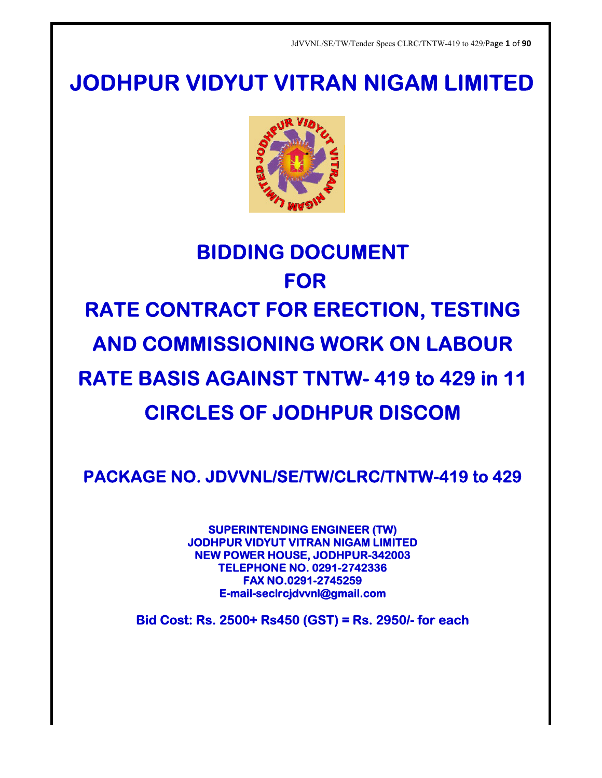## **JODHPUR VIDYUT VITRAN NIGAM LIMITED**



# **BIDDING DOCUMENT DOCUMENT RATE CONTRACT FOR ERECTION, TESTING<br>AND COMMISSIONING WORK ON LABOUR<br>RATE BASIS AGAINST TNTW- 419 to 429 in 11** AND COMMISSIONING WORK ON LABOUR<br>ATE BASIS AGAINST TNTW- 419 to 429 in 11 **RATE BASIS AGAINST TNTW CIRCLES OF JODHPUR DISCOM DISCOM FOR**

PACKAGE NO. JDVVNL/SE/TW/CLRC/TNTW-419 to 429

**SUPERINTENDING SUPERINTENDING ENGINEER (TW) JODHPUR VIDYUT VITRAN NIGAM LIMITED NEW POWER HOUSE, JODHPUR-342003 TELEPHONE NO. 0291 0291-2742336 E-mail mail-seclrcjdvvnl@gmail.com FAX NO.0291-2745259**

**Bid Cost: Rs. 2500+ Rs450 (GST) = Rs. 2950/ Rs. 2950/- for each each**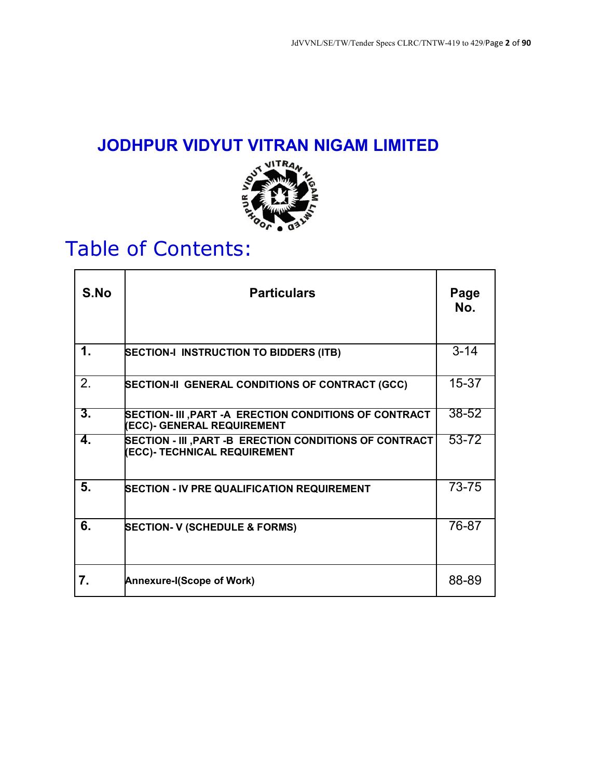## **JODHPUR VIDYUT VITRAN NIGAM LIMITED**



## Table of Contents:

| S.No | <b>Particulars</b>                                                                             | Page<br>No. |
|------|------------------------------------------------------------------------------------------------|-------------|
| 1.   | <b>SECTION-I INSTRUCTION TO BIDDERS (ITB)</b>                                                  | $3 - 14$    |
| 2.   | SECTION-II GENERAL CONDITIONS OF CONTRACT (GCC)                                                | $15 - 37$   |
| 3.   | SECTION- III ,PART -A ERECTION CONDITIONS OF CONTRACT<br><b>(ECC)- GENERAL REQUIREMENT</b>     | $38 - 52$   |
| 4.   | SECTION - III , PART -B ERECTION CONDITIONS OF CONTRACT<br><b>(ECC)- TECHNICAL REQUIREMENT</b> | 53-72       |
| 5.   | <b>SECTION - IV PRE QUALIFICATION REQUIREMENT</b>                                              | 73-75       |
| 6.   | <b>SECTION- V (SCHEDULE &amp; FORMS)</b>                                                       | 76-87       |
| 7.   | <b>Annexure-I(Scope of Work)</b>                                                               | 88-89       |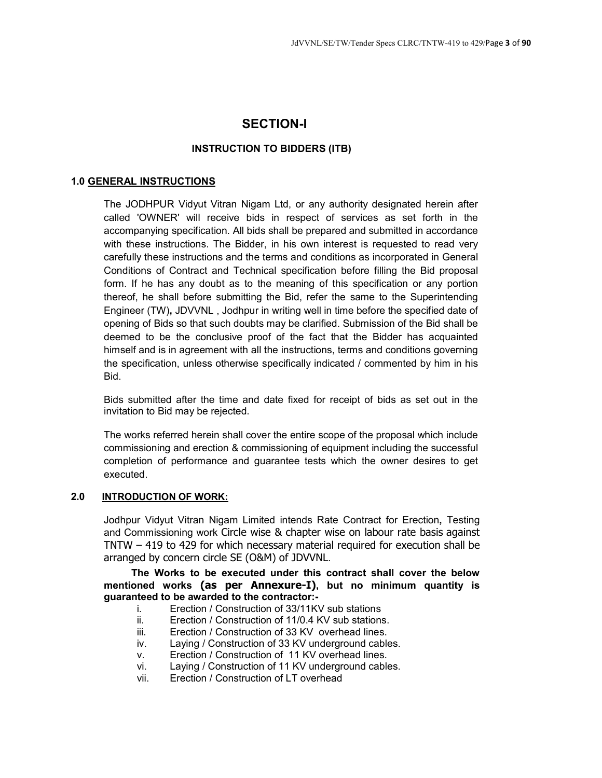## **SECTION-I**

#### **INSTRUCTION TO BIDDERS (ITB)**

#### **1.0 GENERAL INSTRUCTIONS**

The JODHPUR Vidyut Vitran Nigam Ltd, or any authority designated herein after called 'OWNER' will receive bids in respect of services as set forth in the accompanying specification. All bids shall be prepared and submitted in accordance with these instructions. The Bidder, in his own interest is requested to read very carefully these instructions and the terms and conditions as incorporated in General Conditions of Contract and Technical specification before filling the Bid proposal form. If he has any doubt as to the meaning of this specification or any portion thereof, he shall before submitting the Bid, refer the same to the Superintending Engineer (TW)**,** JDVVNL , Jodhpur in writing well in time before the specified date of opening of Bids so that such doubts may be clarified. Submission of the Bid shall be deemed to be the conclusive proof of the fact that the Bidder has acquainted himself and is in agreement with all the instructions, terms and conditions governing the specification, unless otherwise specifically indicated / commented by him in his Bid.

Bids submitted after the time and date fixed for receipt of bids as set out in the invitation to Bid may be rejected.

The works referred herein shall cover the entire scope of the proposal which include commissioning and erection & commissioning of equipment including the successful completion of performance and guarantee tests which the owner desires to get executed.

#### **2.0 INTRODUCTION OF WORK:**

Jodhpur Vidyut Vitran Nigam Limited intends Rate Contract for Erection**,** Testing and Commissioning work Circle wise & chapter wise on labour rate basis against TNTW – 419 to 429 for which necessary material required for execution shall be arranged by concern circle SE (O&M) of JDVVNL.

**The Works to be executed under this contract shall cover the below mentioned works (as per Annexure-I), but no minimum quantity is guaranteed to be awarded to the contractor:-** 

- i. Erection / Construction of 33/11KV sub stations
- ii. Erection / Construction of 11/0.4 KV sub stations.
- iii. Erection / Construction of 33 KV overhead lines.
- iv. Laying / Construction of 33 KV underground cables.
- v. Erection / Construction of 11 KV overhead lines.
- vi. Laying / Construction of 11 KV underground cables.
- vii. Erection / Construction of LT overhead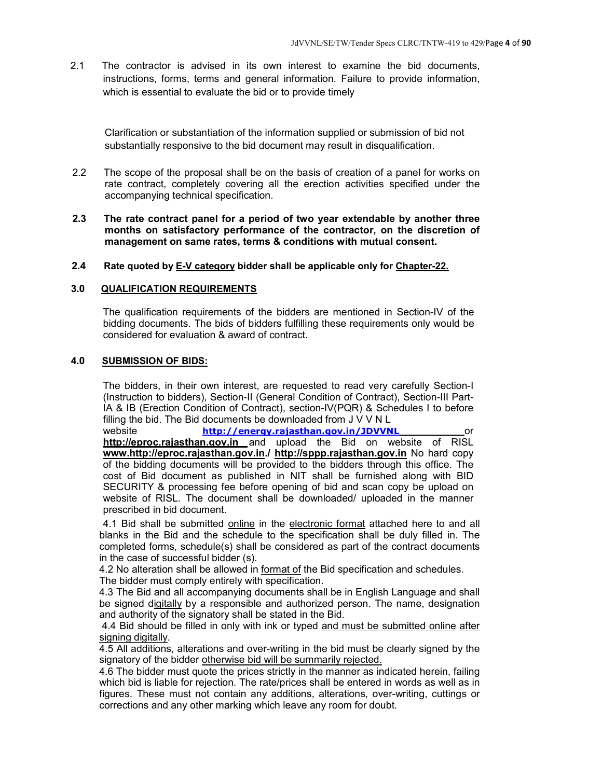2.1 The contractor is advised in its own interest to examine the bid documents, instructions, forms, terms and general information. Failure to provide information, which is essential to evaluate the bid or to provide timely

Clarification or substantiation of the information supplied or submission of bid not substantially responsive to the bid document may result in disqualification.

- 2.2 The scope of the proposal shall be on the basis of creation of a panel for works on rate contract, completely covering all the erection activities specified under the accompanying technical specification.
- **2.3 The rate contract panel for a period of two year extendable by another three months on satisfactory performance of the contractor, on the discretion of management on same rates, terms & conditions with mutual consent.**
- **2.4 Rate quoted by E-V category bidder shall be applicable only for Chapter-22.**

#### **3.0 QUALIFICATION REQUIREMENTS**

The qualification requirements of the bidders are mentioned in Section-IV of the bidding documents. The bids of bidders fulfilling these requirements only would be considered for evaluation & award of contract.

#### **4.0 SUBMISSION OF BIDS:**

The bidders, in their own interest, are requested to read very carefully Section-I (Instruction to bidders), Section-II (General Condition of Contract), Section-III Part-IA & IB (Erection Condition of Contract), section-IV(PQR) & Schedules I to before filling the bid. The Bid documents be downloaded from J V V N L

website **http://energy.rajasthan.gov.in/JDVVNL** or **http://eproc.rajasthan.gov.in** and upload the Bid on website of RISL **www.http://eproc.rajasthan.gov.in./ http://sppp.rajasthan.gov.in** No hard copy of the bidding documents will be provided to the bidders through this office. The cost of Bid document as published in NIT shall be furnished along with BID SECURITY & processing fee before opening of bid and scan copy be upload on website of RISL. The document shall be downloaded/ uploaded in the manner prescribed in bid document.

4.1 Bid shall be submitted online in the electronic format attached here to and all blanks in the Bid and the schedule to the specification shall be duly filled in. The completed forms, schedule(s) shall be considered as part of the contract documents in the case of successful bidder (s).

4.2 No alteration shall be allowed in format of the Bid specification and schedules. The bidder must comply entirely with specification.

4.3 The Bid and all accompanying documents shall be in English Language and shall be signed digitally by a responsible and authorized person. The name, designation and authority of the signatory shall be stated in the Bid.

4.4 Bid should be filled in only with ink or typed and must be submitted online after signing digitally.

4.5 All additions, alterations and over-writing in the bid must be clearly signed by the signatory of the bidder otherwise bid will be summarily rejected.

4.6 The bidder must quote the prices strictly in the manner as indicated herein, failing which bid is liable for rejection. The rate/prices shall be entered in words as well as in figures. These must not contain any additions, alterations, over-writing, cuttings or corrections and any other marking which leave any room for doubt.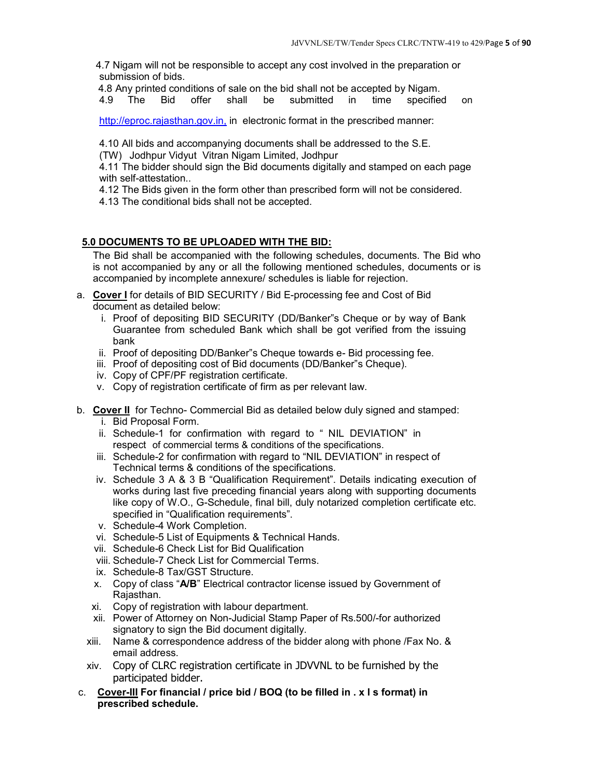4.7 Nigam will not be responsible to accept any cost involved in the preparation or submission of bids.

4.8 Any printed conditions of sale on the bid shall not be accepted by Nigam.

4.9 The Bid offer shall be submitted in time specified on

http://eproc.rajasthan.gov.in, in electronic format in the prescribed manner:

4.10 All bids and accompanying documents shall be addressed to the S.E.

(TW) Jodhpur Vidyut Vitran Nigam Limited, Jodhpur

4.11 The bidder should sign the Bid documents digitally and stamped on each page with self-attestation..

4.12 The Bids given in the form other than prescribed form will not be considered.

4.13 The conditional bids shall not be accepted.

#### **5.0 DOCUMENTS TO BE UPLOADED WITH THE BID:**

The Bid shall be accompanied with the following schedules, documents. The Bid who is not accompanied by any or all the following mentioned schedules, documents or is accompanied by incomplete annexure/ schedules is liable for rejection.

- a. **Cover I** for details of BID SECURITY / Bid E-processing fee and Cost of Bid document as detailed below:
	- i. Proof of depositing BID SECURITY (DD/Banker"s Cheque or by way of Bank Guarantee from scheduled Bank which shall be got verified from the issuing bank
	- ii. Proof of depositing DD/Banker"s Cheque towards e- Bid processing fee.
	- iii. Proof of depositing cost of Bid documents (DD/Banker"s Cheque).
	- iv. Copy of CPF/PF registration certificate.
	- v. Copy of registration certificate of firm as per relevant law.
- b. **Cover II** for Techno- Commercial Bid as detailed below duly signed and stamped: i. Bid Proposal Form.
	- ii. Schedule-1 for confirmation with regard to " NIL DEVIATION" in respect of commercial terms & conditions of the specifications.
	- iii. Schedule-2 for confirmation with regard to "NIL DEVIATION" in respect of Technical terms & conditions of the specifications.
	- iv. Schedule 3 A & 3 B "Qualification Requirement". Details indicating execution of works during last five preceding financial years along with supporting documents like copy of W.O., G-Schedule, final bill, duly notarized completion certificate etc. specified in "Qualification requirements".
	- v. Schedule-4 Work Completion.
	- vi. Schedule-5 List of Equipments & Technical Hands.
	- vii. Schedule-6 Check List for Bid Qualification
	- viii. Schedule-7 Check List for Commercial Terms.
	- ix. Schedule-8 Tax/GST Structure.
	- x. Copy of class "**A/B**" Electrical contractor license issued by Government of Rajasthan.
	- xi. Copy of registration with labour department.
	- xii. Power of Attorney on Non-Judicial Stamp Paper of Rs.500/-for authorized signatory to sign the Bid document digitally.
	- xiii. Name & correspondence address of the bidder along with phone /Fax No. & email address.
	- xiv. Copy of CLRC registration certificate in JDVVNL to be furnished by the participated bidder.
- c. **Cover-III For financial / price bid / BOQ (to be filled in . x l s format) in prescribed schedule.**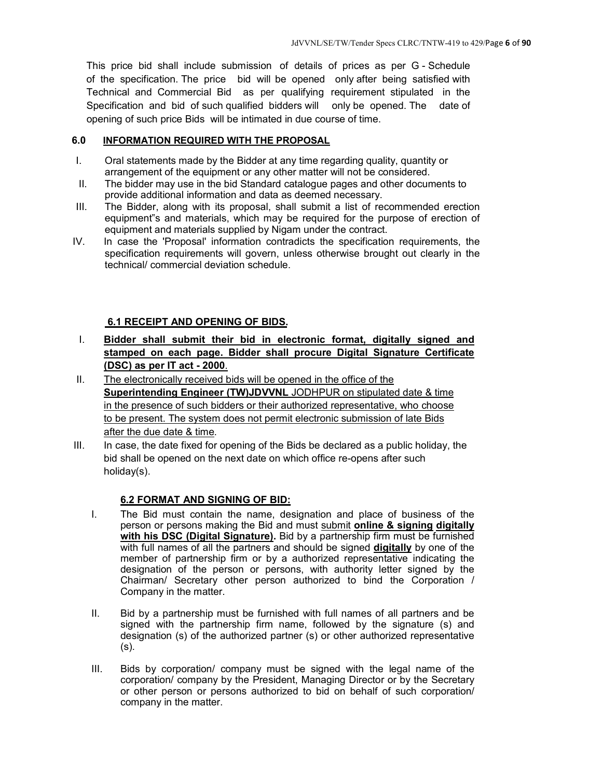This price bid shall include submission of details of prices as per G - Schedule of the specification. The price bid will be opened only after being satisfied with Technical and Commercial Bid as per qualifying requirement stipulated in the Specification and bid of such qualified bidders will only be opened. The date of opening of such price Bids will be intimated in due course of time.

#### **6.0 INFORMATION REQUIRED WITH THE PROPOSAL**

- I. Oral statements made by the Bidder at any time regarding quality, quantity or arrangement of the equipment or any other matter will not be considered.
- II. The bidder may use in the bid Standard catalogue pages and other documents to provide additional information and data as deemed necessary.
- III. The Bidder, along with its proposal, shall submit a list of recommended erection equipment"s and materials, which may be required for the purpose of erection of equipment and materials supplied by Nigam under the contract.
- IV. In case the 'Proposal' information contradicts the specification requirements, the specification requirements will govern, unless otherwise brought out clearly in the technical/ commercial deviation schedule.

#### **6.1 RECEIPT AND OPENING OF BIDS.**

- I. **Bidder shall submit their bid in electronic format, digitally signed and stamped on each page. Bidder shall procure Digital Signature Certificate (DSC) as per IT act - 2000**.
- II. The electronically received bids will be opened in the office of the **Superintending Engineer (TW)JDVVNL** JODHPUR on stipulated date & time in the presence of such bidders or their authorized representative, who choose to be present. The system does not permit electronic submission of late Bids after the due date & time.
- III. In case, the date fixed for opening of the Bids be declared as a public holiday, the bid shall be opened on the next date on which office re-opens after such holiday(s).

#### **6.2 FORMAT AND SIGNING OF BID:**

- I. The Bid must contain the name, designation and place of business of the person or persons making the Bid and must submit **online & signing digitally with his DSC (Digital Signature).** Bid by a partnership firm must be furnished with full names of all the partners and should be signed **digitally** by one of the member of partnership firm or by a authorized representative indicating the designation of the person or persons, with authority letter signed by the Chairman/ Secretary other person authorized to bind the Corporation / Company in the matter.
- II. Bid by a partnership must be furnished with full names of all partners and be signed with the partnership firm name, followed by the signature (s) and designation (s) of the authorized partner (s) or other authorized representative (s).
- III. Bids by corporation/ company must be signed with the legal name of the corporation/ company by the President, Managing Director or by the Secretary or other person or persons authorized to bid on behalf of such corporation/ company in the matter.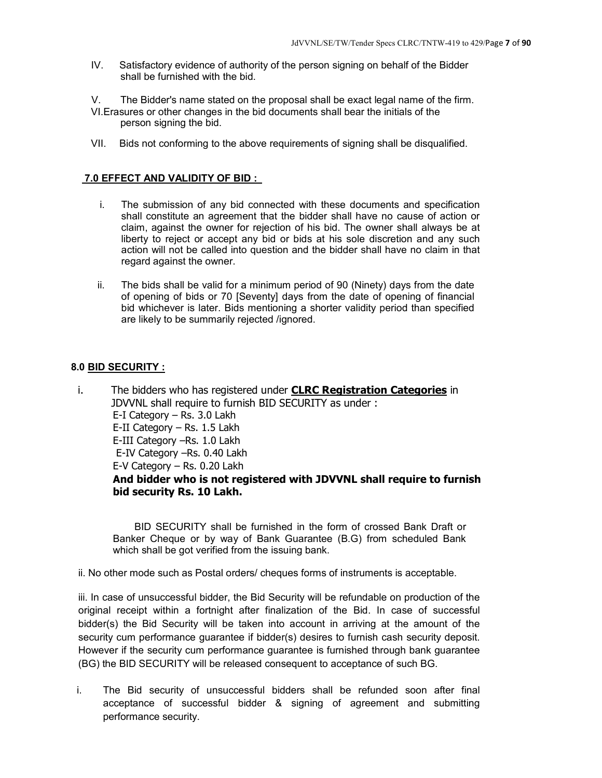- IV. Satisfactory evidence of authority of the person signing on behalf of the Bidder shall be furnished with the bid.
- V. The Bidder's name stated on the proposal shall be exact legal name of the firm.
- VI.Erasures or other changes in the bid documents shall bear the initials of the person signing the bid.
- VII. Bids not conforming to the above requirements of signing shall be disqualified.

#### **7.0 EFFECT AND VALIDITY OF BID :**

- i. The submission of any bid connected with these documents and specification shall constitute an agreement that the bidder shall have no cause of action or claim, against the owner for rejection of his bid. The owner shall always be at liberty to reject or accept any bid or bids at his sole discretion and any such action will not be called into question and the bidder shall have no claim in that regard against the owner.
- ii. The bids shall be valid for a minimum period of 90 (Ninety) days from the date of opening of bids or 70 [Seventy] days from the date of opening of financial bid whichever is later. Bids mentioning a shorter validity period than specified are likely to be summarily rejected /ignored.

#### **8.0 BID SECURITY :**

i. The bidders who has registered under **CLRC Registration Categories** in JDVVNL shall require to furnish BID SECURITY as under : E-I Category – Rs. 3.0 Lakh E-II Category – Rs. 1.5 Lakh E-III Category –Rs. 1.0 Lakh E-IV Category –Rs. 0.40 Lakh E-V Category – Rs. 0.20 Lakh **And bidder who is not registered with JDVVNL shall require to furnish bid security Rs. 10 Lakh.** 

BID SECURITY shall be furnished in the form of crossed Bank Draft or Banker Cheque or by way of Bank Guarantee (B.G) from scheduled Bank which shall be got verified from the issuing bank.

ii. No other mode such as Postal orders/ cheques forms of instruments is acceptable.

iii. In case of unsuccessful bidder, the Bid Security will be refundable on production of the original receipt within a fortnight after finalization of the Bid. In case of successful bidder(s) the Bid Security will be taken into account in arriving at the amount of the security cum performance guarantee if bidder(s) desires to furnish cash security deposit. However if the security cum performance guarantee is furnished through bank guarantee (BG) the BID SECURITY will be released consequent to acceptance of such BG.

i. The Bid security of unsuccessful bidders shall be refunded soon after final acceptance of successful bidder & signing of agreement and submitting performance security.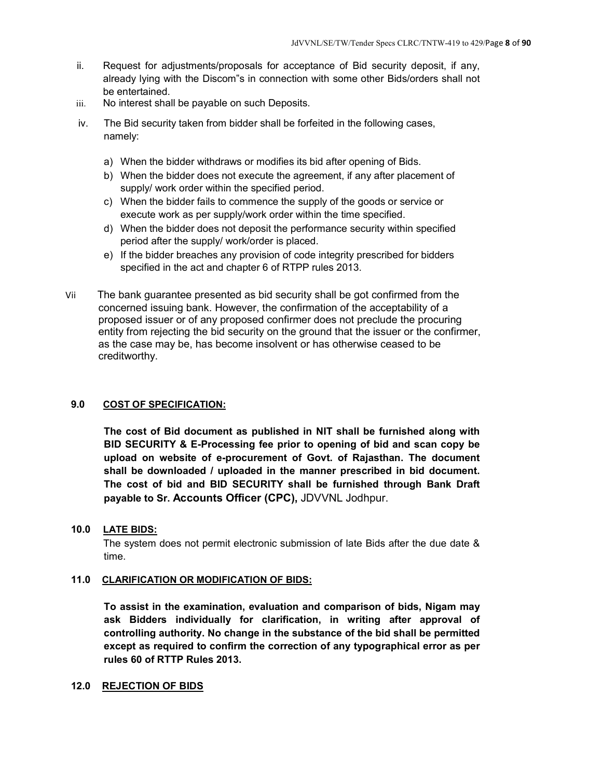- ii. Request for adjustments/proposals for acceptance of Bid security deposit, if any, already lying with the Discom"s in connection with some other Bids/orders shall not be entertained.
- iii. No interest shall be payable on such Deposits.
- iv. The Bid security taken from bidder shall be forfeited in the following cases, namely:
	- a) When the bidder withdraws or modifies its bid after opening of Bids.
	- b) When the bidder does not execute the agreement, if any after placement of supply/ work order within the specified period.
	- c) When the bidder fails to commence the supply of the goods or service or execute work as per supply/work order within the time specified.
	- d) When the bidder does not deposit the performance security within specified period after the supply/ work/order is placed.
	- e) If the bidder breaches any provision of code integrity prescribed for bidders specified in the act and chapter 6 of RTPP rules 2013.
- Vii The bank guarantee presented as bid security shall be got confirmed from the concerned issuing bank. However, the confirmation of the acceptability of a proposed issuer or of any proposed confirmer does not preclude the procuring entity from rejecting the bid security on the ground that the issuer or the confirmer, as the case may be, has become insolvent or has otherwise ceased to be creditworthy.

#### **9.0 COST OF SPECIFICATION:**

**The cost of Bid document as published in NIT shall be furnished along with BID SECURITY & E-Processing fee prior to opening of bid and scan copy be upload on website of e-procurement of Govt. of Rajasthan. The document shall be downloaded / uploaded in the manner prescribed in bid document. The cost of bid and BID SECURITY shall be furnished through Bank Draft payable to Sr. Accounts Officer (CPC),** JDVVNL Jodhpur.

#### **10.0 LATE BIDS:**

The system does not permit electronic submission of late Bids after the due date & time.

#### **11.0 CLARIFICATION OR MODIFICATION OF BIDS:**

**To assist in the examination, evaluation and comparison of bids, Nigam may ask Bidders individually for clarification, in writing after approval of controlling authority. No change in the substance of the bid shall be permitted except as required to confirm the correction of any typographical error as per rules 60 of RTTP Rules 2013.** 

#### **12.0 REJECTION OF BIDS**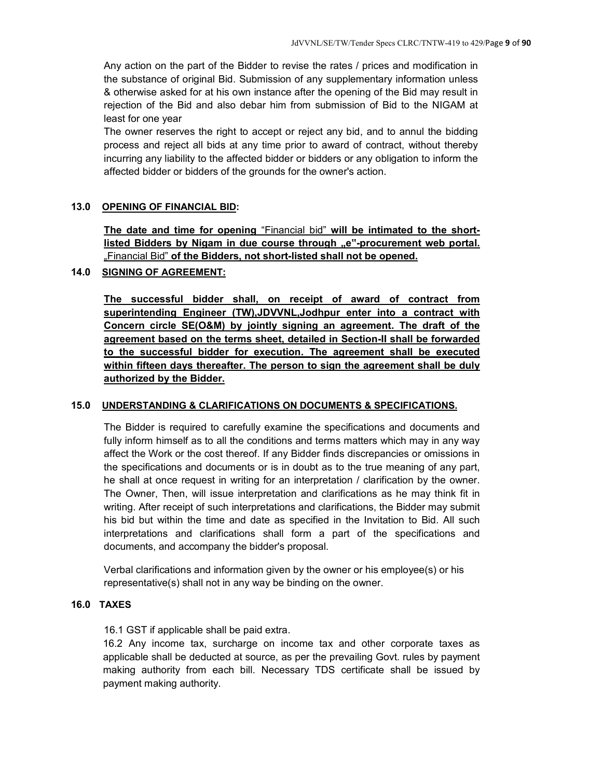Any action on the part of the Bidder to revise the rates / prices and modification in the substance of original Bid. Submission of any supplementary information unless & otherwise asked for at his own instance after the opening of the Bid may result in rejection of the Bid and also debar him from submission of Bid to the NIGAM at least for one year

The owner reserves the right to accept or reject any bid, and to annul the bidding process and reject all bids at any time prior to award of contract, without thereby incurring any liability to the affected bidder or bidders or any obligation to inform the affected bidder or bidders of the grounds for the owner's action.

#### **13.0 OPENING OF FINANCIAL BID:**

**The date and time for opening** "Financial bid" **will be intimated to the short**listed Bidders by Nigam in due course through "e"-procurement web portal. "Financial Bid" **of the Bidders, not short-listed shall not be opened.**

#### **14.0 SIGNING OF AGREEMENT:**

**The successful bidder shall, on receipt of award of contract from superintending Engineer (TW),JDVVNL,Jodhpur enter into a contract with Concern circle SE(O&M) by jointly signing an agreement. The draft of the agreement based on the terms sheet, detailed in Section-II shall be forwarded to the successful bidder for execution. The agreement shall be executed within fifteen days thereafter. The person to sign the agreement shall be duly authorized by the Bidder.**

#### **15.0 UNDERSTANDING & CLARIFICATIONS ON DOCUMENTS & SPECIFICATIONS.**

The Bidder is required to carefully examine the specifications and documents and fully inform himself as to all the conditions and terms matters which may in any way affect the Work or the cost thereof. If any Bidder finds discrepancies or omissions in the specifications and documents or is in doubt as to the true meaning of any part, he shall at once request in writing for an interpretation / clarification by the owner. The Owner, Then, will issue interpretation and clarifications as he may think fit in writing. After receipt of such interpretations and clarifications, the Bidder may submit his bid but within the time and date as specified in the Invitation to Bid. All such interpretations and clarifications shall form a part of the specifications and documents, and accompany the bidder's proposal.

Verbal clarifications and information given by the owner or his employee(s) or his representative(s) shall not in any way be binding on the owner.

#### **16.0 TAXES**

16.1 GST if applicable shall be paid extra.

16.2 Any income tax, surcharge on income tax and other corporate taxes as applicable shall be deducted at source, as per the prevailing Govt. rules by payment making authority from each bill. Necessary TDS certificate shall be issued by payment making authority.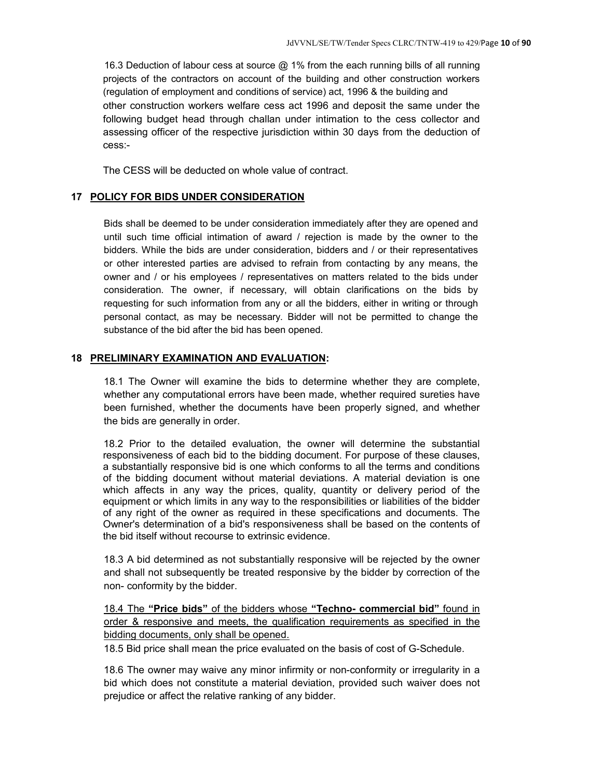16.3 Deduction of labour cess at source @ 1% from the each running bills of all running projects of the contractors on account of the building and other construction workers (regulation of employment and conditions of service) act, 1996 & the building and other construction workers welfare cess act 1996 and deposit the same under the following budget head through challan under intimation to the cess collector and assessing officer of the respective jurisdiction within 30 days from the deduction of cess:-

The CESS will be deducted on whole value of contract.

#### **17 POLICY FOR BIDS UNDER CONSIDERATION**

Bids shall be deemed to be under consideration immediately after they are opened and until such time official intimation of award / rejection is made by the owner to the bidders. While the bids are under consideration, bidders and / or their representatives or other interested parties are advised to refrain from contacting by any means, the owner and / or his employees / representatives on matters related to the bids under consideration. The owner, if necessary, will obtain clarifications on the bids by requesting for such information from any or all the bidders, either in writing or through personal contact, as may be necessary. Bidder will not be permitted to change the substance of the bid after the bid has been opened.

#### **18 PRELIMINARY EXAMINATION AND EVALUATION:**

18.1 The Owner will examine the bids to determine whether they are complete, whether any computational errors have been made, whether required sureties have been furnished, whether the documents have been properly signed, and whether the bids are generally in order.

18.2 Prior to the detailed evaluation, the owner will determine the substantial responsiveness of each bid to the bidding document. For purpose of these clauses, a substantially responsive bid is one which conforms to all the terms and conditions of the bidding document without material deviations. A material deviation is one which affects in any way the prices, quality, quantity or delivery period of the equipment or which limits in any way to the responsibilities or liabilities of the bidder of any right of the owner as required in these specifications and documents. The Owner's determination of a bid's responsiveness shall be based on the contents of the bid itself without recourse to extrinsic evidence.

18.3 A bid determined as not substantially responsive will be rejected by the owner and shall not subsequently be treated responsive by the bidder by correction of the non- conformity by the bidder.

18.4 The **"Price bids"** of the bidders whose **"Techno- commercial bid"** found in order & responsive and meets, the qualification requirements as specified in the bidding documents, only shall be opened.

18.5 Bid price shall mean the price evaluated on the basis of cost of G-Schedule.

18.6 The owner may waive any minor infirmity or non-conformity or irregularity in a bid which does not constitute a material deviation, provided such waiver does not prejudice or affect the relative ranking of any bidder.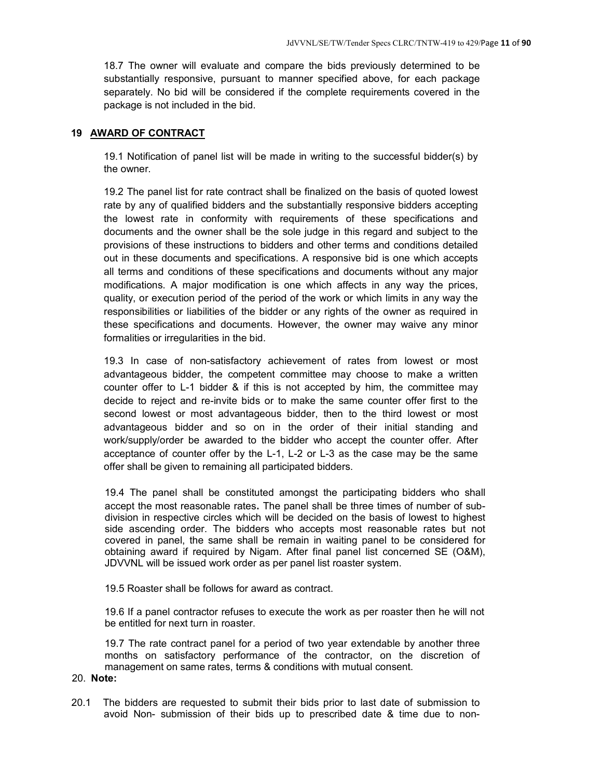18.7 The owner will evaluate and compare the bids previously determined to be substantially responsive, pursuant to manner specified above, for each package separately. No bid will be considered if the complete requirements covered in the package is not included in the bid.

#### **19 AWARD OF CONTRACT**

19.1 Notification of panel list will be made in writing to the successful bidder(s) by the owner.

19.2 The panel list for rate contract shall be finalized on the basis of quoted lowest rate by any of qualified bidders and the substantially responsive bidders accepting the lowest rate in conformity with requirements of these specifications and documents and the owner shall be the sole judge in this regard and subject to the provisions of these instructions to bidders and other terms and conditions detailed out in these documents and specifications. A responsive bid is one which accepts all terms and conditions of these specifications and documents without any major modifications. A major modification is one which affects in any way the prices, quality, or execution period of the period of the work or which limits in any way the responsibilities or liabilities of the bidder or any rights of the owner as required in these specifications and documents. However, the owner may waive any minor formalities or irregularities in the bid.

19.3 In case of non-satisfactory achievement of rates from lowest or most advantageous bidder, the competent committee may choose to make a written counter offer to L-1 bidder & if this is not accepted by him, the committee may decide to reject and re-invite bids or to make the same counter offer first to the second lowest or most advantageous bidder, then to the third lowest or most advantageous bidder and so on in the order of their initial standing and work/supply/order be awarded to the bidder who accept the counter offer. After acceptance of counter offer by the L-1, L-2 or L-3 as the case may be the same offer shall be given to remaining all participated bidders.

19.4 The panel shall be constituted amongst the participating bidders who shall accept the most reasonable rates. The panel shall be three times of number of subdivision in respective circles which will be decided on the basis of lowest to highest side ascending order. The bidders who accepts most reasonable rates but not covered in panel, the same shall be remain in waiting panel to be considered for obtaining award if required by Nigam. After final panel list concerned SE (O&M), JDVVNL will be issued work order as per panel list roaster system.

19.5 Roaster shall be follows for award as contract.

19.6 If a panel contractor refuses to execute the work as per roaster then he will not be entitled for next turn in roaster.

19.7 The rate contract panel for a period of two year extendable by another three months on satisfactory performance of the contractor, on the discretion of management on same rates, terms & conditions with mutual consent.

#### 20. **Note:**

20.1 The bidders are requested to submit their bids prior to last date of submission to avoid Non- submission of their bids up to prescribed date & time due to non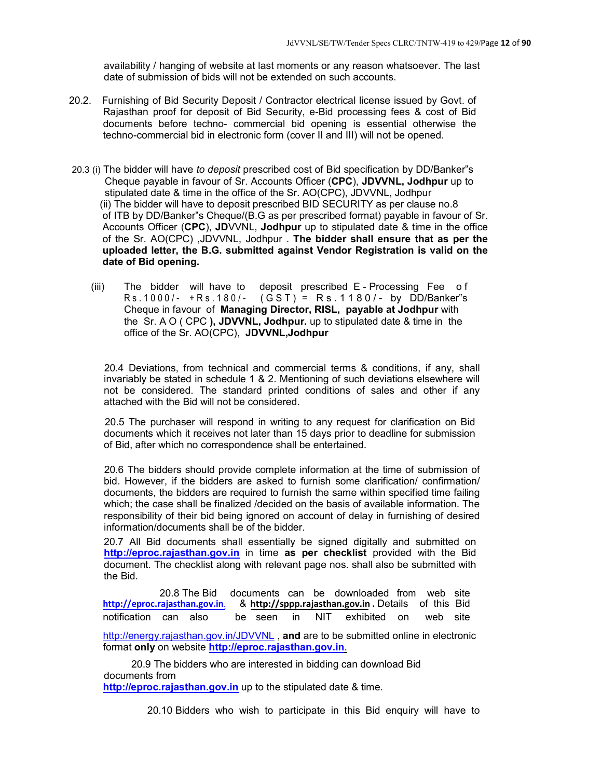availability / hanging of website at last moments or any reason whatsoever. The last date of submission of bids will not be extended on such accounts.

- 20.2. Furnishing of Bid Security Deposit / Contractor electrical license issued by Govt. of Rajasthan proof for deposit of Bid Security, e-Bid processing fees & cost of Bid documents before techno- commercial bid opening is essential otherwise the techno-commercial bid in electronic form (cover II and III) will not be opened.
- 20.3 (i) The bidder will have *to deposit* prescribed cost of Bid specification by DD/Banker"s Cheque payable in favour of Sr. Accounts Officer (**CPC**), **JDVVNL, Jodhpur** up to stipulated date & time in the office of the Sr. AO(CPC), JDVVNL, Jodhpur (ii) The bidder will have to deposit prescribed BID SECURITY as per clause no.8 of ITB by DD/Banker"s Cheque/(B.G as per prescribed format) payable in favour of Sr. Accounts Officer (**CPC**), **JD**VVNL, **Jodhpur** up to stipulated date & time in the office of the Sr. AO(CPC) ,JDVVNL, Jodhpur . **The bidder shall ensure that as per the uploaded letter, the B.G. submitted against Vendor Registration is valid on the date of Bid opening.** 
	- (iii) The bidder will have to deposit prescribed E Processing Fee o f Rs. 1000/- +Rs. 180/- (GST) = Rs. 1180/- by DD/Banker''s Cheque in favour of **Managing Director, RISL, payable at Jodhpur** with the Sr. A O ( CPC **), JDVVNL, Jodhpur.** up to stipulated date & time in the office of the Sr. AO(CPC), **JDVVNL,Jodhpur**

20.4 Deviations, from technical and commercial terms & conditions, if any, shall invariably be stated in schedule 1 & 2. Mentioning of such deviations elsewhere will not be considered. The standard printed conditions of sales and other if any attached with the Bid will not be considered.

20.5 The purchaser will respond in writing to any request for clarification on Bid documents which it receives not later than 15 days prior to deadline for submission of Bid, after which no correspondence shall be entertained.

20.6 The bidders should provide complete information at the time of submission of bid. However, if the bidders are asked to furnish some clarification/ confirmation/ documents, the bidders are required to furnish the same within specified time failing which; the case shall be finalized /decided on the basis of available information. The responsibility of their bid being ignored on account of delay in furnishing of desired information/documents shall be of the bidder.

20.7 All Bid documents shall essentially be signed digitally and submitted on **http://eproc.rajasthan.gov.in** in time **as per checklist** provided with the Bid document. The checklist along with relevant page nos. shall also be submitted with the Bid.

20.8 The Bid documents can be downloaded from web site<br>http://eproc.rajasthan.gov.in. & http://sppp.rajasthan.gov.in. Details of this Bid **http://eproc.rajasthan.gov.in**. & **http://sppp.rajasthan.gov.in .** Details of this Bidnotification can also be seen in NIT exhibited on web site

http://energy.rajasthan.gov.in/JDVVNL , **and** are to be submitted online in electronic format **only** on website **http://eproc.rajasthan.gov.in**.

20.9 The bidders who are interested in bidding can download Bid documents from **http://eproc.rajasthan.gov.in** up to the stipulated date & time.

20.10 Bidders who wish to participate in this Bid enquiry will have to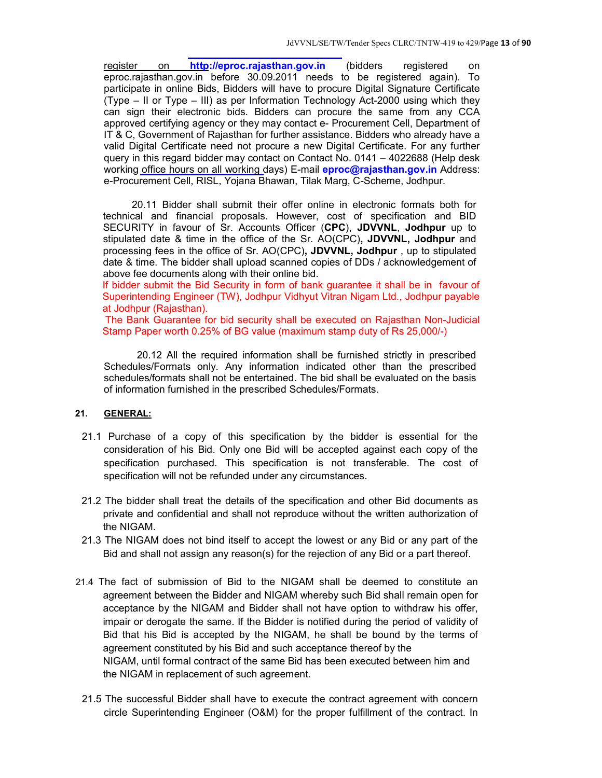register on **http://eproc.rajasthan.gov.in** (bidders registered on eproc.rajasthan.gov.in before 30.09.2011 needs to be registered again). To participate in online Bids, Bidders will have to procure Digital Signature Certificate (Type – II or Type – III) as per Information Technology Act-2000 using which they can sign their electronic bids. Bidders can procure the same from any CCA approved certifying agency or they may contact e- Procurement Cell, Department of IT & C, Government of Rajasthan for further assistance. Bidders who already have a valid Digital Certificate need not procure a new Digital Certificate. For any further query in this regard bidder may contact on Contact No. 0141 – 4022688 (Help desk working office hours on all working days) E-mail **eproc@rajasthan.gov.in** Address: e-Procurement Cell, RISL, Yojana Bhawan, Tilak Marg, C-Scheme, Jodhpur.

20.11 Bidder shall submit their offer online in electronic formats both for technical and financial proposals. However, cost of specification and BID SECURITY in favour of Sr. Accounts Officer (**CPC**), **JDVVNL**, **Jodhpur** up to stipulated date & time in the office of the Sr. AO(CPC)**, JDVVNL, Jodhpur** and processing fees in the office of Sr. AO(CPC)**, JDVVNL, Jodhpur** , up to stipulated date & time. The bidder shall upload scanned copies of DDs / acknowledgement of above fee documents along with their online bid.

If bidder submit the Bid Security in form of bank guarantee it shall be in favour of Superintending Engineer (TW), Jodhpur Vidhyut Vitran Nigam Ltd., Jodhpur payable at Jodhpur (Rajasthan).

 The Bank Guarantee for bid security shall be executed on Rajasthan Non-Judicial Stamp Paper worth 0.25% of BG value (maximum stamp duty of Rs 25,000/-)

20.12 All the required information shall be furnished strictly in prescribed Schedules/Formats only. Any information indicated other than the prescribed schedules/formats shall not be entertained. The bid shall be evaluated on the basis of information furnished in the prescribed Schedules/Formats.

#### **21. GENERAL:**

- 21.1 Purchase of a copy of this specification by the bidder is essential for the consideration of his Bid. Only one Bid will be accepted against each copy of the specification purchased. This specification is not transferable. The cost of specification will not be refunded under any circumstances.
- 21.2 The bidder shall treat the details of the specification and other Bid documents as private and confidential and shall not reproduce without the written authorization of the NIGAM.
- 21.3 The NIGAM does not bind itself to accept the lowest or any Bid or any part of the Bid and shall not assign any reason(s) for the rejection of any Bid or a part thereof.
- 21.4 The fact of submission of Bid to the NIGAM shall be deemed to constitute an agreement between the Bidder and NIGAM whereby such Bid shall remain open for acceptance by the NIGAM and Bidder shall not have option to withdraw his offer, impair or derogate the same. If the Bidder is notified during the period of validity of Bid that his Bid is accepted by the NIGAM, he shall be bound by the terms of agreement constituted by his Bid and such acceptance thereof by the NIGAM, until formal contract of the same Bid has been executed between him and the NIGAM in replacement of such agreement.
- 21.5 The successful Bidder shall have to execute the contract agreement with concern circle Superintending Engineer (O&M) for the proper fulfillment of the contract. In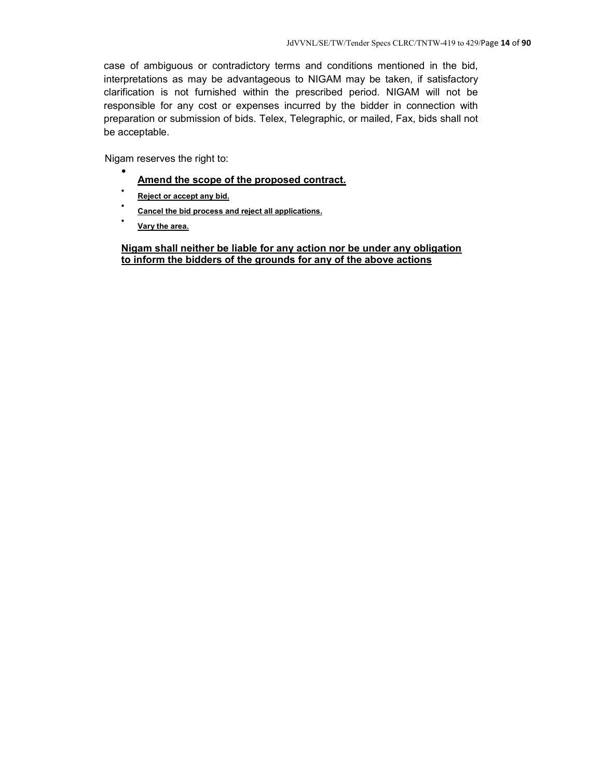case of ambiguous or contradictory terms and conditions mentioned in the bid, interpretations as may be advantageous to NIGAM may be taken, if satisfactory clarification is not furnished within the prescribed period. NIGAM will not be responsible for any cost or expenses incurred by the bidder in connection with preparation or submission of bids. Telex, Telegraphic, or mailed, Fax, bids shall not be acceptable.

Nigam reserves the right to:  $\bullet$ 

- **Amend the scope of the proposed contract.**
- . **Reject or accept any bid.**
- . **Cancel the bid process and reject all applications.**
- . **Vary the area.**

**Nigam shall neither be liable for any action nor be under any obligation to inform the bidders of the grounds for any of the above actions**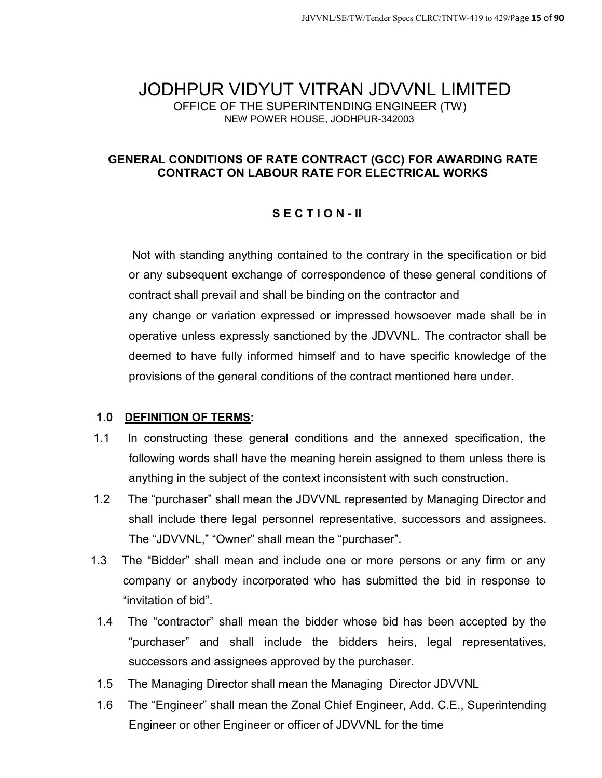## JODHPUR VIDYUT VITRAN JDVVNL LIMITED OFFICE OF THE SUPERINTENDING ENGINEER (TW) NEW POWER HOUSE, JODHPUR-342003

## **GENERAL CONDITIONS OF RATE CONTRACT (GCC) FOR AWARDING RATE CONTRACT ON LABOUR RATE FOR ELECTRICAL WORKS**

## **S E C T I O N - II**

Not with standing anything contained to the contrary in the specification or bid or any subsequent exchange of correspondence of these general conditions of contract shall prevail and shall be binding on the contractor and any change or variation expressed or impressed howsoever made shall be in operative unless expressly sanctioned by the JDVVNL. The contractor shall be deemed to have fully informed himself and to have specific knowledge of the provisions of the general conditions of the contract mentioned here under.

## **1.0 DEFINITION OF TERMS:**

- 1.1 In constructing these general conditions and the annexed specification, the following words shall have the meaning herein assigned to them unless there is anything in the subject of the context inconsistent with such construction.
- 1.2 The "purchaser" shall mean the JDVVNL represented by Managing Director and shall include there legal personnel representative, successors and assignees. The "JDVVNL," "Owner" shall mean the "purchaser".
- 1.3 The "Bidder" shall mean and include one or more persons or any firm or any company or anybody incorporated who has submitted the bid in response to "invitation of bid".
- 1.4 The "contractor" shall mean the bidder whose bid has been accepted by the "purchaser" and shall include the bidders heirs, legal representatives, successors and assignees approved by the purchaser.
- 1.5 The Managing Director shall mean the Managing Director JDVVNL
- 1.6 The "Engineer" shall mean the Zonal Chief Engineer, Add. C.E., Superintending Engineer or other Engineer or officer of JDVVNL for the time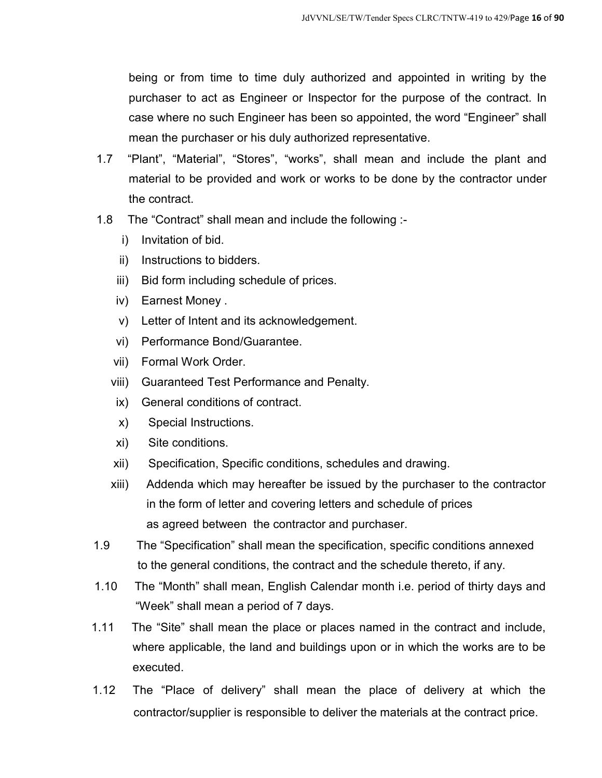being or from time to time duly authorized and appointed in writing by the purchaser to act as Engineer or Inspector for the purpose of the contract. In case where no such Engineer has been so appointed, the word "Engineer" shall mean the purchaser or his duly authorized representative.

- 1.7 "Plant", "Material", "Stores", "works", shall mean and include the plant and material to be provided and work or works to be done by the contractor under the contract.
- 1.8 The "Contract" shall mean and include the following :
	- i) Invitation of bid.
	- ii) Instructions to bidders.
	- iii) Bid form including schedule of prices.
	- iv) Earnest Money .
	- v) Letter of Intent and its acknowledgement.
	- vi) Performance Bond/Guarantee.
	- vii) Formal Work Order.
	- viii) Guaranteed Test Performance and Penalty.
	- ix) General conditions of contract.
	- x) Special Instructions.
	- xi) Site conditions.
	- xii) Specification, Specific conditions, schedules and drawing.
	- xiii) Addenda which may hereafter be issued by the purchaser to the contractor in the form of letter and covering letters and schedule of prices as agreed between the contractor and purchaser.
- 1.9 The "Specification" shall mean the specification, specific conditions annexed to the general conditions, the contract and the schedule thereto, if any.
- 1.10 The "Month" shall mean, English Calendar month i.e. period of thirty days and "Week" shall mean a period of 7 days.
- 1.11 The "Site" shall mean the place or places named in the contract and include, where applicable, the land and buildings upon or in which the works are to be executed.
- 1.12 The "Place of delivery" shall mean the place of delivery at which the contractor/supplier is responsible to deliver the materials at the contract price.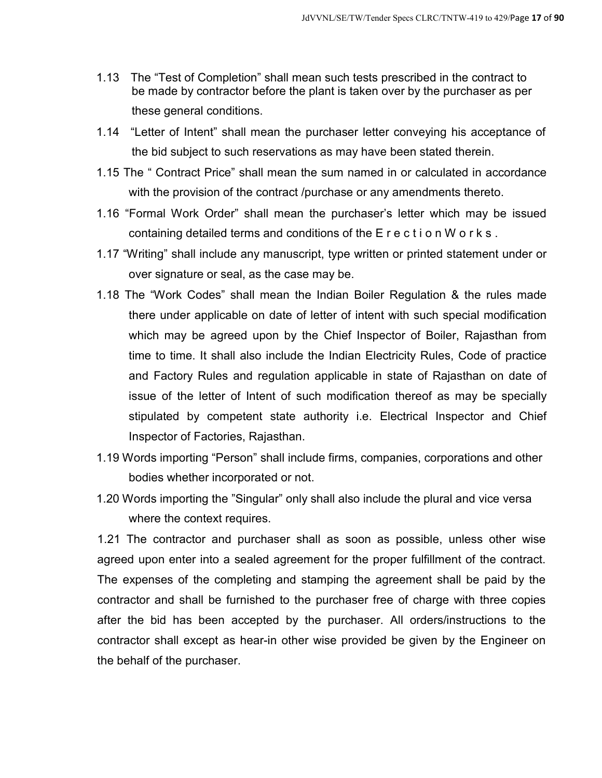- 1.13 The "Test of Completion" shall mean such tests prescribed in the contract to be made by contractor before the plant is taken over by the purchaser as per these general conditions.
- 1.14 "Letter of Intent" shall mean the purchaser letter conveying his acceptance of the bid subject to such reservations as may have been stated therein.
- 1.15 The " Contract Price" shall mean the sum named in or calculated in accordance with the provision of the contract /purchase or any amendments thereto.
- 1.16 "Formal Work Order" shall mean the purchaser's letter which may be issued containing detailed terms and conditions of the E r e c t i o n W o r k s .
- 1.17 "Writing" shall include any manuscript, type written or printed statement under or over signature or seal, as the case may be.
- 1.18 The "Work Codes" shall mean the Indian Boiler Regulation & the rules made there under applicable on date of letter of intent with such special modification which may be agreed upon by the Chief Inspector of Boiler, Rajasthan from time to time. It shall also include the Indian Electricity Rules, Code of practice and Factory Rules and regulation applicable in state of Rajasthan on date of issue of the letter of Intent of such modification thereof as may be specially stipulated by competent state authority i.e. Electrical Inspector and Chief Inspector of Factories, Rajasthan.
- 1.19 Words importing "Person" shall include firms, companies, corporations and other bodies whether incorporated or not.
- 1.20 Words importing the "Singular" only shall also include the plural and vice versa where the context requires.

1.21 The contractor and purchaser shall as soon as possible, unless other wise agreed upon enter into a sealed agreement for the proper fulfillment of the contract. The expenses of the completing and stamping the agreement shall be paid by the contractor and shall be furnished to the purchaser free of charge with three copies after the bid has been accepted by the purchaser. All orders/instructions to the contractor shall except as hear-in other wise provided be given by the Engineer on the behalf of the purchaser.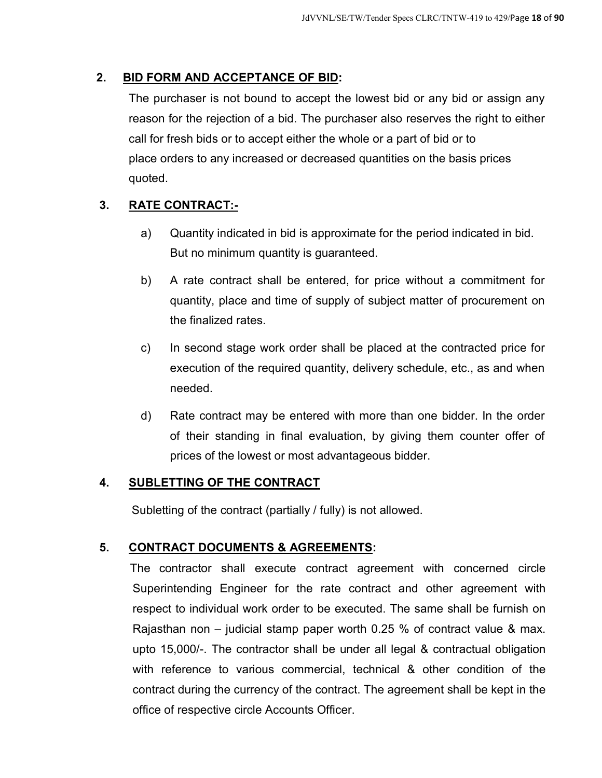## **2. BID FORM AND ACCEPTANCE OF BID:**

The purchaser is not bound to accept the lowest bid or any bid or assign any reason for the rejection of a bid. The purchaser also reserves the right to either call for fresh bids or to accept either the whole or a part of bid or to place orders to any increased or decreased quantities on the basis prices quoted.

## **3. RATE CONTRACT:-**

- a) Quantity indicated in bid is approximate for the period indicated in bid. But no minimum quantity is guaranteed.
- b) A rate contract shall be entered, for price without a commitment for quantity, place and time of supply of subject matter of procurement on the finalized rates.
- c) In second stage work order shall be placed at the contracted price for execution of the required quantity, delivery schedule, etc., as and when needed.
- d) Rate contract may be entered with more than one bidder. In the order of their standing in final evaluation, by giving them counter offer of prices of the lowest or most advantageous bidder.

## **4. SUBLETTING OF THE CONTRACT**

Subletting of the contract (partially / fully) is not allowed.

## **5. CONTRACT DOCUMENTS & AGREEMENTS:**

The contractor shall execute contract agreement with concerned circle Superintending Engineer for the rate contract and other agreement with respect to individual work order to be executed. The same shall be furnish on Rajasthan non – judicial stamp paper worth 0.25 % of contract value & max. upto 15,000/-. The contractor shall be under all legal & contractual obligation with reference to various commercial, technical & other condition of the contract during the currency of the contract. The agreement shall be kept in the office of respective circle Accounts Officer.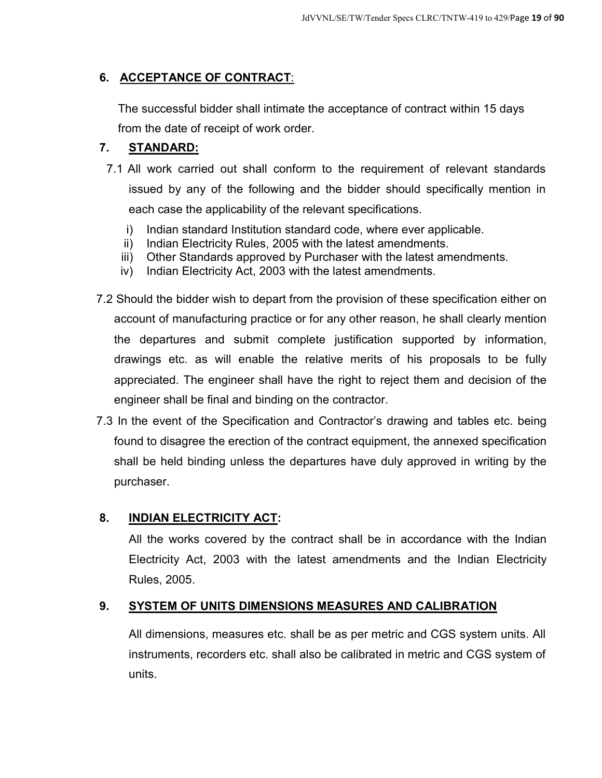## **6. ACCEPTANCE OF CONTRACT**:

The successful bidder shall intimate the acceptance of contract within 15 days from the date of receipt of work order.

## **7. STANDARD:**

- 7.1 All work carried out shall conform to the requirement of relevant standards issued by any of the following and the bidder should specifically mention in each case the applicability of the relevant specifications.
	- i) Indian standard Institution standard code, where ever applicable.
	- ii) Indian Electricity Rules, 2005 with the latest amendments.
	- iii) Other Standards approved by Purchaser with the latest amendments.
	- iv) Indian Electricity Act, 2003 with the latest amendments.
- 7.2 Should the bidder wish to depart from the provision of these specification either on account of manufacturing practice or for any other reason, he shall clearly mention the departures and submit complete justification supported by information, drawings etc. as will enable the relative merits of his proposals to be fully appreciated. The engineer shall have the right to reject them and decision of the engineer shall be final and binding on the contractor.
- 7.3 In the event of the Specification and Contractor's drawing and tables etc. being found to disagree the erection of the contract equipment, the annexed specification shall be held binding unless the departures have duly approved in writing by the purchaser.

## **8. INDIAN ELECTRICITY ACT:**

All the works covered by the contract shall be in accordance with the Indian Electricity Act, 2003 with the latest amendments and the Indian Electricity Rules, 2005.

## **9. SYSTEM OF UNITS DIMENSIONS MEASURES AND CALIBRATION**

All dimensions, measures etc. shall be as per metric and CGS system units. All instruments, recorders etc. shall also be calibrated in metric and CGS system of units.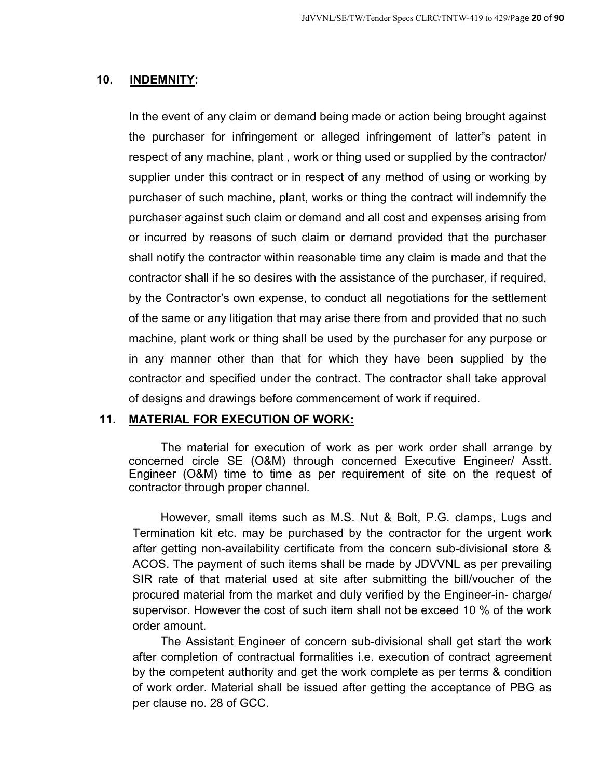#### **10. INDEMNITY:**

In the event of any claim or demand being made or action being brought against the purchaser for infringement or alleged infringement of latter"s patent in respect of any machine, plant , work or thing used or supplied by the contractor/ supplier under this contract or in respect of any method of using or working by purchaser of such machine, plant, works or thing the contract will indemnify the purchaser against such claim or demand and all cost and expenses arising from or incurred by reasons of such claim or demand provided that the purchaser shall notify the contractor within reasonable time any claim is made and that the contractor shall if he so desires with the assistance of the purchaser, if required, by the Contractor's own expense, to conduct all negotiations for the settlement of the same or any litigation that may arise there from and provided that no such machine, plant work or thing shall be used by the purchaser for any purpose or in any manner other than that for which they have been supplied by the contractor and specified under the contract. The contractor shall take approval of designs and drawings before commencement of work if required.

#### **11. MATERIAL FOR EXECUTION OF WORK:**

The material for execution of work as per work order shall arrange by concerned circle SE (O&M) through concerned Executive Engineer/ Asstt. Engineer (O&M) time to time as per requirement of site on the request of contractor through proper channel.

However, small items such as M.S. Nut & Bolt, P.G. clamps, Lugs and Termination kit etc. may be purchased by the contractor for the urgent work after getting non-availability certificate from the concern sub-divisional store & ACOS. The payment of such items shall be made by JDVVNL as per prevailing SIR rate of that material used at site after submitting the bill/voucher of the procured material from the market and duly verified by the Engineer-in- charge/ supervisor. However the cost of such item shall not be exceed 10 % of the work order amount.

The Assistant Engineer of concern sub-divisional shall get start the work after completion of contractual formalities i.e. execution of contract agreement by the competent authority and get the work complete as per terms & condition of work order. Material shall be issued after getting the acceptance of PBG as per clause no. 28 of GCC.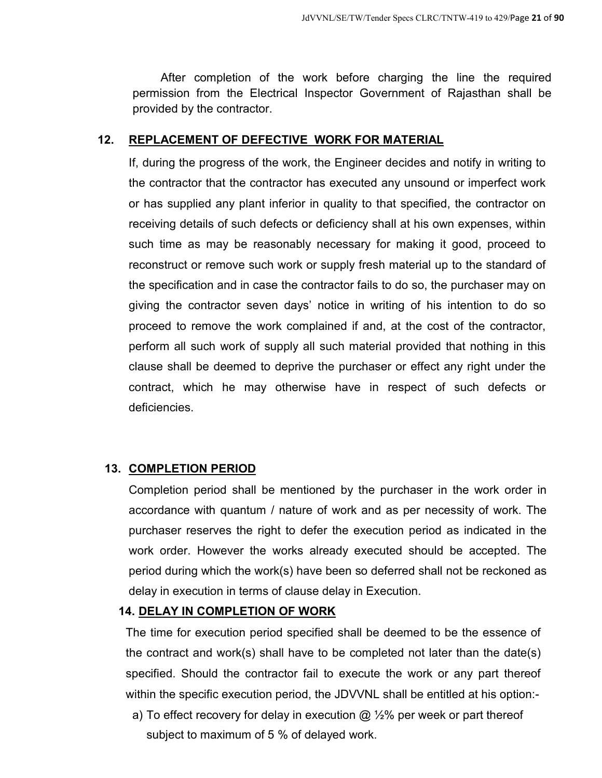After completion of the work before charging the line the required permission from the Electrical Inspector Government of Rajasthan shall be provided by the contractor.

## **12. REPLACEMENT OF DEFECTIVE WORK FOR MATERIAL**

If, during the progress of the work, the Engineer decides and notify in writing to the contractor that the contractor has executed any unsound or imperfect work or has supplied any plant inferior in quality to that specified, the contractor on receiving details of such defects or deficiency shall at his own expenses, within such time as may be reasonably necessary for making it good, proceed to reconstruct or remove such work or supply fresh material up to the standard of the specification and in case the contractor fails to do so, the purchaser may on giving the contractor seven days' notice in writing of his intention to do so proceed to remove the work complained if and, at the cost of the contractor, perform all such work of supply all such material provided that nothing in this clause shall be deemed to deprive the purchaser or effect any right under the contract, which he may otherwise have in respect of such defects or deficiencies.

## **13. COMPLETION PERIOD**

Completion period shall be mentioned by the purchaser in the work order in accordance with quantum / nature of work and as per necessity of work. The purchaser reserves the right to defer the execution period as indicated in the work order. However the works already executed should be accepted. The period during which the work(s) have been so deferred shall not be reckoned as delay in execution in terms of clause delay in Execution.

## **14. DELAY IN COMPLETION OF WORK**

The time for execution period specified shall be deemed to be the essence of the contract and work(s) shall have to be completed not later than the date(s) specified. Should the contractor fail to execute the work or any part thereof within the specific execution period, the JDVVNL shall be entitled at his option:-

a) To effect recovery for delay in execution  $\omega$  %% per week or part thereof subject to maximum of 5 % of delayed work.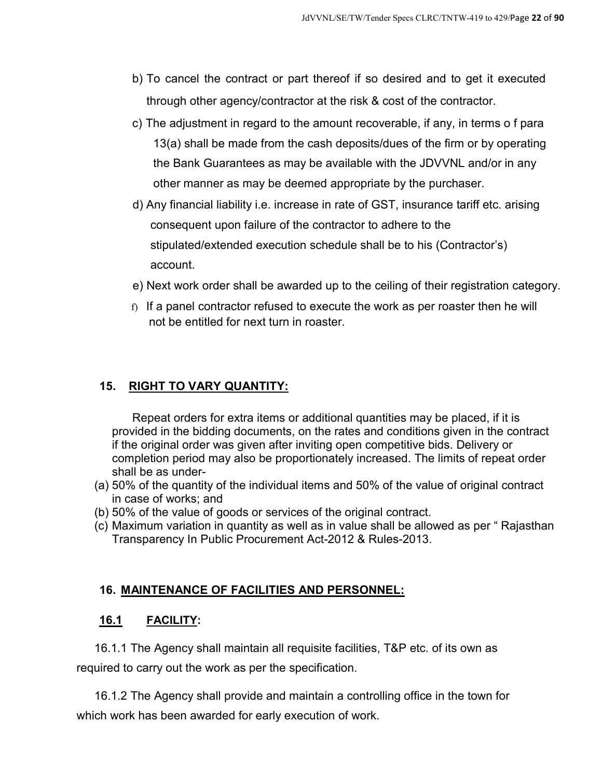- b) To cancel the contract or part thereof if so desired and to get it executed through other agency/contractor at the risk & cost of the contractor.
- c) The adjustment in regard to the amount recoverable, if any, in terms o f para 13(a) shall be made from the cash deposits/dues of the firm or by operating the Bank Guarantees as may be available with the JDVVNL and/or in any other manner as may be deemed appropriate by the purchaser.
- d) Any financial liability i.e. increase in rate of GST, insurance tariff etc. arising consequent upon failure of the contractor to adhere to the stipulated/extended execution schedule shall be to his (Contractor's) account.
- e) Next work order shall be awarded up to the ceiling of their registration category.
- f) If a panel contractor refused to execute the work as per roaster then he will not be entitled for next turn in roaster.

## **15. RIGHT TO VARY QUANTITY:**

Repeat orders for extra items or additional quantities may be placed, if it is provided in the bidding documents, on the rates and conditions given in the contract if the original order was given after inviting open competitive bids. Delivery or completion period may also be proportionately increased. The limits of repeat order shall be as under-

- (a) 50% of the quantity of the individual items and 50% of the value of original contract in case of works; and
- (b) 50% of the value of goods or services of the original contract.
- (c) Maximum variation in quantity as well as in value shall be allowed as per " Rajasthan Transparency In Public Procurement Act-2012 & Rules-2013.

## **16. MAINTENANCE OF FACILITIES AND PERSONNEL:**

## **16.1 FACILITY:**

16.1.1 The Agency shall maintain all requisite facilities, T&P etc. of its own as required to carry out the work as per the specification.

16.1.2 The Agency shall provide and maintain a controlling office in the town for which work has been awarded for early execution of work.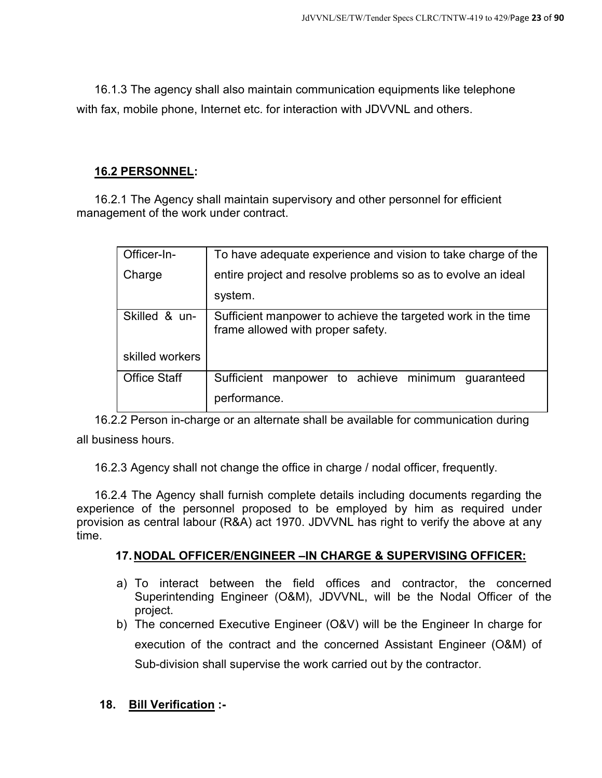16.1.3 The agency shall also maintain communication equipments like telephone with fax, mobile phone, Internet etc. for interaction with JDVVNL and others.

## **16.2 PERSONNEL:**

16.2.1 The Agency shall maintain supervisory and other personnel for efficient management of the work under contract.

| Officer-In-         | To have adequate experience and vision to take charge of the                                      |  |
|---------------------|---------------------------------------------------------------------------------------------------|--|
| Charge              | entire project and resolve problems so as to evolve an ideal                                      |  |
|                     | system.                                                                                           |  |
| Skilled & un-       | Sufficient manpower to achieve the targeted work in the time<br>frame allowed with proper safety. |  |
| skilled workers     |                                                                                                   |  |
| <b>Office Staff</b> | manpower to achieve minimum<br>Sufficient<br>guaranteed                                           |  |
|                     | performance.                                                                                      |  |

16.2.2 Person in-charge or an alternate shall be available for communication during all business hours.

16.2.3 Agency shall not change the office in charge / nodal officer, frequently.

16.2.4 The Agency shall furnish complete details including documents regarding the experience of the personnel proposed to be employed by him as required under provision as central labour (R&A) act 1970. JDVVNL has right to verify the above at any time.

## **17. NODAL OFFICER/ENGINEER –IN CHARGE & SUPERVISING OFFICER:**

- a) To interact between the field offices and contractor, the concerned Superintending Engineer (O&M), JDVVNL, will be the Nodal Officer of the project.
- b) The concerned Executive Engineer (O&V) will be the Engineer In charge for execution of the contract and the concerned Assistant Engineer (O&M) of Sub-division shall supervise the work carried out by the contractor.

## **18. Bill Verification :-**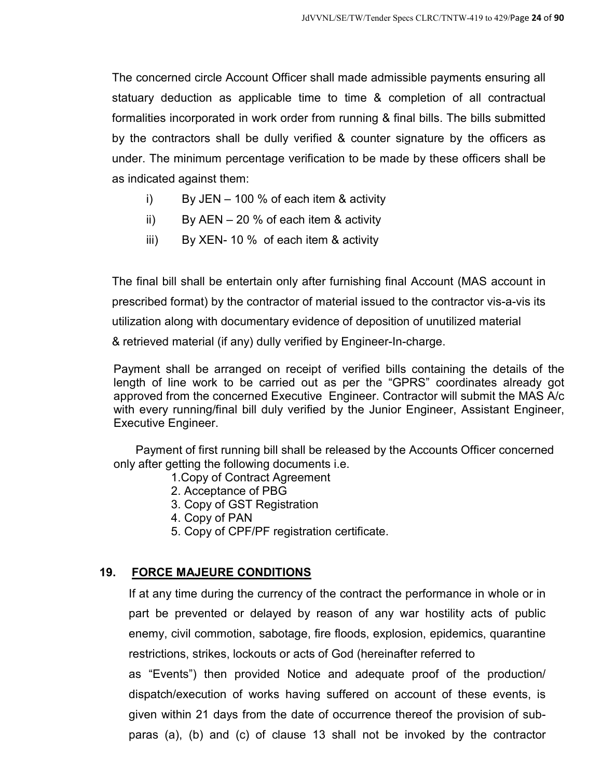The concerned circle Account Officer shall made admissible payments ensuring all statuary deduction as applicable time to time & completion of all contractual formalities incorporated in work order from running & final bills. The bills submitted by the contractors shall be dully verified & counter signature by the officers as under. The minimum percentage verification to be made by these officers shall be as indicated against them:

- i) By JEN 100 % of each item & activity
- ii) By AEN  $-20\%$  of each item & activity
- iii) By XEN- 10 % of each item & activity

The final bill shall be entertain only after furnishing final Account (MAS account in prescribed format) by the contractor of material issued to the contractor vis-a-vis its utilization along with documentary evidence of deposition of unutilized material & retrieved material (if any) dully verified by Engineer-In-charge.

Payment shall be arranged on receipt of verified bills containing the details of the length of line work to be carried out as per the "GPRS" coordinates already got approved from the concerned Executive Engineer. Contractor will submit the MAS A/c with every running/final bill duly verified by the Junior Engineer, Assistant Engineer, Executive Engineer.

 Payment of first running bill shall be released by the Accounts Officer concerned only after getting the following documents i.e.

- 1.Copy of Contract Agreement
- 2. Acceptance of PBG
- 3. Copy of GST Registration
- 4. Copy of PAN
- 5. Copy of CPF/PF registration certificate.

## **19. FORCE MAJEURE CONDITIONS**

If at any time during the currency of the contract the performance in whole or in part be prevented or delayed by reason of any war hostility acts of public enemy, civil commotion, sabotage, fire floods, explosion, epidemics, quarantine restrictions, strikes, lockouts or acts of God (hereinafter referred to

as "Events") then provided Notice and adequate proof of the production/ dispatch/execution of works having suffered on account of these events, is given within 21 days from the date of occurrence thereof the provision of subparas (a), (b) and (c) of clause 13 shall not be invoked by the contractor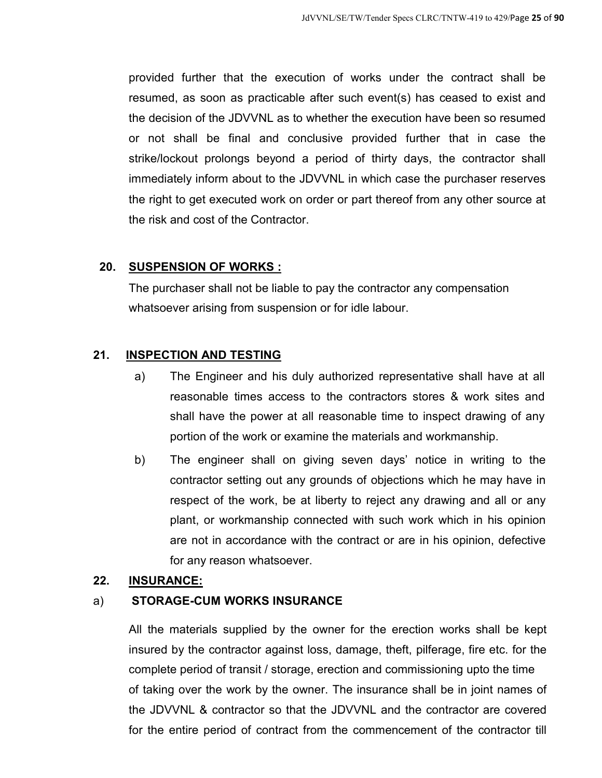provided further that the execution of works under the contract shall be resumed, as soon as practicable after such event(s) has ceased to exist and the decision of the JDVVNL as to whether the execution have been so resumed or not shall be final and conclusive provided further that in case the strike/lockout prolongs beyond a period of thirty days, the contractor shall immediately inform about to the JDVVNL in which case the purchaser reserves the right to get executed work on order or part thereof from any other source at the risk and cost of the Contractor.

## **20. SUSPENSION OF WORKS :**

The purchaser shall not be liable to pay the contractor any compensation whatsoever arising from suspension or for idle labour.

## **21. INSPECTION AND TESTING**

- a) The Engineer and his duly authorized representative shall have at all reasonable times access to the contractors stores & work sites and shall have the power at all reasonable time to inspect drawing of any portion of the work or examine the materials and workmanship.
- b) The engineer shall on giving seven days' notice in writing to the contractor setting out any grounds of objections which he may have in respect of the work, be at liberty to reject any drawing and all or any plant, or workmanship connected with such work which in his opinion are not in accordance with the contract or are in his opinion, defective for any reason whatsoever.

## **22. INSURANCE:**

## a) **STORAGE-CUM WORKS INSURANCE**

All the materials supplied by the owner for the erection works shall be kept insured by the contractor against loss, damage, theft, pilferage, fire etc. for the complete period of transit / storage, erection and commissioning upto the time of taking over the work by the owner. The insurance shall be in joint names of the JDVVNL & contractor so that the JDVVNL and the contractor are covered for the entire period of contract from the commencement of the contractor till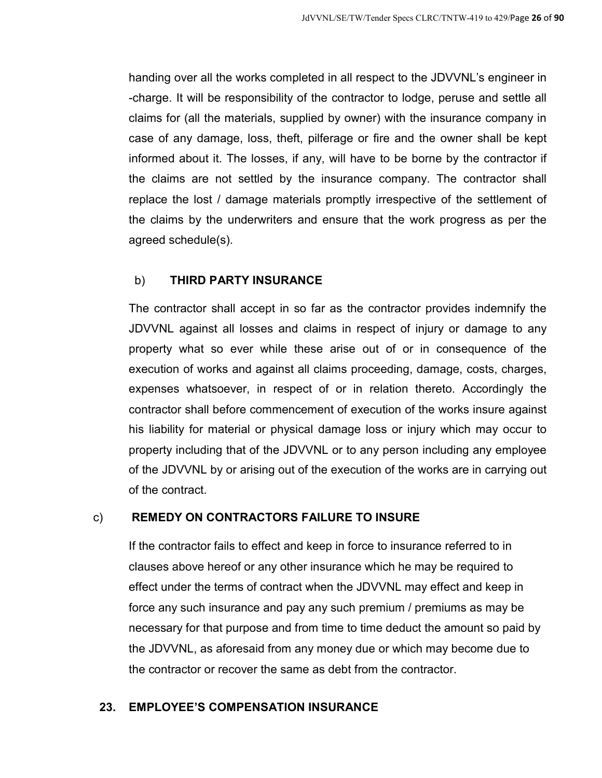handing over all the works completed in all respect to the JDVVNL's engineer in -charge. It will be responsibility of the contractor to lodge, peruse and settle all claims for (all the materials, supplied by owner) with the insurance company in case of any damage, loss, theft, pilferage or fire and the owner shall be kept informed about it. The losses, if any, will have to be borne by the contractor if the claims are not settled by the insurance company. The contractor shall replace the lost / damage materials promptly irrespective of the settlement of the claims by the underwriters and ensure that the work progress as per the agreed schedule(s).

## b) **THIRD PARTY INSURANCE**

The contractor shall accept in so far as the contractor provides indemnify the JDVVNL against all losses and claims in respect of injury or damage to any property what so ever while these arise out of or in consequence of the execution of works and against all claims proceeding, damage, costs, charges, expenses whatsoever, in respect of or in relation thereto. Accordingly the contractor shall before commencement of execution of the works insure against his liability for material or physical damage loss or injury which may occur to property including that of the JDVVNL or to any person including any employee of the JDVVNL by or arising out of the execution of the works are in carrying out of the contract.

## c) **REMEDY ON CONTRACTORS FAILURE TO INSURE**

If the contractor fails to effect and keep in force to insurance referred to in clauses above hereof or any other insurance which he may be required to effect under the terms of contract when the JDVVNL may effect and keep in force any such insurance and pay any such premium / premiums as may be necessary for that purpose and from time to time deduct the amount so paid by the JDVVNL, as aforesaid from any money due or which may become due to the contractor or recover the same as debt from the contractor.

## **23. EMPLOYEE'S COMPENSATION INSURANCE**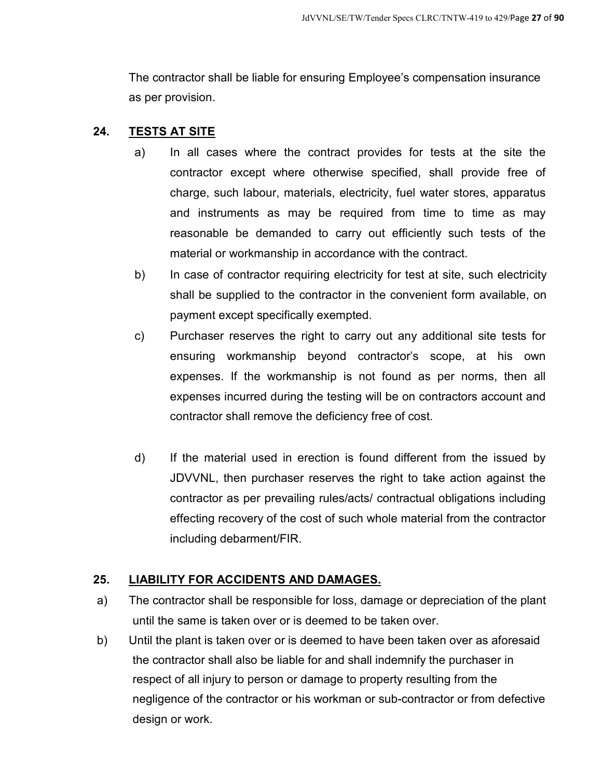The contractor shall be liable for ensuring Employee's compensation insurance as per provision.

## **24. TESTS AT SITE**

- a) In all cases where the contract provides for tests at the site the contractor except where otherwise specified, shall provide free of charge, such labour, materials, electricity, fuel water stores, apparatus and instruments as may be required from time to time as may reasonable be demanded to carry out efficiently such tests of the material or workmanship in accordance with the contract.
- b) In case of contractor requiring electricity for test at site, such electricity shall be supplied to the contractor in the convenient form available, on payment except specifically exempted.
- c) Purchaser reserves the right to carry out any additional site tests for ensuring workmanship beyond contractor's scope, at his own expenses. If the workmanship is not found as per norms, then all expenses incurred during the testing will be on contractors account and contractor shall remove the deficiency free of cost.
- d) If the material used in erection is found different from the issued by JDVVNL, then purchaser reserves the right to take action against the contractor as per prevailing rules/acts/ contractual obligations including effecting recovery of the cost of such whole material from the contractor including debarment/FIR.

## **25. LIABILITY FOR ACCIDENTS AND DAMAGES.**

- a) The contractor shall be responsible for loss, damage or depreciation of the plant until the same is taken over or is deemed to be taken over.
- b) Until the plant is taken over or is deemed to have been taken over as aforesaid the contractor shall also be liable for and shall indemnify the purchaser in respect of all injury to person or damage to property resulting from the negligence of the contractor or his workman or sub-contractor or from defective design or work.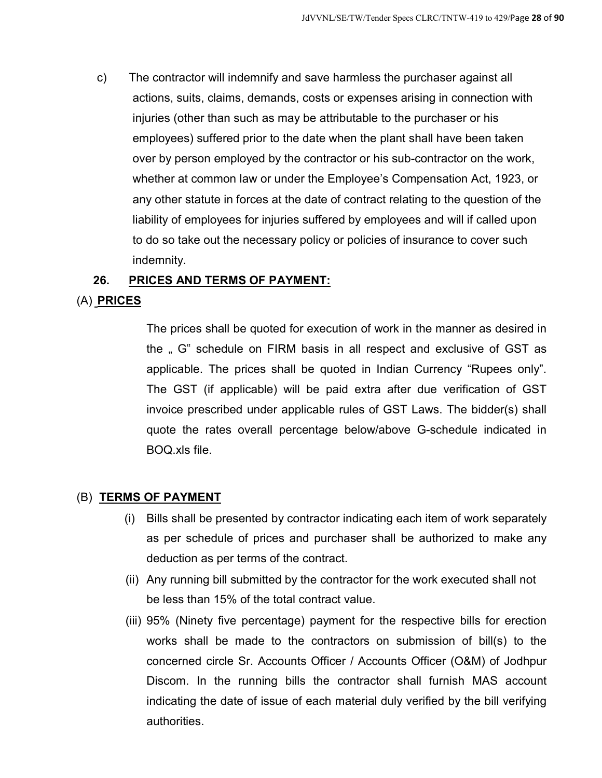c) The contractor will indemnify and save harmless the purchaser against all actions, suits, claims, demands, costs or expenses arising in connection with injuries (other than such as may be attributable to the purchaser or his employees) suffered prior to the date when the plant shall have been taken over by person employed by the contractor or his sub-contractor on the work, whether at common law or under the Employee's Compensation Act, 1923, or any other statute in forces at the date of contract relating to the question of the liability of employees for injuries suffered by employees and will if called upon to do so take out the necessary policy or policies of insurance to cover such indemnity.

#### **26. PRICES AND TERMS OF PAYMENT:**

## (A) **PRICES**

The prices shall be quoted for execution of work in the manner as desired in the " G" schedule on FIRM basis in all respect and exclusive of GST as applicable. The prices shall be quoted in Indian Currency "Rupees only". The GST (if applicable) will be paid extra after due verification of GST invoice prescribed under applicable rules of GST Laws. The bidder(s) shall quote the rates overall percentage below/above G-schedule indicated in BOQ.xls file.

## (B) **TERMS OF PAYMENT**

- (i) Bills shall be presented by contractor indicating each item of work separately as per schedule of prices and purchaser shall be authorized to make any deduction as per terms of the contract.
- (ii) Any running bill submitted by the contractor for the work executed shall not be less than 15% of the total contract value.
- (iii) 95% (Ninety five percentage) payment for the respective bills for erection works shall be made to the contractors on submission of bill(s) to the concerned circle Sr. Accounts Officer / Accounts Officer (O&M) of Jodhpur Discom. In the running bills the contractor shall furnish MAS account indicating the date of issue of each material duly verified by the bill verifying authorities.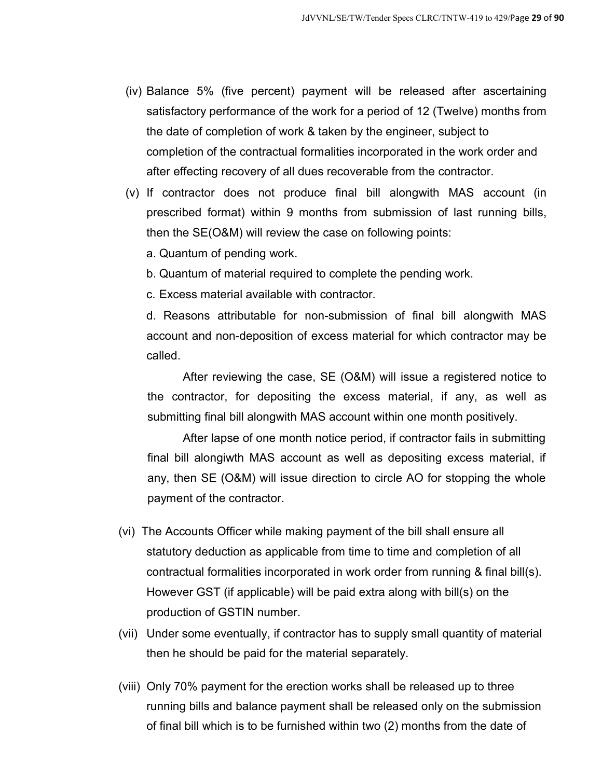- (iv) Balance 5% (five percent) payment will be released after ascertaining satisfactory performance of the work for a period of 12 (Twelve) months from the date of completion of work & taken by the engineer, subject to completion of the contractual formalities incorporated in the work order and after effecting recovery of all dues recoverable from the contractor.
- (v) If contractor does not produce final bill alongwith MAS account (in prescribed format) within 9 months from submission of last running bills, then the SE(O&M) will review the case on following points:
	- a. Quantum of pending work.
	- b. Quantum of material required to complete the pending work.
	- c. Excess material available with contractor.

d. Reasons attributable for non-submission of final bill alongwith MAS account and non-deposition of excess material for which contractor may be called.

After reviewing the case, SE (O&M) will issue a registered notice to the contractor, for depositing the excess material, if any, as well as submitting final bill alongwith MAS account within one month positively.

After lapse of one month notice period, if contractor fails in submitting final bill alongiwth MAS account as well as depositing excess material, if any, then SE (O&M) will issue direction to circle AO for stopping the whole payment of the contractor.

- (vi) The Accounts Officer while making payment of the bill shall ensure all statutory deduction as applicable from time to time and completion of all contractual formalities incorporated in work order from running & final bill(s). However GST (if applicable) will be paid extra along with bill(s) on the production of GSTIN number.
- (vii) Under some eventually, if contractor has to supply small quantity of material then he should be paid for the material separately.
- (viii) Only 70% payment for the erection works shall be released up to three running bills and balance payment shall be released only on the submission of final bill which is to be furnished within two (2) months from the date of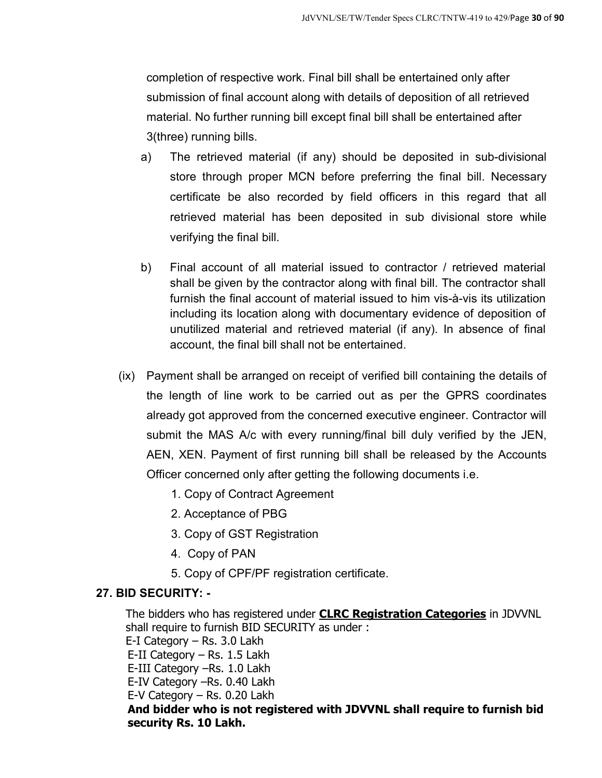completion of respective work. Final bill shall be entertained only after submission of final account along with details of deposition of all retrieved material. No further running bill except final bill shall be entertained after 3(three) running bills.

- a) The retrieved material (if any) should be deposited in sub-divisional store through proper MCN before preferring the final bill. Necessary certificate be also recorded by field officers in this regard that all retrieved material has been deposited in sub divisional store while verifying the final bill.
- b) Final account of all material issued to contractor / retrieved material shall be given by the contractor along with final bill. The contractor shall furnish the final account of material issued to him vis-à-vis its utilization including its location along with documentary evidence of deposition of unutilized material and retrieved material (if any). In absence of final account, the final bill shall not be entertained.
- (ix) Payment shall be arranged on receipt of verified bill containing the details of the length of line work to be carried out as per the GPRS coordinates already got approved from the concerned executive engineer. Contractor will submit the MAS A/c with every running/final bill duly verified by the JEN, AEN, XEN. Payment of first running bill shall be released by the Accounts Officer concerned only after getting the following documents i.e.
	- 1. Copy of Contract Agreement
	- 2. Acceptance of PBG
	- 3. Copy of GST Registration
	- 4. Copy of PAN
	- 5. Copy of CPF/PF registration certificate.

## **27. BID SECURITY: -**

The bidders who has registered under **CLRC Registration Categories** in JDVVNL shall require to furnish BID SECURITY as under : E-I Category – Rs. 3.0 Lakh E-II Category – Rs. 1.5 Lakh E-III Category –Rs. 1.0 Lakh E-IV Category –Rs. 0.40 Lakh E-V Category – Rs. 0.20 Lakh **And bidder who is not registered with JDVVNL shall require to furnish bid security Rs. 10 Lakh.**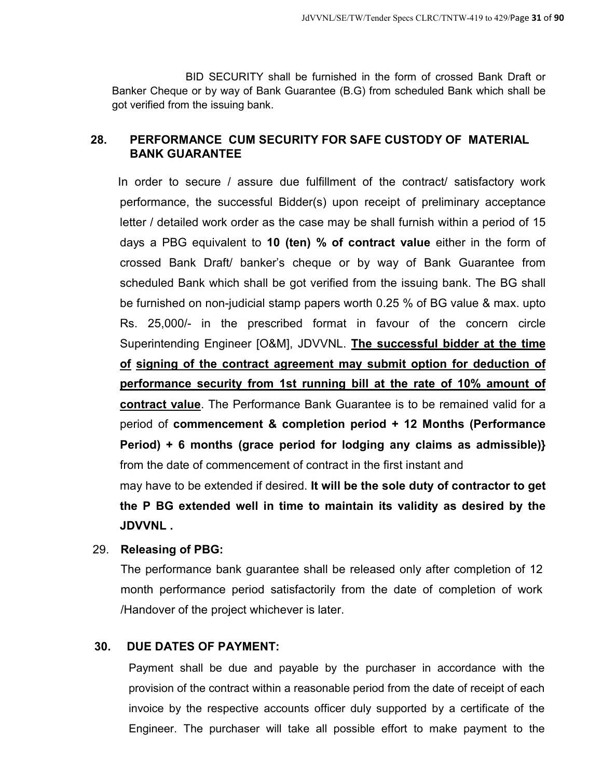BID SECURITY shall be furnished in the form of crossed Bank Draft or Banker Cheque or by way of Bank Guarantee (B.G) from scheduled Bank which shall be got verified from the issuing bank.

## **28. PERFORMANCE CUM SECURITY FOR SAFE CUSTODY OF MATERIAL BANK GUARANTEE**

In order to secure / assure due fulfillment of the contract/ satisfactory work performance, the successful Bidder(s) upon receipt of preliminary acceptance letter / detailed work order as the case may be shall furnish within a period of 15 days a PBG equivalent to **10 (ten) % of contract value** either in the form of crossed Bank Draft/ banker's cheque or by way of Bank Guarantee from scheduled Bank which shall be got verified from the issuing bank. The BG shall be furnished on non-judicial stamp papers worth 0.25 % of BG value & max. upto Rs. 25,000/- in the prescribed format in favour of the concern circle Superintending Engineer [O&M], JDVVNL. **The successful bidder at the time of signing of the contract agreement may submit option for deduction of performance security from 1st running bill at the rate of 10% amount of contract value**. The Performance Bank Guarantee is to be remained valid for a period of **commencement & completion period + 12 Months (Performance Period) + 6 months (grace period for lodging any claims as admissible)}**  from the date of commencement of contract in the first instant and

may have to be extended if desired. **It will be the sole duty of contractor to get the P BG extended well in time to maintain its validity as desired by the JDVVNL .** 

## 29. **Releasing of PBG:**

The performance bank guarantee shall be released only after completion of 12 month performance period satisfactorily from the date of completion of work /Handover of the project whichever is later.

## **30. DUE DATES OF PAYMENT:**

Payment shall be due and payable by the purchaser in accordance with the provision of the contract within a reasonable period from the date of receipt of each invoice by the respective accounts officer duly supported by a certificate of the Engineer. The purchaser will take all possible effort to make payment to the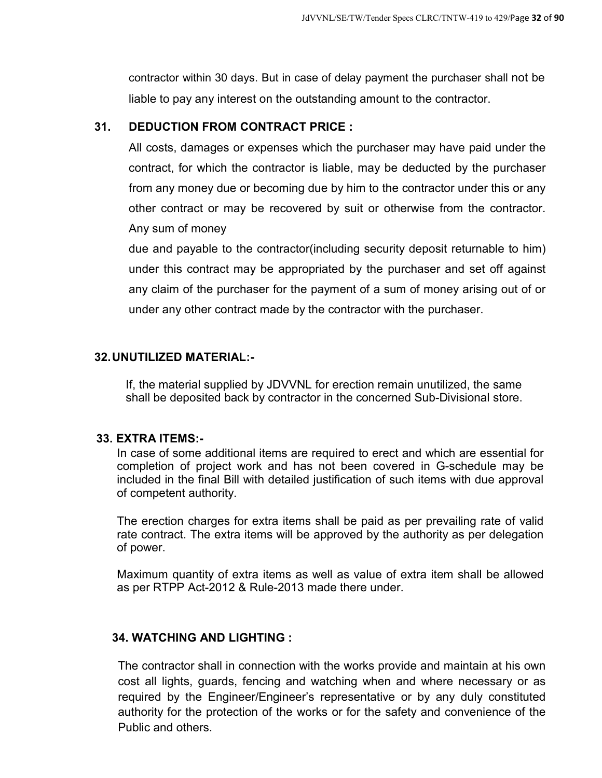contractor within 30 days. But in case of delay payment the purchaser shall not be liable to pay any interest on the outstanding amount to the contractor.

## **31. DEDUCTION FROM CONTRACT PRICE :**

All costs, damages or expenses which the purchaser may have paid under the contract, for which the contractor is liable, may be deducted by the purchaser from any money due or becoming due by him to the contractor under this or any other contract or may be recovered by suit or otherwise from the contractor. Any sum of money

due and payable to the contractor(including security deposit returnable to him) under this contract may be appropriated by the purchaser and set off against any claim of the purchaser for the payment of a sum of money arising out of or under any other contract made by the contractor with the purchaser.

## **32. UNUTILIZED MATERIAL:-**

If, the material supplied by JDVVNL for erection remain unutilized, the same shall be deposited back by contractor in the concerned Sub-Divisional store.

#### **33. EXTRA ITEMS:-**

In case of some additional items are required to erect and which are essential for completion of project work and has not been covered in G-schedule may be included in the final Bill with detailed justification of such items with due approval of competent authority.

The erection charges for extra items shall be paid as per prevailing rate of valid rate contract. The extra items will be approved by the authority as per delegation of power.

Maximum quantity of extra items as well as value of extra item shall be allowed as per RTPP Act-2012 & Rule-2013 made there under.

## **34. WATCHING AND LIGHTING :**

The contractor shall in connection with the works provide and maintain at his own cost all lights, guards, fencing and watching when and where necessary or as required by the Engineer/Engineer's representative or by any duly constituted authority for the protection of the works or for the safety and convenience of the Public and others.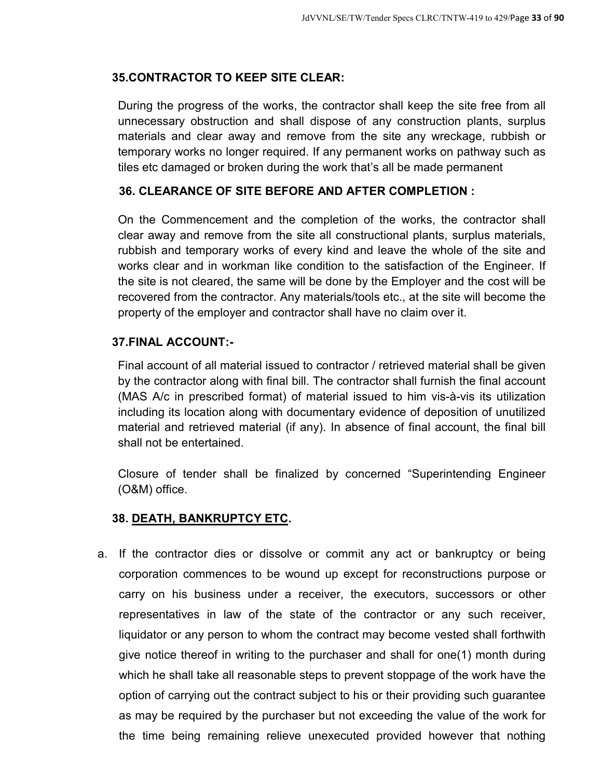## **35.CONTRACTOR TO KEEP SITE CLEAR:**

During the progress of the works, the contractor shall keep the site free from all unnecessary obstruction and shall dispose of any construction plants, surplus materials and clear away and remove from the site any wreckage, rubbish or temporary works no longer required. If any permanent works on pathway such as tiles etc damaged or broken during the work that's all be made permanent

## **36. CLEARANCE OF SITE BEFORE AND AFTER COMPLETION :**

On the Commencement and the completion of the works, the contractor shall clear away and remove from the site all constructional plants, surplus materials, rubbish and temporary works of every kind and leave the whole of the site and works clear and in workman like condition to the satisfaction of the Engineer. If the site is not cleared, the same will be done by the Employer and the cost will be recovered from the contractor. Any materials/tools etc., at the site will become the property of the employer and contractor shall have no claim over it.

## **37.FINAL ACCOUNT:-**

Final account of all material issued to contractor / retrieved material shall be given by the contractor along with final bill. The contractor shall furnish the final account (MAS A/c in prescribed format) of material issued to him vis-à-vis its utilization including its location along with documentary evidence of deposition of unutilized material and retrieved material (if any). In absence of final account, the final bill shall not be entertained.

Closure of tender shall be finalized by concerned "Superintending Engineer (O&M) office.

## **38. DEATH, BANKRUPTCY ETC.**

a. If the contractor dies or dissolve or commit any act or bankruptcy or being corporation commences to be wound up except for reconstructions purpose or carry on his business under a receiver, the executors, successors or other representatives in law of the state of the contractor or any such receiver, liquidator or any person to whom the contract may become vested shall forthwith give notice thereof in writing to the purchaser and shall for one(1) month during which he shall take all reasonable steps to prevent stoppage of the work have the option of carrying out the contract subject to his or their providing such guarantee as may be required by the purchaser but not exceeding the value of the work for the time being remaining relieve unexecuted provided however that nothing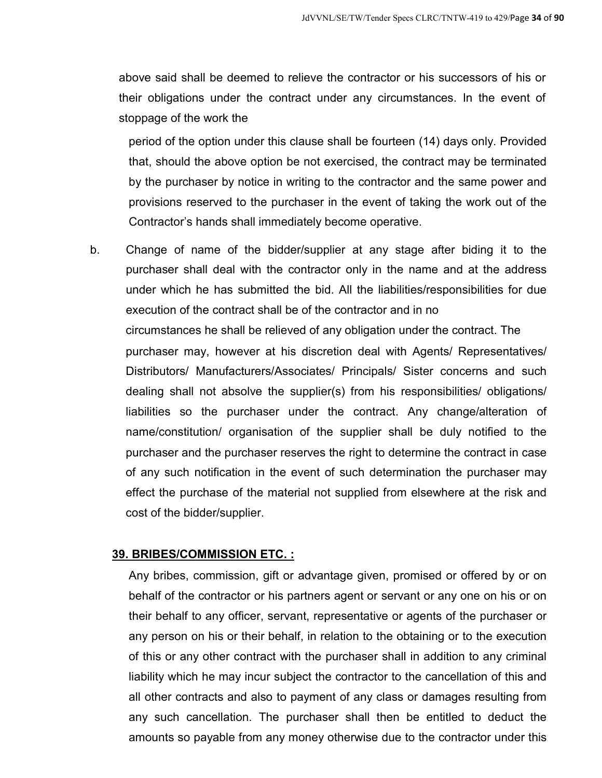above said shall be deemed to relieve the contractor or his successors of his or their obligations under the contract under any circumstances. In the event of stoppage of the work the

period of the option under this clause shall be fourteen (14) days only. Provided that, should the above option be not exercised, the contract may be terminated by the purchaser by notice in writing to the contractor and the same power and provisions reserved to the purchaser in the event of taking the work out of the Contractor's hands shall immediately become operative.

b. Change of name of the bidder/supplier at any stage after biding it to the purchaser shall deal with the contractor only in the name and at the address under which he has submitted the bid. All the liabilities/responsibilities for due execution of the contract shall be of the contractor and in no circumstances he shall be relieved of any obligation under the contract. The purchaser may, however at his discretion deal with Agents/ Representatives/ Distributors/ Manufacturers/Associates/ Principals/ Sister concerns and such dealing shall not absolve the supplier(s) from his responsibilities/ obligations/ liabilities so the purchaser under the contract. Any change/alteration of name/constitution/ organisation of the supplier shall be duly notified to the purchaser and the purchaser reserves the right to determine the contract in case of any such notification in the event of such determination the purchaser may effect the purchase of the material not supplied from elsewhere at the risk and cost of the bidder/supplier.

## **39. BRIBES/COMMISSION ETC. :**

Any bribes, commission, gift or advantage given, promised or offered by or on behalf of the contractor or his partners agent or servant or any one on his or on their behalf to any officer, servant, representative or agents of the purchaser or any person on his or their behalf, in relation to the obtaining or to the execution of this or any other contract with the purchaser shall in addition to any criminal liability which he may incur subject the contractor to the cancellation of this and all other contracts and also to payment of any class or damages resulting from any such cancellation. The purchaser shall then be entitled to deduct the amounts so payable from any money otherwise due to the contractor under this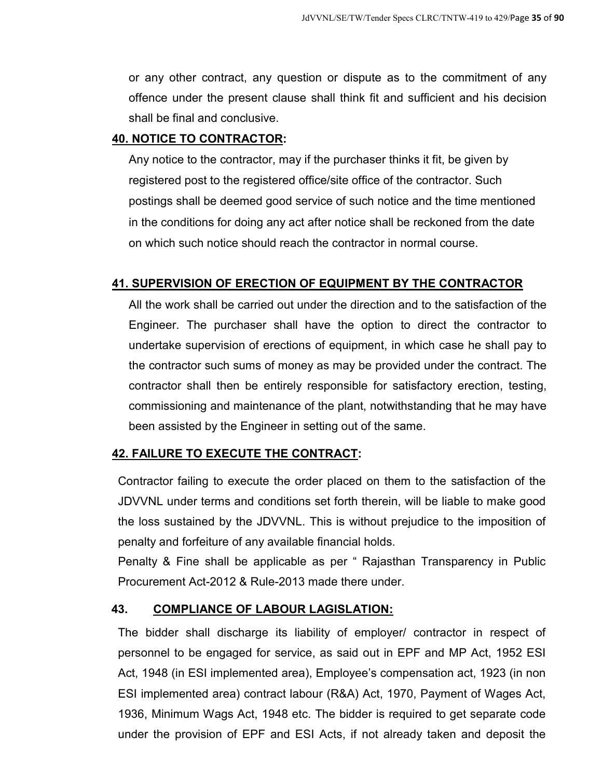or any other contract, any question or dispute as to the commitment of any offence under the present clause shall think fit and sufficient and his decision shall be final and conclusive.

## **40. NOTICE TO CONTRACTOR:**

Any notice to the contractor, may if the purchaser thinks it fit, be given by registered post to the registered office/site office of the contractor. Such postings shall be deemed good service of such notice and the time mentioned in the conditions for doing any act after notice shall be reckoned from the date on which such notice should reach the contractor in normal course.

## **41. SUPERVISION OF ERECTION OF EQUIPMENT BY THE CONTRACTOR**

All the work shall be carried out under the direction and to the satisfaction of the Engineer. The purchaser shall have the option to direct the contractor to undertake supervision of erections of equipment, in which case he shall pay to the contractor such sums of money as may be provided under the contract. The contractor shall then be entirely responsible for satisfactory erection, testing, commissioning and maintenance of the plant, notwithstanding that he may have been assisted by the Engineer in setting out of the same.

## **42. FAILURE TO EXECUTE THE CONTRACT:**

Contractor failing to execute the order placed on them to the satisfaction of the JDVVNL under terms and conditions set forth therein, will be liable to make good the loss sustained by the JDVVNL. This is without prejudice to the imposition of penalty and forfeiture of any available financial holds.

Penalty & Fine shall be applicable as per " Rajasthan Transparency in Public Procurement Act-2012 & Rule-2013 made there under.

## **43. COMPLIANCE OF LABOUR LAGISLATION:**

The bidder shall discharge its liability of employer/ contractor in respect of personnel to be engaged for service, as said out in EPF and MP Act, 1952 ESI Act, 1948 (in ESI implemented area), Employee's compensation act, 1923 (in non ESI implemented area) contract labour (R&A) Act, 1970, Payment of Wages Act, 1936, Minimum Wags Act, 1948 etc. The bidder is required to get separate code under the provision of EPF and ESI Acts, if not already taken and deposit the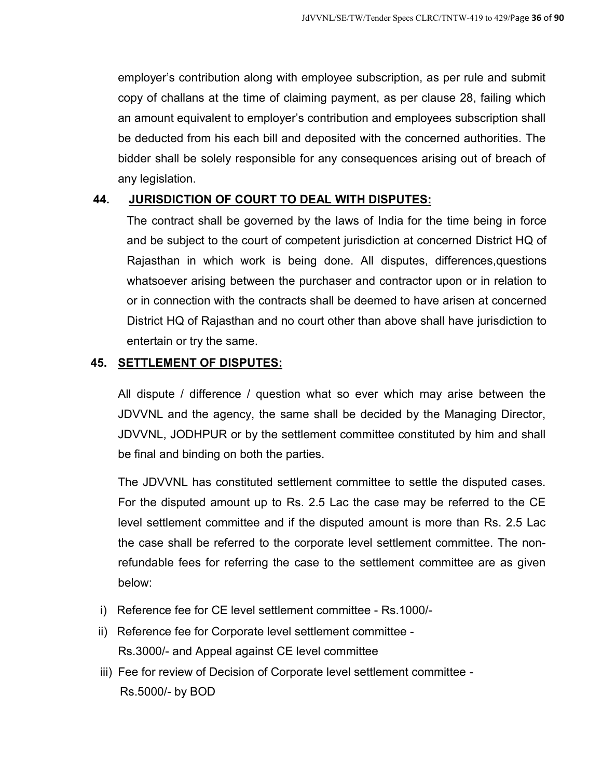employer's contribution along with employee subscription, as per rule and submit copy of challans at the time of claiming payment, as per clause 28, failing which an amount equivalent to employer's contribution and employees subscription shall be deducted from his each bill and deposited with the concerned authorities. The bidder shall be solely responsible for any consequences arising out of breach of any legislation.

## **44. JURISDICTION OF COURT TO DEAL WITH DISPUTES:**

The contract shall be governed by the laws of India for the time being in force and be subject to the court of competent jurisdiction at concerned District HQ of Rajasthan in which work is being done. All disputes, differences,questions whatsoever arising between the purchaser and contractor upon or in relation to or in connection with the contracts shall be deemed to have arisen at concerned District HQ of Rajasthan and no court other than above shall have jurisdiction to entertain or try the same.

## **45. SETTLEMENT OF DISPUTES:**

All dispute / difference / question what so ever which may arise between the JDVVNL and the agency, the same shall be decided by the Managing Director, JDVVNL, JODHPUR or by the settlement committee constituted by him and shall be final and binding on both the parties.

The JDVVNL has constituted settlement committee to settle the disputed cases. For the disputed amount up to Rs. 2.5 Lac the case may be referred to the CE level settlement committee and if the disputed amount is more than Rs. 2.5 Lac the case shall be referred to the corporate level settlement committee. The nonrefundable fees for referring the case to the settlement committee are as given below:

- i) Reference fee for CE level settlement committee Rs.1000/-
- ii) Reference fee for Corporate level settlement committee Rs.3000/- and Appeal against CE level committee
- iii) Fee for review of Decision of Corporate level settlement committee Rs.5000/- by BOD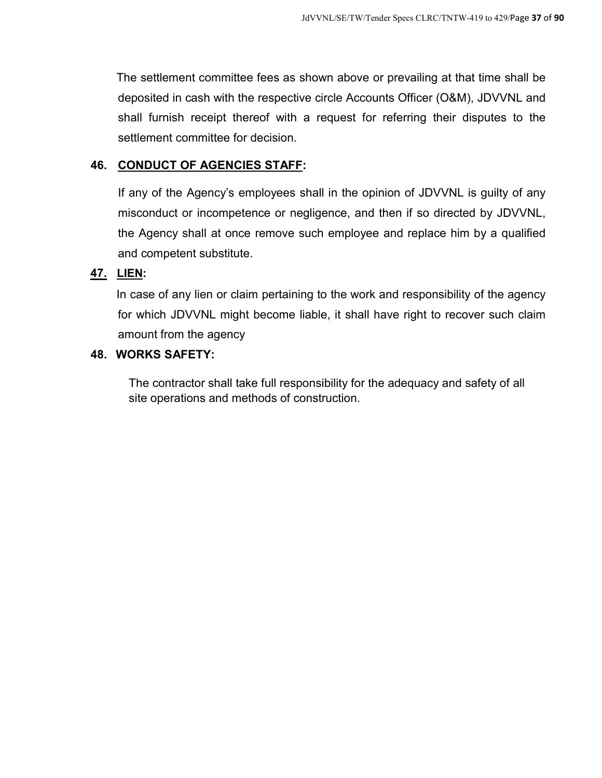The settlement committee fees as shown above or prevailing at that time shall be deposited in cash with the respective circle Accounts Officer (O&M), JDVVNL and shall furnish receipt thereof with a request for referring their disputes to the settlement committee for decision.

## **46. CONDUCT OF AGENCIES STAFF:**

If any of the Agency's employees shall in the opinion of JDVVNL is guilty of any misconduct or incompetence or negligence, and then if so directed by JDVVNL, the Agency shall at once remove such employee and replace him by a qualified and competent substitute.

## **47. LIEN:**

In case of any lien or claim pertaining to the work and responsibility of the agency for which JDVVNL might become liable, it shall have right to recover such claim amount from the agency

## **48. WORKS SAFETY:**

The contractor shall take full responsibility for the adequacy and safety of all site operations and methods of construction.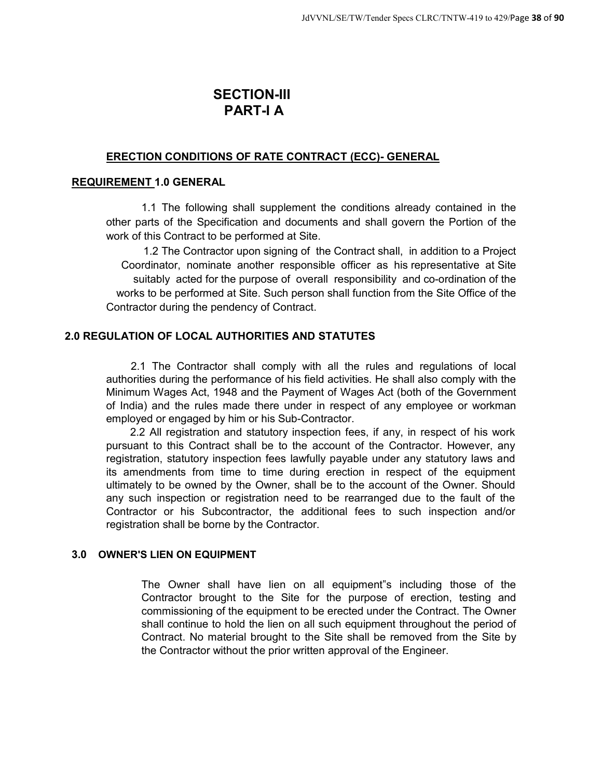## **SECTION-III PART-I A**

## **ERECTION CONDITIONS OF RATE CONTRACT (ECC)- GENERAL**

#### **REQUIREMENT 1.0 GENERAL**

1.1 The following shall supplement the conditions already contained in the other parts of the Specification and documents and shall govern the Portion of the work of this Contract to be performed at Site.

1.2 The Contractor upon signing of the Contract shall, in addition to a Project Coordinator, nominate another responsible officer as his representative at Site suitably acted for the purpose of overall responsibility and co-ordination of the works to be performed at Site. Such person shall function from the Site Office of the Contractor during the pendency of Contract.

## **2.0 REGULATION OF LOCAL AUTHORITIES AND STATUTES**

2.1 The Contractor shall comply with all the rules and regulations of local authorities during the performance of his field activities. He shall also comply with the Minimum Wages Act, 1948 and the Payment of Wages Act (both of the Government of India) and the rules made there under in respect of any employee or workman employed or engaged by him or his Sub-Contractor.

2.2 All registration and statutory inspection fees, if any, in respect of his work pursuant to this Contract shall be to the account of the Contractor. However, any registration, statutory inspection fees lawfully payable under any statutory laws and its amendments from time to time during erection in respect of the equipment ultimately to be owned by the Owner, shall be to the account of the Owner. Should any such inspection or registration need to be rearranged due to the fault of the Contractor or his Subcontractor, the additional fees to such inspection and/or registration shall be borne by the Contractor.

#### **3.0 OWNER'S LIEN ON EQUIPMENT**

The Owner shall have lien on all equipment"s including those of the Contractor brought to the Site for the purpose of erection, testing and commissioning of the equipment to be erected under the Contract. The Owner shall continue to hold the lien on all such equipment throughout the period of Contract. No material brought to the Site shall be removed from the Site by the Contractor without the prior written approval of the Engineer.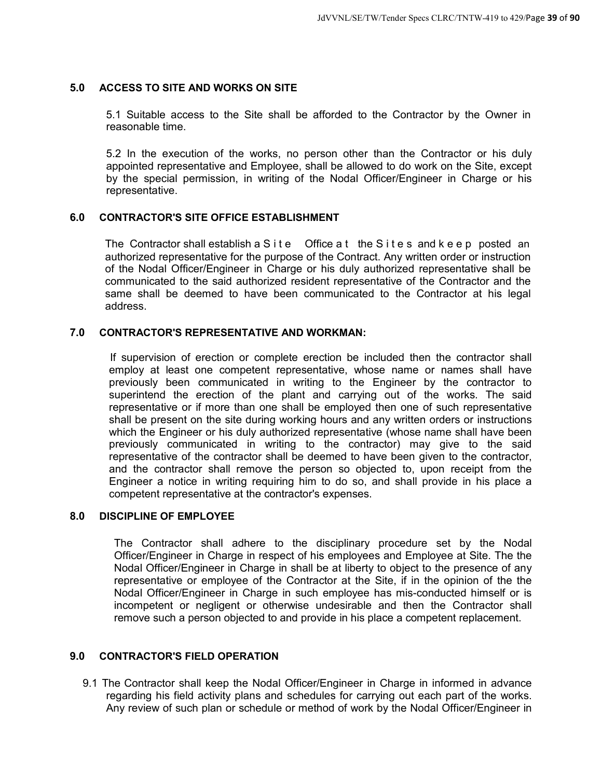#### **5.0 ACCESS TO SITE AND WORKS ON SITE**

5.1 Suitable access to the Site shall be afforded to the Contractor by the Owner in reasonable time.

5.2 In the execution of the works, no person other than the Contractor or his duly appointed representative and Employee, shall be allowed to do work on the Site, except by the special permission, in writing of the Nodal Officer/Engineer in Charge or his representative.

#### **6.0 CONTRACTOR'S SITE OFFICE ESTABLISHMENT**

The Contractor shall establish a  $S$  i t e  $S$  office a t the  $S$  i t e s and  $k$  e e p posted an authorized representative for the purpose of the Contract. Any written order or instruction of the Nodal Officer/Engineer in Charge or his duly authorized representative shall be communicated to the said authorized resident representative of the Contractor and the same shall be deemed to have been communicated to the Contractor at his legal address.

#### **7.0 CONTRACTOR'S REPRESENTATIVE AND WORKMAN:**

If supervision of erection or complete erection be included then the contractor shall employ at least one competent representative, whose name or names shall have previously been communicated in writing to the Engineer by the contractor to superintend the erection of the plant and carrying out of the works. The said representative or if more than one shall be employed then one of such representative shall be present on the site during working hours and any written orders or instructions which the Engineer or his duly authorized representative (whose name shall have been previously communicated in writing to the contractor) may give to the said representative of the contractor shall be deemed to have been given to the contractor, and the contractor shall remove the person so objected to, upon receipt from the Engineer a notice in writing requiring him to do so, and shall provide in his place a competent representative at the contractor's expenses.

#### **8.0 DISCIPLINE OF EMPLOYEE**

The Contractor shall adhere to the disciplinary procedure set by the Nodal Officer/Engineer in Charge in respect of his employees and Employee at Site. The the Nodal Officer/Engineer in Charge in shall be at liberty to object to the presence of any representative or employee of the Contractor at the Site, if in the opinion of the the Nodal Officer/Engineer in Charge in such employee has mis-conducted himself or is incompetent or negligent or otherwise undesirable and then the Contractor shall remove such a person objected to and provide in his place a competent replacement.

#### **9.0 CONTRACTOR'S FIELD OPERATION**

9.1 The Contractor shall keep the Nodal Officer/Engineer in Charge in informed in advance regarding his field activity plans and schedules for carrying out each part of the works. Any review of such plan or schedule or method of work by the Nodal Officer/Engineer in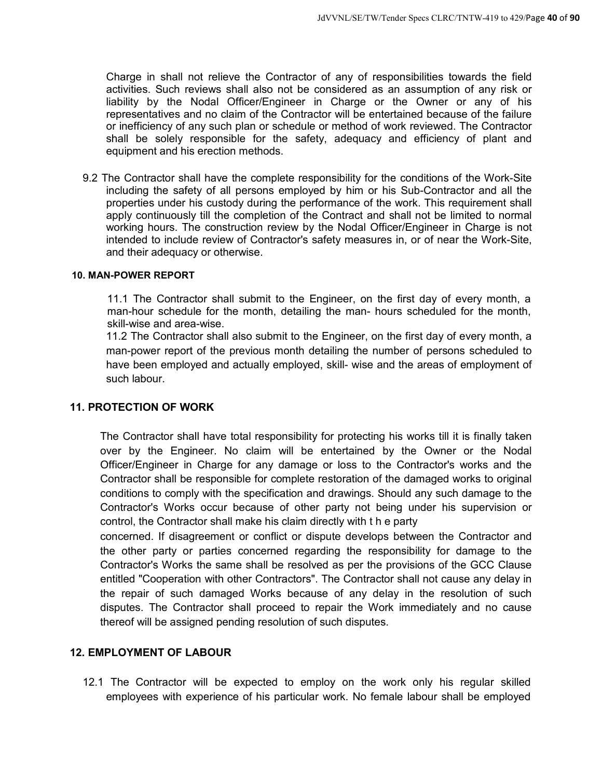Charge in shall not relieve the Contractor of any of responsibilities towards the field activities. Such reviews shall also not be considered as an assumption of any risk or liability by the Nodal Officer/Engineer in Charge or the Owner or any of his representatives and no claim of the Contractor will be entertained because of the failure or inefficiency of any such plan or schedule or method of work reviewed. The Contractor shall be solely responsible for the safety, adequacy and efficiency of plant and equipment and his erection methods.

9.2 The Contractor shall have the complete responsibility for the conditions of the Work-Site including the safety of all persons employed by him or his Sub-Contractor and all the properties under his custody during the performance of the work. This requirement shall apply continuously till the completion of the Contract and shall not be limited to normal working hours. The construction review by the Nodal Officer/Engineer in Charge is not intended to include review of Contractor's safety measures in, or of near the Work-Site, and their adequacy or otherwise.

#### **10. MAN-POWER REPORT**

11.1 The Contractor shall submit to the Engineer, on the first day of every month, a man-hour schedule for the month, detailing the man- hours scheduled for the month, skill-wise and area-wise.

11.2 The Contractor shall also submit to the Engineer, on the first day of every month, a man-power report of the previous month detailing the number of persons scheduled to have been employed and actually employed, skill- wise and the areas of employment of such labour.

#### **11. PROTECTION OF WORK**

The Contractor shall have total responsibility for protecting his works till it is finally taken over by the Engineer. No claim will be entertained by the Owner or the Nodal Officer/Engineer in Charge for any damage or loss to the Contractor's works and the Contractor shall be responsible for complete restoration of the damaged works to original conditions to comply with the specification and drawings. Should any such damage to the Contractor's Works occur because of other party not being under his supervision or control, the Contractor shall make his claim directly with t h e party

concerned. If disagreement or conflict or dispute develops between the Contractor and the other party or parties concerned regarding the responsibility for damage to the Contractor's Works the same shall be resolved as per the provisions of the GCC Clause entitled "Cooperation with other Contractors". The Contractor shall not cause any delay in the repair of such damaged Works because of any delay in the resolution of such disputes. The Contractor shall proceed to repair the Work immediately and no cause thereof will be assigned pending resolution of such disputes.

#### **12. EMPLOYMENT OF LABOUR**

12.1 The Contractor will be expected to employ on the work only his regular skilled employees with experience of his particular work. No female labour shall be employed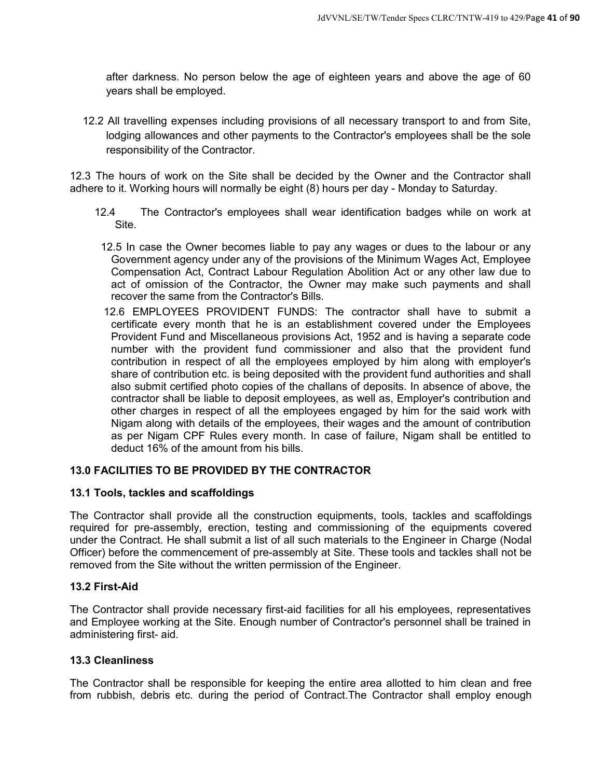after darkness. No person below the age of eighteen years and above the age of 60 years shall be employed.

12.2 All travelling expenses including provisions of all necessary transport to and from Site, lodging allowances and other payments to the Contractor's employees shall be the sole responsibility of the Contractor.

12.3 The hours of work on the Site shall be decided by the Owner and the Contractor shall adhere to it. Working hours will normally be eight (8) hours per day - Monday to Saturday.

- 12.4 The Contractor's employees shall wear identification badges while on work at Site.
- 12.5 In case the Owner becomes liable to pay any wages or dues to the labour or any Government agency under any of the provisions of the Minimum Wages Act, Employee Compensation Act, Contract Labour Regulation Abolition Act or any other law due to act of omission of the Contractor, the Owner may make such payments and shall recover the same from the Contractor's Bills.
- 12.6 EMPLOYEES PROVIDENT FUNDS: The contractor shall have to submit a certificate every month that he is an establishment covered under the Employees Provident Fund and Miscellaneous provisions Act, 1952 and is having a separate code number with the provident fund commissioner and also that the provident fund contribution in respect of all the employees employed by him along with employer's share of contribution etc. is being deposited with the provident fund authorities and shall also submit certified photo copies of the challans of deposits. In absence of above, the contractor shall be liable to deposit employees, as well as, Employer's contribution and other charges in respect of all the employees engaged by him for the said work with Nigam along with details of the employees, their wages and the amount of contribution as per Nigam CPF Rules every month. In case of failure, Nigam shall be entitled to deduct 16% of the amount from his bills.

#### **13.0 FACILITIES TO BE PROVIDED BY THE CONTRACTOR**

#### **13.1 Tools, tackles and scaffoldings**

The Contractor shall provide all the construction equipments, tools, tackles and scaffoldings required for pre-assembly, erection, testing and commissioning of the equipments covered under the Contract. He shall submit a list of all such materials to the Engineer in Charge (Nodal Officer) before the commencement of pre-assembly at Site. These tools and tackles shall not be removed from the Site without the written permission of the Engineer.

#### **13.2 First-Aid**

The Contractor shall provide necessary first-aid facilities for all his employees, representatives and Employee working at the Site. Enough number of Contractor's personnel shall be trained in administering first- aid.

#### **13.3 Cleanliness**

The Contractor shall be responsible for keeping the entire area allotted to him clean and free from rubbish, debris etc. during the period of Contract.The Contractor shall employ enough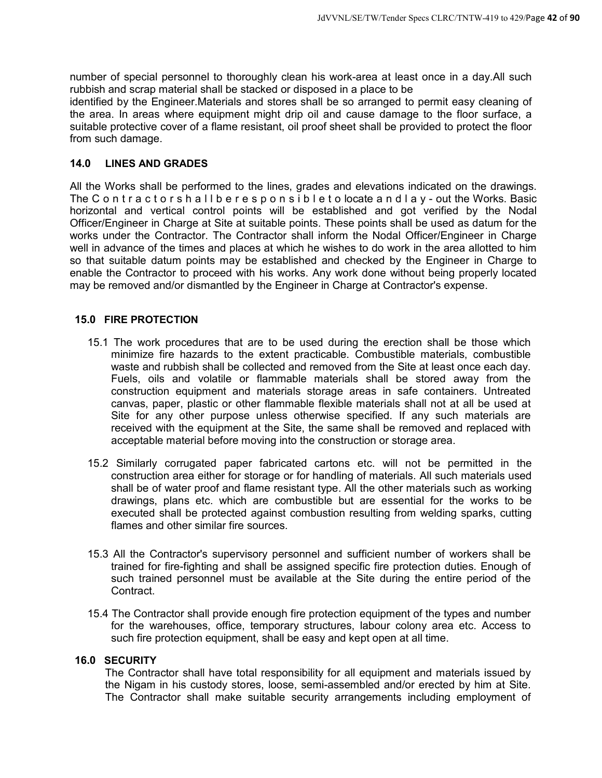number of special personnel to thoroughly clean his work-area at least once in a day.All such rubbish and scrap material shall be stacked or disposed in a place to be

identified by the Engineer.Materials and stores shall be so arranged to permit easy cleaning of the area. In areas where equipment might drip oil and cause damage to the floor surface, a suitable protective cover of a flame resistant, oil proof sheet shall be provided to protect the floor from such damage.

#### **14.0 LINES AND GRADES**

All the Works shall be performed to the lines, grades and elevations indicated on the drawings. The C ontractorshall beresponsible to locate and lay-out the Works. Basic horizontal and vertical control points will be established and got verified by the Nodal Officer/Engineer in Charge at Site at suitable points. These points shall be used as datum for the works under the Contractor. The Contractor shall inform the Nodal Officer/Engineer in Charge well in advance of the times and places at which he wishes to do work in the area allotted to him so that suitable datum points may be established and checked by the Engineer in Charge to enable the Contractor to proceed with his works. Any work done without being properly located may be removed and/or dismantled by the Engineer in Charge at Contractor's expense.

#### **15.0 FIRE PROTECTION**

- 15.1 The work procedures that are to be used during the erection shall be those which minimize fire hazards to the extent practicable. Combustible materials, combustible waste and rubbish shall be collected and removed from the Site at least once each day. Fuels, oils and volatile or flammable materials shall be stored away from the construction equipment and materials storage areas in safe containers. Untreated canvas, paper, plastic or other flammable flexible materials shall not at all be used at Site for any other purpose unless otherwise specified. If any such materials are received with the equipment at the Site, the same shall be removed and replaced with acceptable material before moving into the construction or storage area.
- 15.2 Similarly corrugated paper fabricated cartons etc. will not be permitted in the construction area either for storage or for handling of materials. All such materials used shall be of water proof and flame resistant type. All the other materials such as working drawings, plans etc. which are combustible but are essential for the works to be executed shall be protected against combustion resulting from welding sparks, cutting flames and other similar fire sources.
- 15.3 All the Contractor's supervisory personnel and sufficient number of workers shall be trained for fire-fighting and shall be assigned specific fire protection duties. Enough of such trained personnel must be available at the Site during the entire period of the Contract.
- 15.4 The Contractor shall provide enough fire protection equipment of the types and number for the warehouses, office, temporary structures, labour colony area etc. Access to such fire protection equipment, shall be easy and kept open at all time.

#### **16.0 SECURITY**

The Contractor shall have total responsibility for all equipment and materials issued by the Nigam in his custody stores, loose, semi-assembled and/or erected by him at Site. The Contractor shall make suitable security arrangements including employment of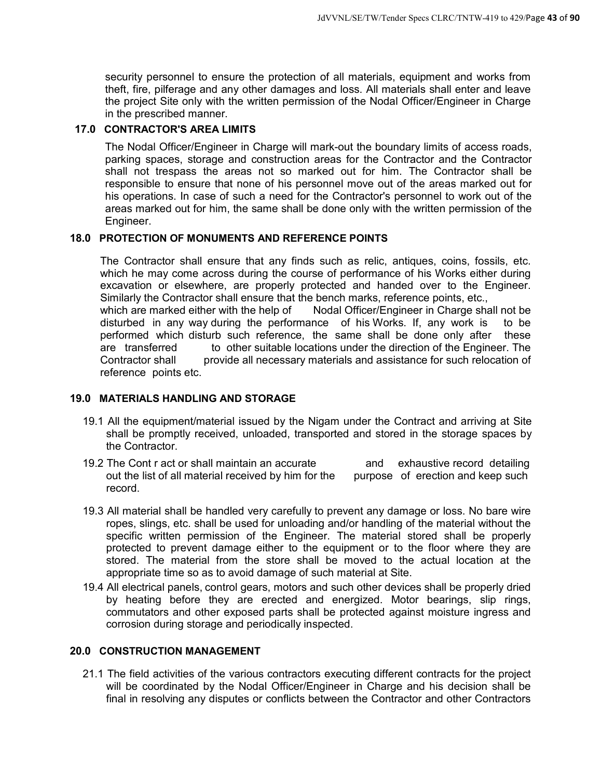security personnel to ensure the protection of all materials, equipment and works from theft, fire, pilferage and any other damages and loss. All materials shall enter and leave the project Site only with the written permission of the Nodal Officer/Engineer in Charge in the prescribed manner.

#### **17.0 CONTRACTOR'S AREA LIMITS**

The Nodal Officer/Engineer in Charge will mark-out the boundary limits of access roads, parking spaces, storage and construction areas for the Contractor and the Contractor shall not trespass the areas not so marked out for him. The Contractor shall be responsible to ensure that none of his personnel move out of the areas marked out for his operations. In case of such a need for the Contractor's personnel to work out of the areas marked out for him, the same shall be done only with the written permission of the Engineer.

#### **18.0 PROTECTION OF MONUMENTS AND REFERENCE POINTS**

The Contractor shall ensure that any finds such as relic, antiques, coins, fossils, etc. which he may come across during the course of performance of his Works either during excavation or elsewhere, are properly protected and handed over to the Engineer. Similarly the Contractor shall ensure that the bench marks, reference points, etc., which are marked either with the help of Nodal Officer/Engineer in Charge shall not be disturbed in any way during the performance of his Works. If, any work is to be performed which disturb such reference, the same shall be done only after these are transferred to other suitable locations under the direction of the Engineer. The Contractor shall provide all necessary materials and assistance for such relocation of reference points etc.

#### **19.0 MATERIALS HANDLING AND STORAGE**

- 19.1 All the equipment/material issued by the Nigam under the Contract and arriving at Site shall be promptly received, unloaded, transported and stored in the storage spaces by the Contractor.
- 19.2 The Cont r act or shall maintain an accurate and exhaustive record detailing out the list of all material received by him for the purpose of erection and keep such record.
- 19.3 All material shall be handled very carefully to prevent any damage or loss. No bare wire ropes, slings, etc. shall be used for unloading and/or handling of the material without the specific written permission of the Engineer. The material stored shall be properly protected to prevent damage either to the equipment or to the floor where they are stored. The material from the store shall be moved to the actual location at the appropriate time so as to avoid damage of such material at Site.
- 19.4 All electrical panels, control gears, motors and such other devices shall be properly dried by heating before they are erected and energized. Motor bearings, slip rings, commutators and other exposed parts shall be protected against moisture ingress and corrosion during storage and periodically inspected.

#### **20.0 CONSTRUCTION MANAGEMENT**

21.1 The field activities of the various contractors executing different contracts for the project will be coordinated by the Nodal Officer/Engineer in Charge and his decision shall be final in resolving any disputes or conflicts between the Contractor and other Contractors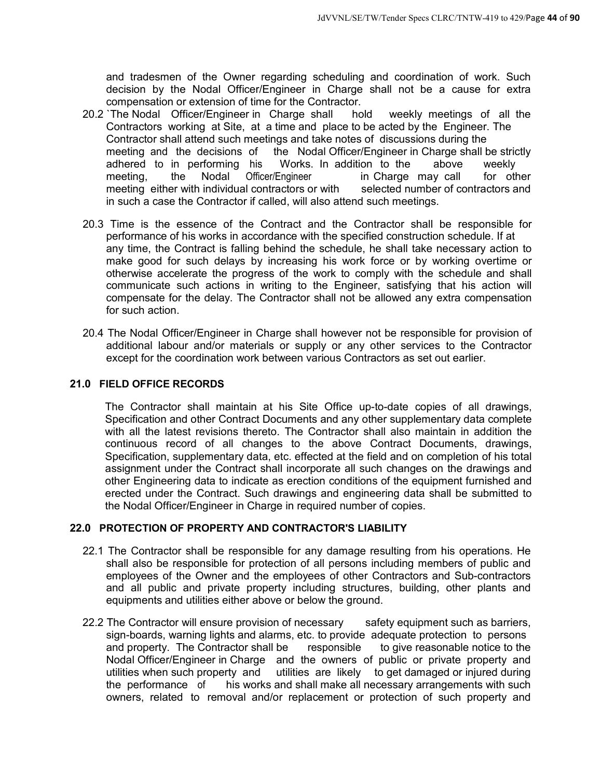and tradesmen of the Owner regarding scheduling and coordination of work. Such decision by the Nodal Officer/Engineer in Charge shall not be a cause for extra compensation or extension of time for the Contractor.

- 20.2 `The Nodal Officer/Engineer in Charge shall hold weekly meetings of all the Contractors working at Site, at a time and place to be acted by the Engineer. The Contractor shall attend such meetings and take notes of discussions during the meeting and the decisions of the Nodal Officer/Engineer in Charge shall be strictly adhered to in performing his Works. In addition to the above weekly meeting, the Nodal Officer/Engineer in Charge may call for other meeting either with individual contractors or with selected number of contractors and meeting either with individual contractors or with in such a case the Contractor if called, will also attend such meetings.
- 20.3 Time is the essence of the Contract and the Contractor shall be responsible for performance of his works in accordance with the specified construction schedule. If at any time, the Contract is falling behind the schedule, he shall take necessary action to make good for such delays by increasing his work force or by working overtime or otherwise accelerate the progress of the work to comply with the schedule and shall communicate such actions in writing to the Engineer, satisfying that his action will compensate for the delay. The Contractor shall not be allowed any extra compensation for such action.
- 20.4 The Nodal Officer/Engineer in Charge shall however not be responsible for provision of additional labour and/or materials or supply or any other services to the Contractor except for the coordination work between various Contractors as set out earlier.

## **21.0 FIELD OFFICE RECORDS**

The Contractor shall maintain at his Site Office up-to-date copies of all drawings, Specification and other Contract Documents and any other supplementary data complete with all the latest revisions thereto. The Contractor shall also maintain in addition the continuous record of all changes to the above Contract Documents, drawings, Specification, supplementary data, etc. effected at the field and on completion of his total assignment under the Contract shall incorporate all such changes on the drawings and other Engineering data to indicate as erection conditions of the equipment furnished and erected under the Contract. Such drawings and engineering data shall be submitted to the Nodal Officer/Engineer in Charge in required number of copies.

#### **22.0 PROTECTION OF PROPERTY AND CONTRACTOR'S LIABILITY**

- 22.1 The Contractor shall be responsible for any damage resulting from his operations. He shall also be responsible for protection of all persons including members of public and employees of the Owner and the employees of other Contractors and Sub-contractors and all public and private property including structures, building, other plants and equipments and utilities either above or below the ground.
- 22.2 The Contractor will ensure provision of necessary safety equipment such as barriers, sign-boards, warning lights and alarms, etc. to provide adequate protection to persons and property. The Contractor shall be responsible to give reasonable notice to the Nodal Officer/Engineer in Charge and the owners of public or private property and utilities when such property and utilities are likely to get damaged or injured during the performance of his works and shall make all necessary arrangements with such owners, related to removal and/or replacement or protection of such property and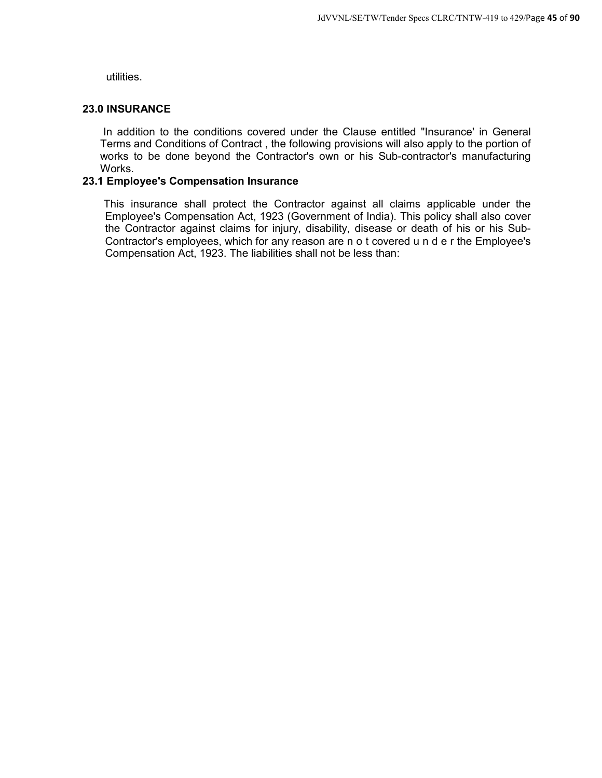utilities.

## **23.0 INSURANCE**

In addition to the conditions covered under the Clause entitled "Insurance' in General Terms and Conditions of Contract , the following provisions will also apply to the portion of works to be done beyond the Contractor's own or his Sub-contractor's manufacturing Works.

#### **23.1 Employee's Compensation Insurance**

This insurance shall protect the Contractor against all claims applicable under the Employee's Compensation Act, 1923 (Government of India). This policy shall also cover the Contractor against claims for injury, disability, disease or death of his or his Sub-Contractor's employees, which for any reason are n o t covered u n d e r the Employee's Compensation Act, 1923. The liabilities shall not be less than: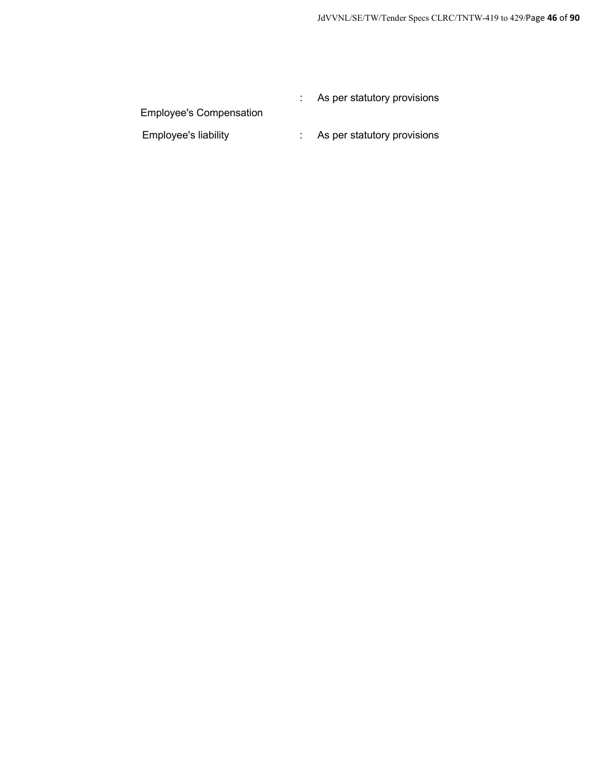|                                | As per statutory provisions |
|--------------------------------|-----------------------------|
| <b>Employee's Compensation</b> |                             |
| <b>Employee's liability</b>    | As per statutory provisions |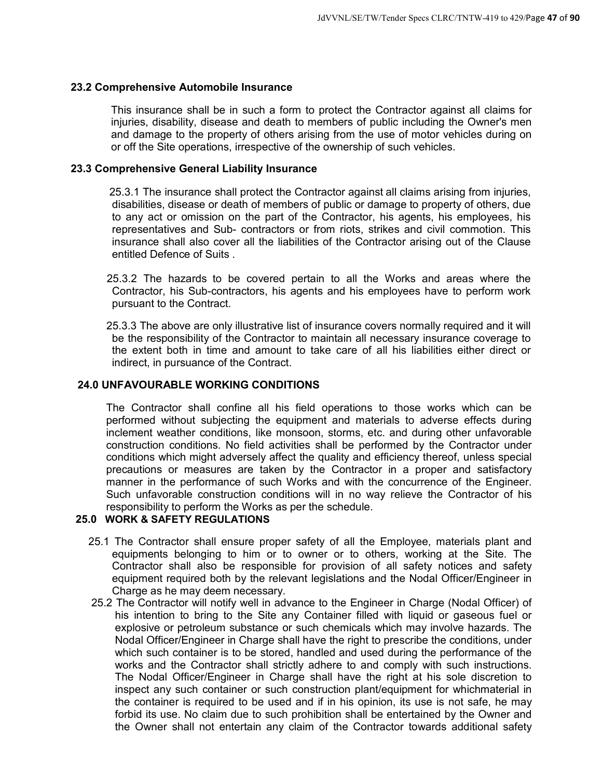#### **23.2 Comprehensive Automobile Insurance**

This insurance shall be in such a form to protect the Contractor against all claims for injuries, disability, disease and death to members of public including the Owner's men and damage to the property of others arising from the use of motor vehicles during on or off the Site operations, irrespective of the ownership of such vehicles.

#### **23.3 Comprehensive General Liability Insurance**

25.3.1 The insurance shall protect the Contractor against all claims arising from injuries, disabilities, disease or death of members of public or damage to property of others, due to any act or omission on the part of the Contractor, his agents, his employees, his representatives and Sub- contractors or from riots, strikes and civil commotion. This insurance shall also cover all the liabilities of the Contractor arising out of the Clause entitled Defence of Suits .

- 25.3.2 The hazards to be covered pertain to all the Works and areas where the Contractor, his Sub-contractors, his agents and his employees have to perform work pursuant to the Contract.
- 25.3.3 The above are only illustrative list of insurance covers normally required and it will be the responsibility of the Contractor to maintain all necessary insurance coverage to the extent both in time and amount to take care of all his liabilities either direct or indirect, in pursuance of the Contract.

## **24.0 UNFAVOURABLE WORKING CONDITIONS**

The Contractor shall confine all his field operations to those works which can be performed without subjecting the equipment and materials to adverse effects during inclement weather conditions, like monsoon, storms, etc. and during other unfavorable construction conditions. No field activities shall be performed by the Contractor under conditions which might adversely affect the quality and efficiency thereof, unless special precautions or measures are taken by the Contractor in a proper and satisfactory manner in the performance of such Works and with the concurrence of the Engineer. Such unfavorable construction conditions will in no way relieve the Contractor of his responsibility to perform the Works as per the schedule.

#### **25.0 WORK & SAFETY REGULATIONS**

- 25.1 The Contractor shall ensure proper safety of all the Employee, materials plant and equipments belonging to him or to owner or to others, working at the Site. The Contractor shall also be responsible for provision of all safety notices and safety equipment required both by the relevant legislations and the Nodal Officer/Engineer in Charge as he may deem necessary.
- 25.2 The Contractor will notify well in advance to the Engineer in Charge (Nodal Officer) of his intention to bring to the Site any Container filled with liquid or gaseous fuel or explosive or petroleum substance or such chemicals which may involve hazards. The Nodal Officer/Engineer in Charge shall have the right to prescribe the conditions, under which such container is to be stored, handled and used during the performance of the works and the Contractor shall strictly adhere to and comply with such instructions. The Nodal Officer/Engineer in Charge shall have the right at his sole discretion to inspect any such container or such construction plant/equipment for whichmaterial in the container is required to be used and if in his opinion, its use is not safe, he may forbid its use. No claim due to such prohibition shall be entertained by the Owner and the Owner shall not entertain any claim of the Contractor towards additional safety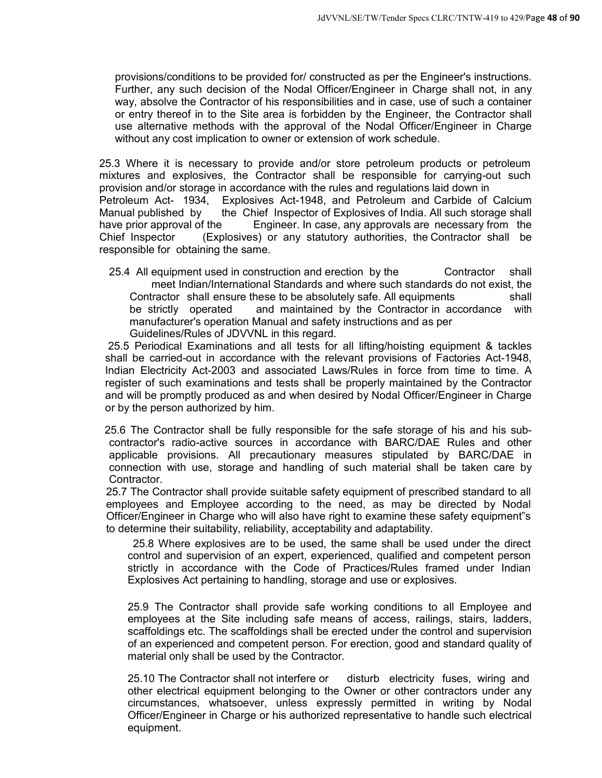provisions/conditions to be provided for/ constructed as per the Engineer's instructions. Further, any such decision of the Nodal Officer/Engineer in Charge shall not, in any way, absolve the Contractor of his responsibilities and in case, use of such a container or entry thereof in to the Site area is forbidden by the Engineer, the Contractor shall use alternative methods with the approval of the Nodal Officer/Engineer in Charge without any cost implication to owner or extension of work schedule.

25.3 Where it is necessary to provide and/or store petroleum products or petroleum mixtures and explosives, the Contractor shall be responsible for carrying-out such provision and/or storage in accordance with the rules and regulations laid down in Petroleum Act- 1934, Explosives Act-1948, and Petroleum and Carbide of Calcium Manual published by the Chief Inspector of Explosives of India. All such storage shall have prior approval of the Engineer. In case, any approvals are necessary from the Chief Inspector (Explosives) or any statutory authorities, the Contractor shall be responsible for obtaining the same.

25.4 All equipment used in construction and erection by the Contractor shall meet Indian/International Standards and where such standards do not exist, the Contractor shall ensure these to be absolutely safe. All equipments shall be strictly operated and maintained by the Contractor in accordance with manufacturer's operation Manual and safety instructions and as per Guidelines/Rules of JDVVNL in this regard.

25.5 Periodical Examinations and all tests for all lifting/hoisting equipment & tackles shall be carried-out in accordance with the relevant provisions of Factories Act-1948, Indian Electricity Act-2003 and associated Laws/Rules in force from time to time. A register of such examinations and tests shall be properly maintained by the Contractor and will be promptly produced as and when desired by Nodal Officer/Engineer in Charge or by the person authorized by him.

25.6 The Contractor shall be fully responsible for the safe storage of his and his subcontractor's radio-active sources in accordance with BARC/DAE Rules and other applicable provisions. All precautionary measures stipulated by BARC/DAE in connection with use, storage and handling of such material shall be taken care by Contractor.

25.7 The Contractor shall provide suitable safety equipment of prescribed standard to all employees and Employee according to the need, as may be directed by Nodal Officer/Engineer in Charge who will also have right to examine these safety equipment"s to determine their suitability, reliability, acceptability and adaptability.

25.8 Where explosives are to be used, the same shall be used under the direct control and supervision of an expert, experienced, qualified and competent person strictly in accordance with the Code of Practices/Rules framed under Indian Explosives Act pertaining to handling, storage and use or explosives.

25.9 The Contractor shall provide safe working conditions to all Employee and employees at the Site including safe means of access, railings, stairs, ladders, scaffoldings etc. The scaffoldings shall be erected under the control and supervision of an experienced and competent person. For erection, good and standard quality of material only shall be used by the Contractor.

25.10 The Contractor shall not interfere or disturb electricity fuses, wiring and other electrical equipment belonging to the Owner or other contractors under any circumstances, whatsoever, unless expressly permitted in writing by Nodal Officer/Engineer in Charge or his authorized representative to handle such electrical equipment.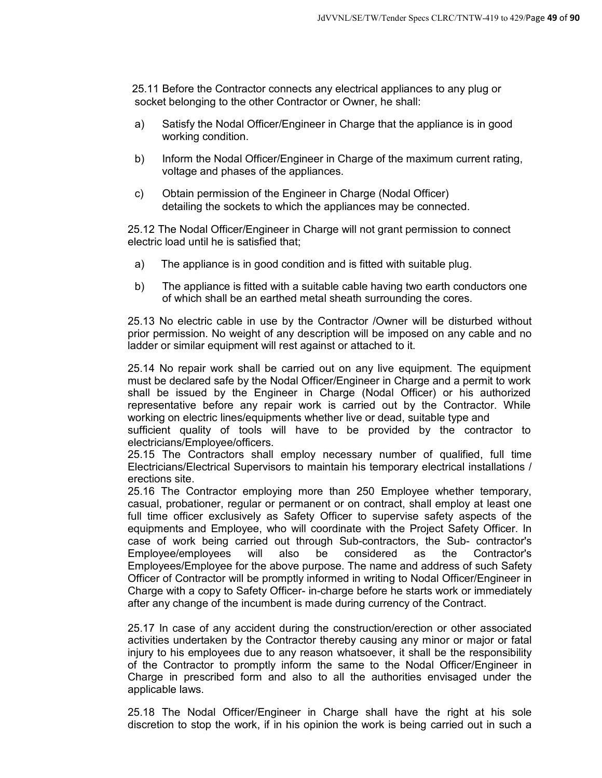25.11 Before the Contractor connects any electrical appliances to any plug or socket belonging to the other Contractor or Owner, he shall:

- a) Satisfy the Nodal Officer/Engineer in Charge that the appliance is in good working condition.
- b) Inform the Nodal Officer/Engineer in Charge of the maximum current rating, voltage and phases of the appliances.
- c) Obtain permission of the Engineer in Charge (Nodal Officer) detailing the sockets to which the appliances may be connected.

25.12 The Nodal Officer/Engineer in Charge will not grant permission to connect electric load until he is satisfied that;

- a) The appliance is in good condition and is fitted with suitable plug.
- b) The appliance is fitted with a suitable cable having two earth conductors one of which shall be an earthed metal sheath surrounding the cores.

25.13 No electric cable in use by the Contractor /Owner will be disturbed without prior permission. No weight of any description will be imposed on any cable and no ladder or similar equipment will rest against or attached to it.

25.14 No repair work shall be carried out on any live equipment. The equipment must be declared safe by the Nodal Officer/Engineer in Charge and a permit to work shall be issued by the Engineer in Charge (Nodal Officer) or his authorized representative before any repair work is carried out by the Contractor. While working on electric lines/equipments whether live or dead, suitable type and

sufficient quality of tools will have to be provided by the contractor to electricians/Employee/officers.

25.15 The Contractors shall employ necessary number of qualified, full time Electricians/Electrical Supervisors to maintain his temporary electrical installations / erections site.

25.16 The Contractor employing more than 250 Employee whether temporary, casual, probationer, regular or permanent or on contract, shall employ at least one full time officer exclusively as Safety Officer to supervise safety aspects of the equipments and Employee, who will coordinate with the Project Safety Officer. In case of work being carried out through Sub-contractors, the Sub- contractor's Employee/employees will also be considered as the Contractor's Employees/Employee for the above purpose. The name and address of such Safety Officer of Contractor will be promptly informed in writing to Nodal Officer/Engineer in Charge with a copy to Safety Officer- in-charge before he starts work or immediately after any change of the incumbent is made during currency of the Contract.

25.17 In case of any accident during the construction/erection or other associated activities undertaken by the Contractor thereby causing any minor or major or fatal injury to his employees due to any reason whatsoever, it shall be the responsibility of the Contractor to promptly inform the same to the Nodal Officer/Engineer in Charge in prescribed form and also to all the authorities envisaged under the applicable laws.

25.18 The Nodal Officer/Engineer in Charge shall have the right at his sole discretion to stop the work, if in his opinion the work is being carried out in such a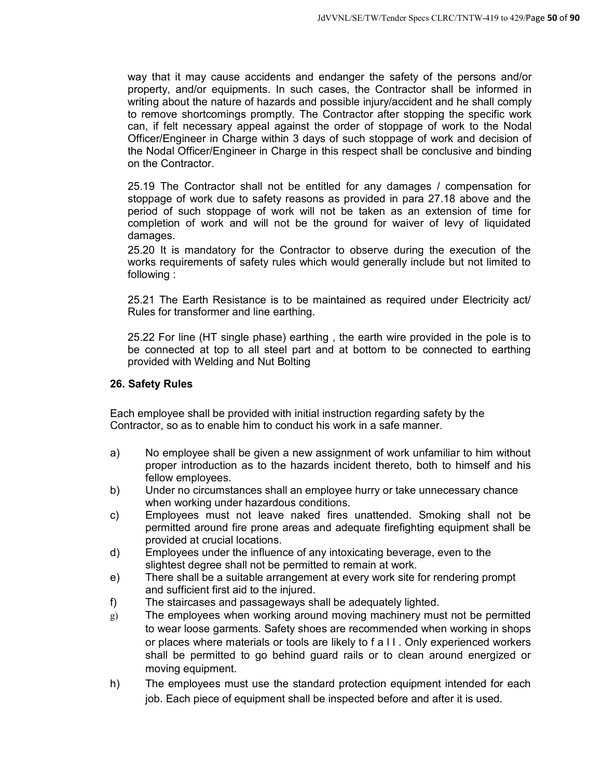way that it may cause accidents and endanger the safety of the persons and/or property, and/or equipments. In such cases, the Contractor shall be informed in writing about the nature of hazards and possible injury/accident and he shall comply to remove shortcomings promptly. The Contractor after stopping the specific work can, if felt necessary appeal against the order of stoppage of work to the Nodal Officer/Engineer in Charge within 3 days of such stoppage of work and decision of the Nodal Officer/Engineer in Charge in this respect shall be conclusive and binding on the Contractor.

25.19 The Contractor shall not be entitled for any damages / compensation for stoppage of work due to safety reasons as provided in para 27.18 above and the period of such stoppage of work will not be taken as an extension of time for completion of work and will not be the ground for waiver of levy of liquidated damages.

25.20 It is mandatory for the Contractor to observe during the execution of the works requirements of safety rules which would generally include but not limited to following :

25.21 The Earth Resistance is to be maintained as required under Electricity act/ Rules for transformer and line earthing.

25.22 For line (HT single phase) earthing , the earth wire provided in the pole is to be connected at top to all steel part and at bottom to be connected to earthing provided with Welding and Nut Bolting

#### **26. Safety Rules**

Each employee shall be provided with initial instruction regarding safety by the Contractor, so as to enable him to conduct his work in a safe manner.

- a) No employee shall be given a new assignment of work unfamiliar to him without proper introduction as to the hazards incident thereto, both to himself and his fellow employees.
- b) Under no circumstances shall an employee hurry or take unnecessary chance when working under hazardous conditions.
- c) Employees must not leave naked fires unattended. Smoking shall not be permitted around fire prone areas and adequate firefighting equipment shall be provided at crucial locations.
- d) Employees under the influence of any intoxicating beverage, even to the slightest degree shall not be permitted to remain at work.
- e) There shall be a suitable arrangement at every work site for rendering prompt and sufficient first aid to the injured.
- f) The staircases and passageways shall be adequately lighted.
- g) The employees when working around moving machinery must not be permitted to wear loose garments. Safety shoes are recommended when working in shops or places where materials or tools are likely to f a l l . Only experienced workers shall be permitted to go behind guard rails or to clean around energized or moving equipment.
- h) The employees must use the standard protection equipment intended for each job. Each piece of equipment shall be inspected before and after it is used.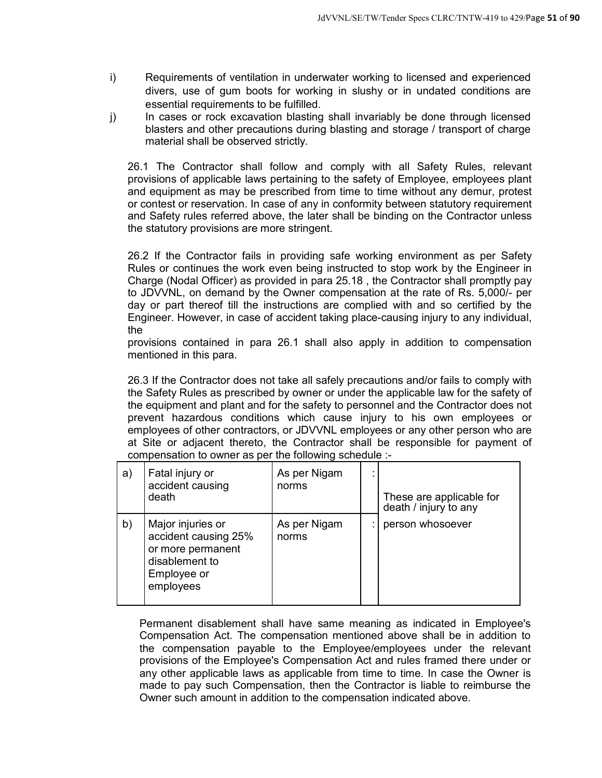- i) Requirements of ventilation in underwater working to licensed and experienced divers, use of gum boots for working in slushy or in undated conditions are essential requirements to be fulfilled.
- j) In cases or rock excavation blasting shall invariably be done through licensed blasters and other precautions during blasting and storage / transport of charge material shall be observed strictly.

26.1 The Contractor shall follow and comply with all Safety Rules, relevant provisions of applicable laws pertaining to the safety of Employee, employees plant and equipment as may be prescribed from time to time without any demur, protest or contest or reservation. In case of any in conformity between statutory requirement and Safety rules referred above, the later shall be binding on the Contractor unless the statutory provisions are more stringent.

26.2 If the Contractor fails in providing safe working environment as per Safety Rules or continues the work even being instructed to stop work by the Engineer in Charge (Nodal Officer) as provided in para 25.18 , the Contractor shall promptly pay to JDVVNL, on demand by the Owner compensation at the rate of Rs. 5,000/- per day or part thereof till the instructions are complied with and so certified by the Engineer. However, in case of accident taking place-causing injury to any individual, the

provisions contained in para 26.1 shall also apply in addition to compensation mentioned in this para.

26.3 If the Contractor does not take all safely precautions and/or fails to comply with the Safety Rules as prescribed by owner or under the applicable law for the safety of the equipment and plant and for the safety to personnel and the Contractor does not prevent hazardous conditions which cause injury to his own employees or employees of other contractors, or JDVVNL employees or any other person who are at Site or adjacent thereto, the Contractor shall be responsible for payment of compensation to owner as per the following schedule :-

| a) | Fatal injury or<br>accident causing<br>death                                                                 | As per Nigam<br>norms | $\cdot$ | These are applicable for<br>death / injury to any |
|----|--------------------------------------------------------------------------------------------------------------|-----------------------|---------|---------------------------------------------------|
| b) | Major injuries or<br>accident causing 25%<br>or more permanent<br>disablement to<br>Employee or<br>employees | As per Nigam<br>norms |         | person whosoever                                  |

Permanent disablement shall have same meaning as indicated in Employee's Compensation Act. The compensation mentioned above shall be in addition to the compensation payable to the Employee/employees under the relevant provisions of the Employee's Compensation Act and rules framed there under or any other applicable laws as applicable from time to time. In case the Owner is made to pay such Compensation, then the Contractor is liable to reimburse the Owner such amount in addition to the compensation indicated above.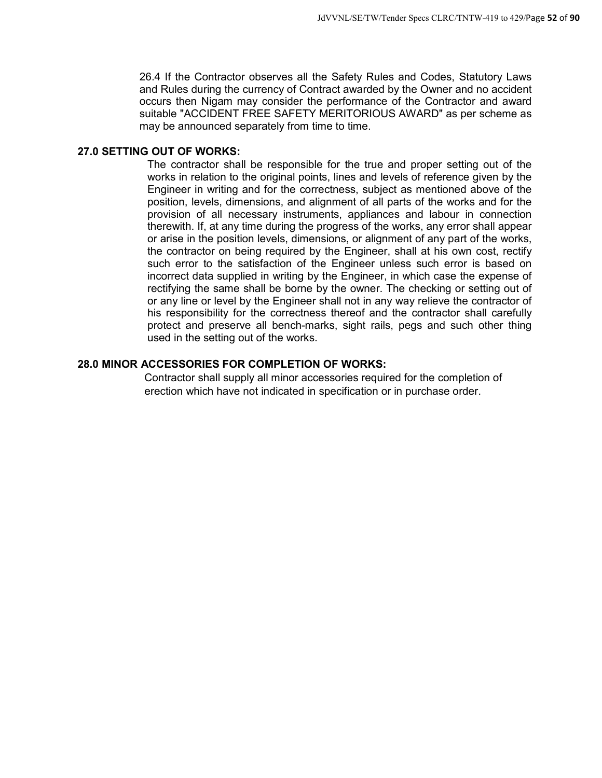26.4 If the Contractor observes all the Safety Rules and Codes, Statutory Laws and Rules during the currency of Contract awarded by the Owner and no accident occurs then Nigam may consider the performance of the Contractor and award suitable "ACCIDENT FREE SAFETY MERITORIOUS AWARD" as per scheme as may be announced separately from time to time.

## **27.0 SETTING OUT OF WORKS:**

The contractor shall be responsible for the true and proper setting out of the works in relation to the original points, lines and levels of reference given by the Engineer in writing and for the correctness, subject as mentioned above of the position, levels, dimensions, and alignment of all parts of the works and for the provision of all necessary instruments, appliances and labour in connection therewith. If, at any time during the progress of the works, any error shall appear or arise in the position levels, dimensions, or alignment of any part of the works, the contractor on being required by the Engineer, shall at his own cost, rectify such error to the satisfaction of the Engineer unless such error is based on incorrect data supplied in writing by the Engineer, in which case the expense of rectifying the same shall be borne by the owner. The checking or setting out of or any line or level by the Engineer shall not in any way relieve the contractor of his responsibility for the correctness thereof and the contractor shall carefully protect and preserve all bench-marks, sight rails, pegs and such other thing used in the setting out of the works.

## **28.0 MINOR ACCESSORIES FOR COMPLETION OF WORKS:**

Contractor shall supply all minor accessories required for the completion of erection which have not indicated in specification or in purchase order.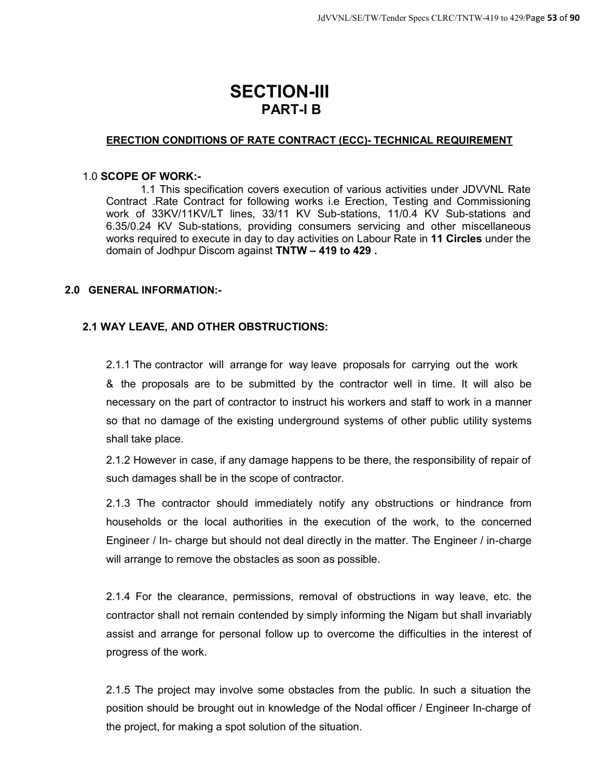# **SECTION-III PART-I B**

#### **ERECTION CONDITIONS OF RATE CONTRACT (ECC)- TECHNICAL REQUIREMENT**

#### 1.0 **SCOPE OF WORK:-**

1.1 This specification covers execution of various activities under JDVVNL Rate Contract .Rate Contract for following works i.e Erection, Testing and Commissioning work of 33KV/11KV/LT lines, 33/11 KV Sub-stations, 11/0.4 KV Sub-stations and 6.35/0.24 KV Sub-stations, providing consumers servicing and other miscellaneous works required to execute in day to day activities on Labour Rate in **11 Circles** under the domain of Jodhpur Discom against **TNTW – 419 to 429 .** 

#### **2.0 GENERAL INFORMATION:-**

## **2.1 WAY LEAVE, AND OTHER OBSTRUCTIONS:**

2.1.1 The contractor will arrange for way leave proposals for carrying out the work & the proposals are to be submitted by the contractor well in time. It will also be necessary on the part of contractor to instruct his workers and staff to work in a manner so that no damage of the existing underground systems of other public utility systems shall take place.

2.1.2 However in case, if any damage happens to be there, the responsibility of repair of such damages shall be in the scope of contractor.

2.1.3 The contractor should immediately notify any obstructions or hindrance from households or the local authorities in the execution of the work, to the concerned Engineer / In- charge but should not deal directly in the matter. The Engineer / in-charge will arrange to remove the obstacles as soon as possible.

2.1.4 For the clearance, permissions, removal of obstructions in way leave, etc. the contractor shall not remain contended by simply informing the Nigam but shall invariably assist and arrange for personal follow up to overcome the difficulties in the interest of progress of the work.

2.1.5 The project may involve some obstacles from the public. In such a situation the position should be brought out in knowledge of the Nodal officer / Engineer In-charge of the project, for making a spot solution of the situation.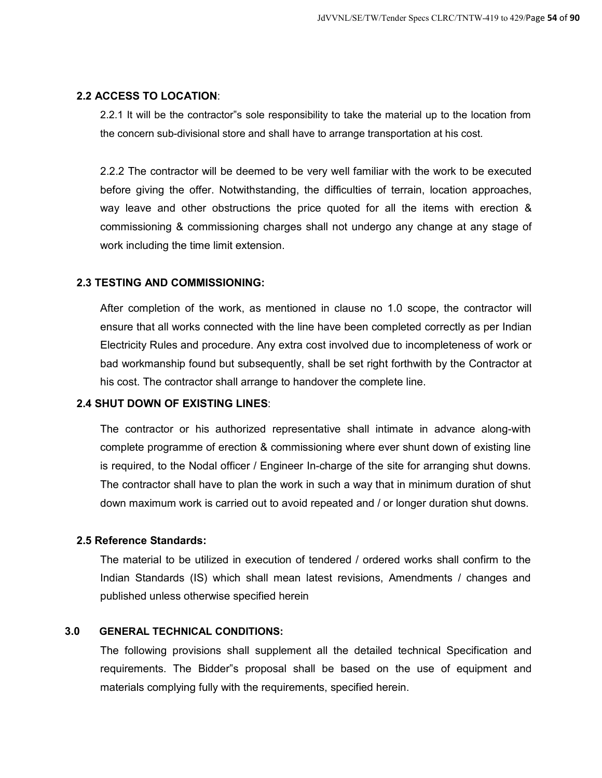#### **2.2 ACCESS TO LOCATION**:

2.2.1 It will be the contractor"s sole responsibility to take the material up to the location from the concern sub-divisional store and shall have to arrange transportation at his cost.

2.2.2 The contractor will be deemed to be very well familiar with the work to be executed before giving the offer. Notwithstanding, the difficulties of terrain, location approaches, way leave and other obstructions the price quoted for all the items with erection & commissioning & commissioning charges shall not undergo any change at any stage of work including the time limit extension.

## **2.3 TESTING AND COMMISSIONING:**

After completion of the work, as mentioned in clause no 1.0 scope, the contractor will ensure that all works connected with the line have been completed correctly as per Indian Electricity Rules and procedure. Any extra cost involved due to incompleteness of work or bad workmanship found but subsequently, shall be set right forthwith by the Contractor at his cost. The contractor shall arrange to handover the complete line.

## **2.4 SHUT DOWN OF EXISTING LINES**:

The contractor or his authorized representative shall intimate in advance along-with complete programme of erection & commissioning where ever shunt down of existing line is required, to the Nodal officer / Engineer In-charge of the site for arranging shut downs. The contractor shall have to plan the work in such a way that in minimum duration of shut down maximum work is carried out to avoid repeated and / or longer duration shut downs.

#### **2.5 Reference Standards:**

The material to be utilized in execution of tendered / ordered works shall confirm to the Indian Standards (IS) which shall mean latest revisions, Amendments / changes and published unless otherwise specified herein

## **3.0 GENERAL TECHNICAL CONDITIONS:**

The following provisions shall supplement all the detailed technical Specification and requirements. The Bidder"s proposal shall be based on the use of equipment and materials complying fully with the requirements, specified herein.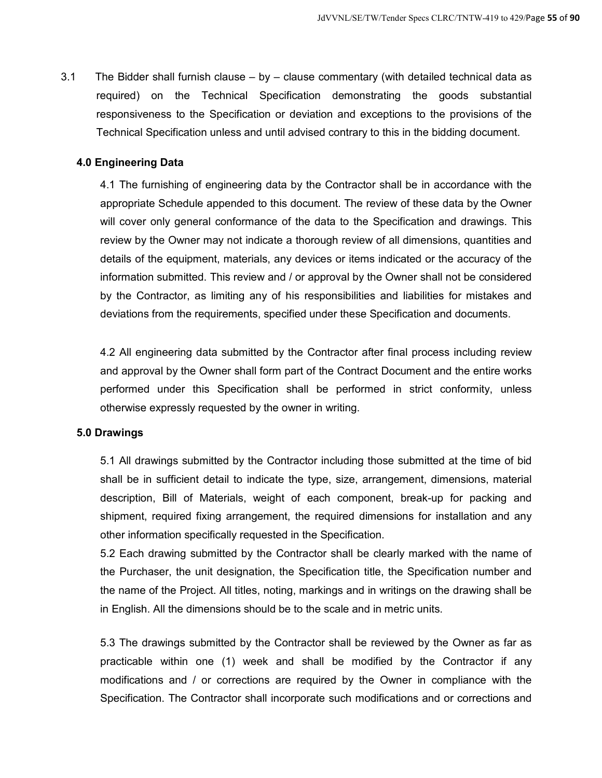3.1 The Bidder shall furnish clause  $-$  by  $-$  clause commentary (with detailed technical data as required) on the Technical Specification demonstrating the goods substantial responsiveness to the Specification or deviation and exceptions to the provisions of the Technical Specification unless and until advised contrary to this in the bidding document.

#### **4.0 Engineering Data**

4.1 The furnishing of engineering data by the Contractor shall be in accordance with the appropriate Schedule appended to this document. The review of these data by the Owner will cover only general conformance of the data to the Specification and drawings. This review by the Owner may not indicate a thorough review of all dimensions, quantities and details of the equipment, materials, any devices or items indicated or the accuracy of the information submitted. This review and / or approval by the Owner shall not be considered by the Contractor, as limiting any of his responsibilities and liabilities for mistakes and deviations from the requirements, specified under these Specification and documents.

4.2 All engineering data submitted by the Contractor after final process including review and approval by the Owner shall form part of the Contract Document and the entire works performed under this Specification shall be performed in strict conformity, unless otherwise expressly requested by the owner in writing.

#### **5.0 Drawings**

5.1 All drawings submitted by the Contractor including those submitted at the time of bid shall be in sufficient detail to indicate the type, size, arrangement, dimensions, material description, Bill of Materials, weight of each component, break-up for packing and shipment, required fixing arrangement, the required dimensions for installation and any other information specifically requested in the Specification.

5.2 Each drawing submitted by the Contractor shall be clearly marked with the name of the Purchaser, the unit designation, the Specification title, the Specification number and the name of the Project. All titles, noting, markings and in writings on the drawing shall be in English. All the dimensions should be to the scale and in metric units.

5.3 The drawings submitted by the Contractor shall be reviewed by the Owner as far as practicable within one (1) week and shall be modified by the Contractor if any modifications and / or corrections are required by the Owner in compliance with the Specification. The Contractor shall incorporate such modifications and or corrections and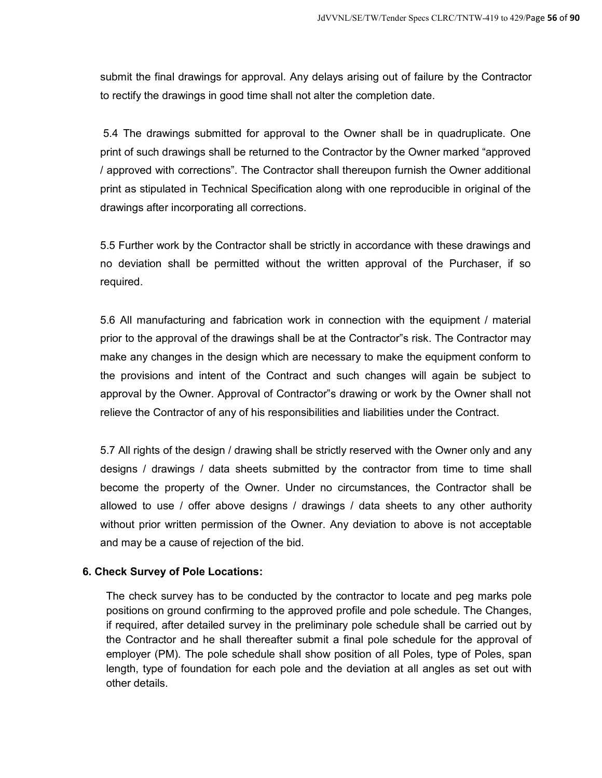submit the final drawings for approval. Any delays arising out of failure by the Contractor to rectify the drawings in good time shall not alter the completion date.

5.4 The drawings submitted for approval to the Owner shall be in quadruplicate. One print of such drawings shall be returned to the Contractor by the Owner marked "approved / approved with corrections". The Contractor shall thereupon furnish the Owner additional print as stipulated in Technical Specification along with one reproducible in original of the drawings after incorporating all corrections.

5.5 Further work by the Contractor shall be strictly in accordance with these drawings and no deviation shall be permitted without the written approval of the Purchaser, if so required.

5.6 All manufacturing and fabrication work in connection with the equipment / material prior to the approval of the drawings shall be at the Contractor"s risk. The Contractor may make any changes in the design which are necessary to make the equipment conform to the provisions and intent of the Contract and such changes will again be subject to approval by the Owner. Approval of Contractor"s drawing or work by the Owner shall not relieve the Contractor of any of his responsibilities and liabilities under the Contract.

5.7 All rights of the design / drawing shall be strictly reserved with the Owner only and any designs / drawings / data sheets submitted by the contractor from time to time shall become the property of the Owner. Under no circumstances, the Contractor shall be allowed to use / offer above designs / drawings / data sheets to any other authority without prior written permission of the Owner. Any deviation to above is not acceptable and may be a cause of rejection of the bid.

#### **6. Check Survey of Pole Locations:**

The check survey has to be conducted by the contractor to locate and peg marks pole positions on ground confirming to the approved profile and pole schedule. The Changes, if required, after detailed survey in the preliminary pole schedule shall be carried out by the Contractor and he shall thereafter submit a final pole schedule for the approval of employer (PM). The pole schedule shall show position of all Poles, type of Poles, span length, type of foundation for each pole and the deviation at all angles as set out with other details.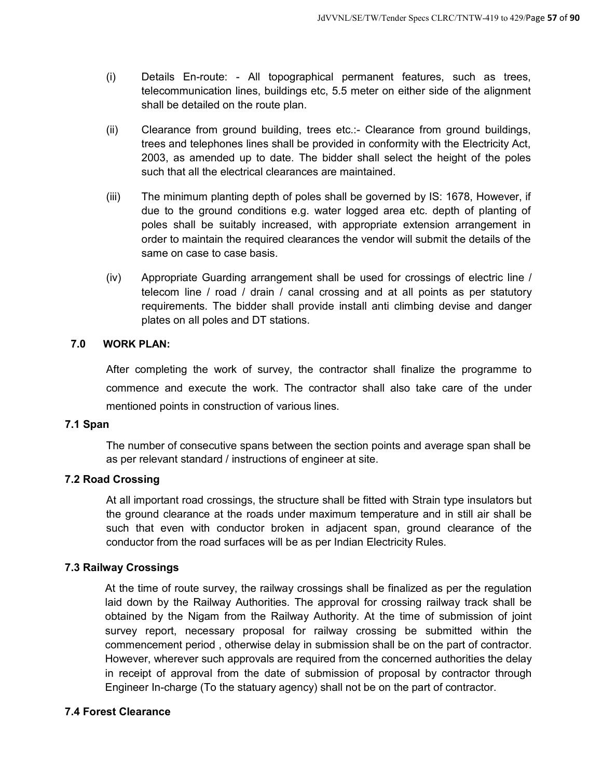- (i) Details En-route: All topographical permanent features, such as trees, telecommunication lines, buildings etc, 5.5 meter on either side of the alignment shall be detailed on the route plan.
- (ii) Clearance from ground building, trees etc.:- Clearance from ground buildings, trees and telephones lines shall be provided in conformity with the Electricity Act, 2003, as amended up to date. The bidder shall select the height of the poles such that all the electrical clearances are maintained.
- (iii) The minimum planting depth of poles shall be governed by IS: 1678, However, if due to the ground conditions e.g. water logged area etc. depth of planting of poles shall be suitably increased, with appropriate extension arrangement in order to maintain the required clearances the vendor will submit the details of the same on case to case basis.
- (iv) Appropriate Guarding arrangement shall be used for crossings of electric line / telecom line / road / drain / canal crossing and at all points as per statutory requirements. The bidder shall provide install anti climbing devise and danger plates on all poles and DT stations.

#### **7.0 WORK PLAN:**

After completing the work of survey, the contractor shall finalize the programme to commence and execute the work. The contractor shall also take care of the under mentioned points in construction of various lines.

## **7.1 Span**

The number of consecutive spans between the section points and average span shall be as per relevant standard / instructions of engineer at site.

## **7.2 Road Crossing**

At all important road crossings, the structure shall be fitted with Strain type insulators but the ground clearance at the roads under maximum temperature and in still air shall be such that even with conductor broken in adjacent span, ground clearance of the conductor from the road surfaces will be as per Indian Electricity Rules.

## **7.3 Railway Crossings**

At the time of route survey, the railway crossings shall be finalized as per the regulation laid down by the Railway Authorities. The approval for crossing railway track shall be obtained by the Nigam from the Railway Authority. At the time of submission of joint survey report, necessary proposal for railway crossing be submitted within the commencement period , otherwise delay in submission shall be on the part of contractor. However, wherever such approvals are required from the concerned authorities the delay in receipt of approval from the date of submission of proposal by contractor through Engineer In-charge (To the statuary agency) shall not be on the part of contractor.

#### **7.4 Forest Clearance**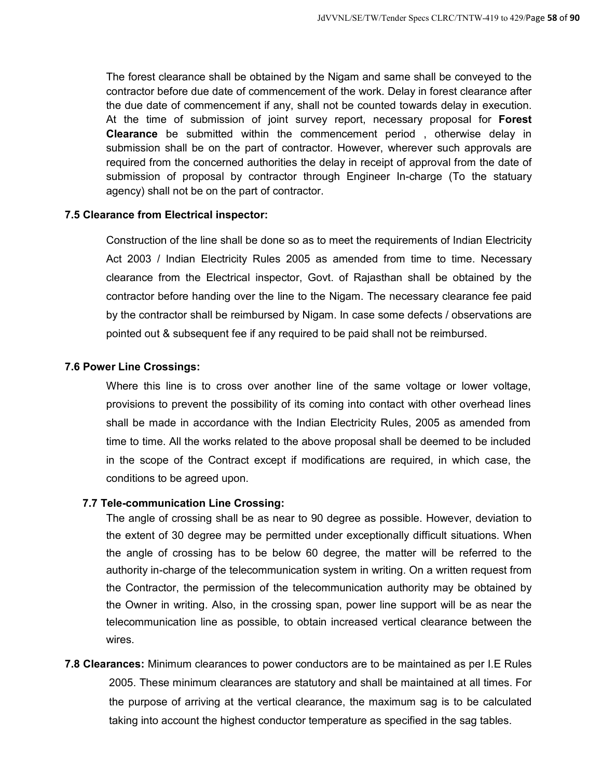The forest clearance shall be obtained by the Nigam and same shall be conveyed to the contractor before due date of commencement of the work. Delay in forest clearance after the due date of commencement if any, shall not be counted towards delay in execution. At the time of submission of joint survey report, necessary proposal for **Forest Clearance** be submitted within the commencement period , otherwise delay in submission shall be on the part of contractor. However, wherever such approvals are required from the concerned authorities the delay in receipt of approval from the date of submission of proposal by contractor through Engineer In-charge (To the statuary agency) shall not be on the part of contractor.

#### **7.5 Clearance from Electrical inspector:**

Construction of the line shall be done so as to meet the requirements of Indian Electricity Act 2003 / Indian Electricity Rules 2005 as amended from time to time. Necessary clearance from the Electrical inspector, Govt. of Rajasthan shall be obtained by the contractor before handing over the line to the Nigam. The necessary clearance fee paid by the contractor shall be reimbursed by Nigam. In case some defects / observations are pointed out & subsequent fee if any required to be paid shall not be reimbursed.

#### **7.6 Power Line Crossings:**

Where this line is to cross over another line of the same voltage or lower voltage, provisions to prevent the possibility of its coming into contact with other overhead lines shall be made in accordance with the Indian Electricity Rules, 2005 as amended from time to time. All the works related to the above proposal shall be deemed to be included in the scope of the Contract except if modifications are required, in which case, the conditions to be agreed upon.

#### **7.7 Tele-communication Line Crossing:**

The angle of crossing shall be as near to 90 degree as possible. However, deviation to the extent of 30 degree may be permitted under exceptionally difficult situations. When the angle of crossing has to be below 60 degree, the matter will be referred to the authority in-charge of the telecommunication system in writing. On a written request from the Contractor, the permission of the telecommunication authority may be obtained by the Owner in writing. Also, in the crossing span, power line support will be as near the telecommunication line as possible, to obtain increased vertical clearance between the wires.

**7.8 Clearances:** Minimum clearances to power conductors are to be maintained as per I.E Rules 2005. These minimum clearances are statutory and shall be maintained at all times. For the purpose of arriving at the vertical clearance, the maximum sag is to be calculated taking into account the highest conductor temperature as specified in the sag tables.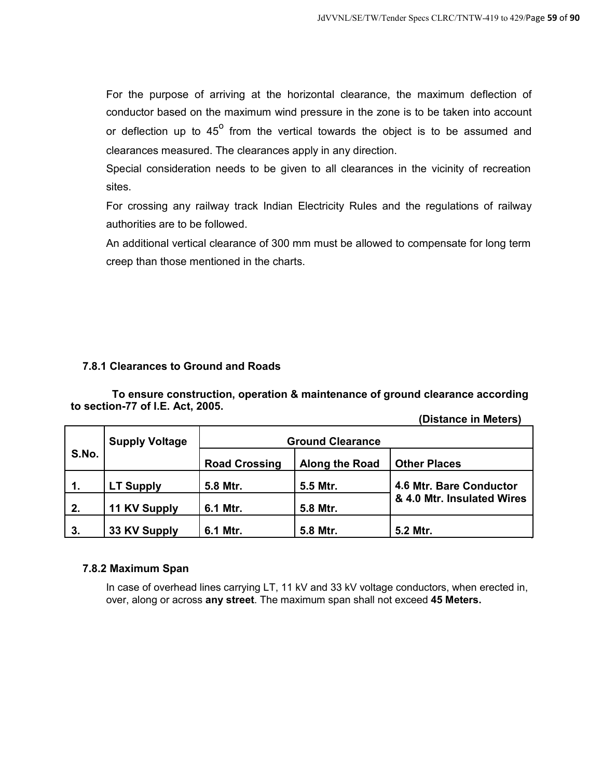For the purpose of arriving at the horizontal clearance, the maximum deflection of conductor based on the maximum wind pressure in the zone is to be taken into account or deflection up to  $45^{\circ}$  from the vertical towards the object is to be assumed and clearances measured. The clearances apply in any direction.

Special consideration needs to be given to all clearances in the vicinity of recreation sites.

For crossing any railway track Indian Electricity Rules and the regulations of railway authorities are to be followed.

An additional vertical clearance of 300 mm must be allowed to compensate for long term creep than those mentioned in the charts.

## **7.8.1 Clearances to Ground and Roads**

**To ensure construction, operation & maintenance of ground clearance according to section-77 of I.E. Act, 2005.**

|  | (Distance in Meters) |
|--|----------------------|
|--|----------------------|

|               | <b>Supply Voltage</b> |                      | <b>Ground Clearance</b> |                            |
|---------------|-----------------------|----------------------|-------------------------|----------------------------|
| S.No.         |                       | <b>Road Crossing</b> | Along the Road          | <b>Other Places</b>        |
| $\mathbf 1$ . | <b>LT Supply</b>      | 5.8 Mtr.             | 5.5 Mtr.                | 4.6 Mtr. Bare Conductor    |
| 2.            | 11 KV Supply          | 6.1 Mtr.             | 5.8 Mtr.                | & 4.0 Mtr. Insulated Wires |
| 3.            | 33 KV Supply          | 6.1 Mtr.             | 5.8 Mtr.                | 5.2 Mtr.                   |

#### **7.8.2 Maximum Span**

In case of overhead lines carrying LT, 11 kV and 33 kV voltage conductors, when erected in, over, along or across **any street**. The maximum span shall not exceed **45 Meters.**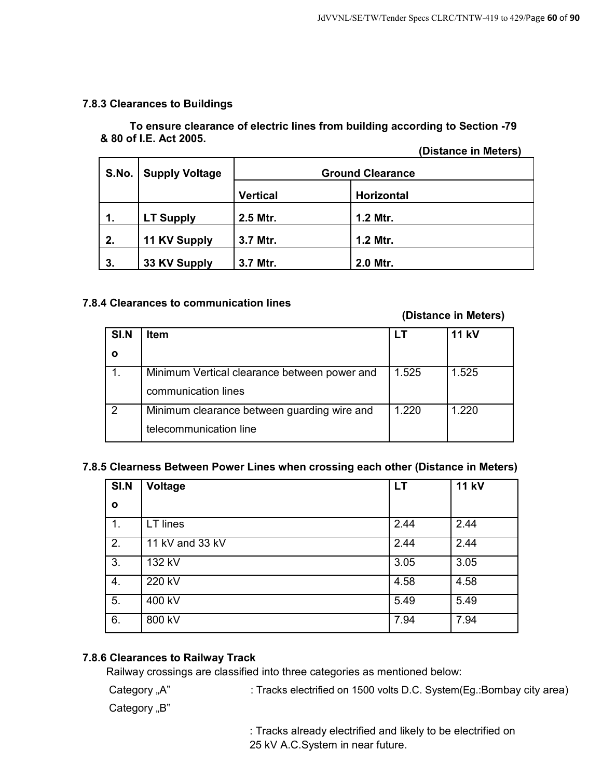## **7.8.3 Clearances to Buildings**

## **To ensure clearance of electric lines from building according to Section -79 & 80 of I.E. Act 2005.**

**(Distance in Meters)** 

| S.No. | <b>Supply Voltage</b> | <b>Ground Clearance</b> |            |
|-------|-----------------------|-------------------------|------------|
|       |                       | <b>Vertical</b>         | Horizontal |
| 1.    | <b>LT Supply</b>      | 2.5 Mtr.                | 1.2 Mtr.   |
| 2.    | 11 KV Supply          | 3.7 Mtr.                | 1.2 Mtr.   |
| 3.    | 33 KV Supply          | 3.7 Mtr.                | 2.0 Mtr.   |

## **7.8.4 Clearances to communication lines**

## **(Distance in Meters)**

| SI.N | <b>Item</b>                                  |       | <b>11 kV</b> |
|------|----------------------------------------------|-------|--------------|
|      |                                              |       |              |
|      | Minimum Vertical clearance between power and | 1.525 | 1.525        |
|      | communication lines                          |       |              |
| 2    | Minimum clearance between guarding wire and  | 1.220 | 1.220        |
|      | telecommunication line                       |       |              |

#### **7.8.5 Clearness Between Power Lines when crossing each other (Distance in Meters)**

| SI.N           | Voltage         | <b>LT</b> | <b>11 kV</b> |
|----------------|-----------------|-----------|--------------|
| $\mathbf{o}$   |                 |           |              |
| $\mathbf{1}$ . | LT lines        | 2.44      | 2.44         |
| 2.             | 11 kV and 33 kV | 2.44      | 2.44         |
| 3.             | 132 kV          | 3.05      | 3.05         |
| 4.             | 220 kV          | 4.58      | 4.58         |
| 5.             | 400 kV          | 5.49      | 5.49         |
| 6.             | 800 kV          | 7.94      | 7.94         |

## **7.8.6 Clearances to Railway Track**

Railway crossings are classified into three categories as mentioned below:

Category "A" : Tracks electrified on 1500 volts D.C. System(Eg.:Bombay city area)

Category "B"

: Tracks already electrified and likely to be electrified on 25 kV A.C.System in near future.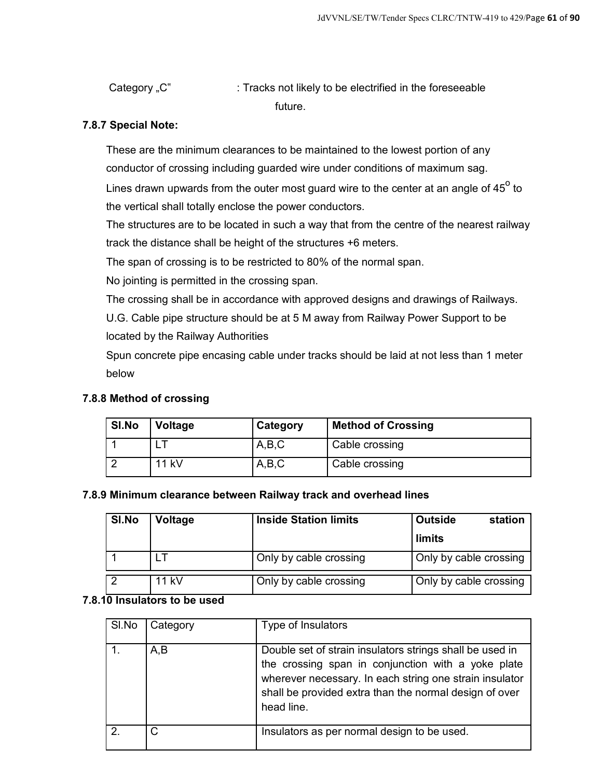Category "C" : Tracks not likely to be electrified in the foreseeable future.

## **7.8.7 Special Note:**

These are the minimum clearances to be maintained to the lowest portion of any conductor of crossing including guarded wire under conditions of maximum sag.

Lines drawn upwards from the outer most guard wire to the center at an angle of 45 $^{\rm o}$  to the vertical shall totally enclose the power conductors.

The structures are to be located in such a way that from the centre of the nearest railway track the distance shall be height of the structures +6 meters.

The span of crossing is to be restricted to 80% of the normal span.

No jointing is permitted in the crossing span.

The crossing shall be in accordance with approved designs and drawings of Railways.

U.G. Cable pipe structure should be at 5 M away from Railway Power Support to be located by the Railway Authorities

Spun concrete pipe encasing cable under tracks should be laid at not less than 1 meter below

## **7.8.8 Method of crossing**

| SI.No | Voltage      | Category | <b>Method of Crossing</b> |
|-------|--------------|----------|---------------------------|
|       |              | A,B,C    | Cable crossing            |
|       | <b>11 kV</b> | A,B,C    | Cable crossing            |

## **7.8.9 Minimum clearance between Railway track and overhead lines**

| SI.No | <b>Voltage</b> | <b>Inside Station limits</b> | <b>Outside</b>         | station |
|-------|----------------|------------------------------|------------------------|---------|
|       |                |                              | limits                 |         |
|       |                | Only by cable crossing       | Only by cable crossing |         |
| റ     | 11 kV          | Only by cable crossing       | Only by cable crossing |         |

## **7.8.10 Insulators to be used**

| SI.No | Category | Type of Insulators                                                                                                                                                                                                                                |
|-------|----------|---------------------------------------------------------------------------------------------------------------------------------------------------------------------------------------------------------------------------------------------------|
| 1.    | A,B      | Double set of strain insulators strings shall be used in<br>the crossing span in conjunction with a yoke plate<br>wherever necessary. In each string one strain insulator<br>shall be provided extra than the normal design of over<br>head line. |
| 2.    |          | Insulators as per normal design to be used.                                                                                                                                                                                                       |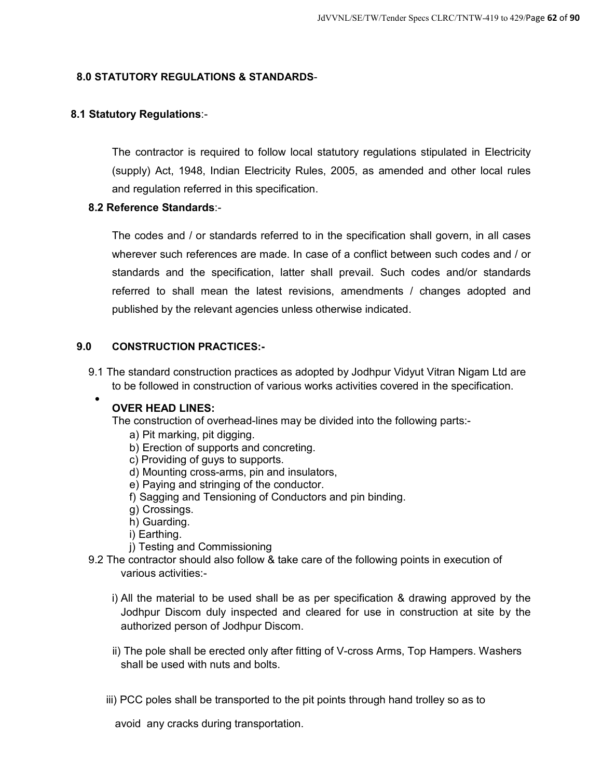## **8.0 STATUTORY REGULATIONS & STANDARDS**-

## **8.1 Statutory Regulations**:-

The contractor is required to follow local statutory regulations stipulated in Electricity (supply) Act, 1948, Indian Electricity Rules, 2005, as amended and other local rules and regulation referred in this specification.

## **8.2 Reference Standards**:-

The codes and / or standards referred to in the specification shall govern, in all cases wherever such references are made. In case of a conflict between such codes and / or standards and the specification, latter shall prevail. Such codes and/or standards referred to shall mean the latest revisions, amendments / changes adopted and published by the relevant agencies unless otherwise indicated.

## **9.0 CONSTRUCTION PRACTICES:-**

9.1 The standard construction practices as adopted by Jodhpur Vidyut Vitran Nigam Ltd are to be followed in construction of various works activities covered in the specification.  $\bullet$ 

## **OVER HEAD LINES:**

The construction of overhead-lines may be divided into the following parts:-

- a) Pit marking, pit digging.
- b) Erection of supports and concreting.
- c) Providing of guys to supports.
- d) Mounting cross-arms, pin and insulators,
- e) Paying and stringing of the conductor.
- f) Sagging and Tensioning of Conductors and pin binding.
- g) Crossings.
- h) Guarding.
- i) Earthing.
- j) Testing and Commissioning
- 9.2 The contractor should also follow & take care of the following points in execution of various activities:
	- i) All the material to be used shall be as per specification & drawing approved by the Jodhpur Discom duly inspected and cleared for use in construction at site by the authorized person of Jodhpur Discom.
	- ii) The pole shall be erected only after fitting of V-cross Arms, Top Hampers. Washers shall be used with nuts and bolts.
	- iii) PCC poles shall be transported to the pit points through hand trolley so as to

avoid any cracks during transportation.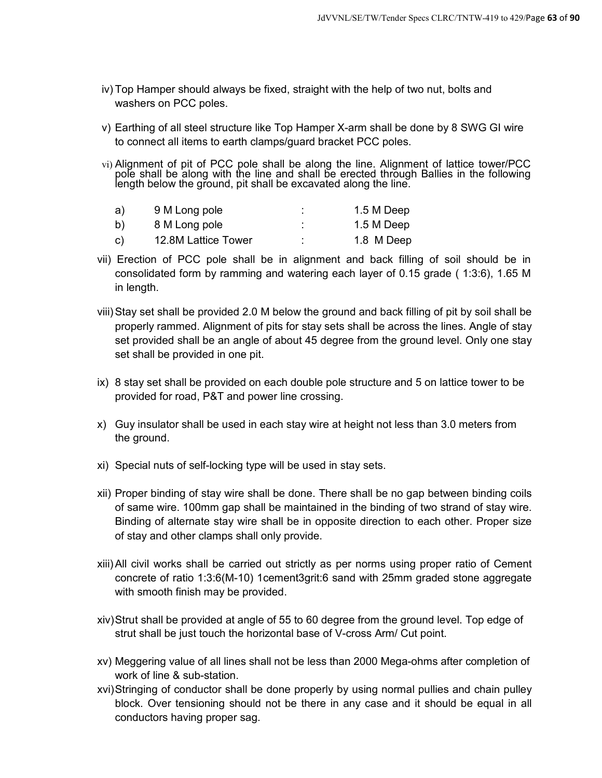- iv) Top Hamper should always be fixed, straight with the help of two nut, bolts and washers on PCC poles.
- v) Earthing of all steel structure like Top Hamper X-arm shall be done by 8 SWG GI wire to connect all items to earth clamps/guard bracket PCC poles.
- vi) Alignment of pit of PCC pole shall be along the line. Alignment of lattice tower/PCC pole shall be along with the line and shall be erected through Ballies in the following length below the ground, pit shall be excavated along the line.

| a) | 9 M Long pole       | 1.5 M Deep |
|----|---------------------|------------|
| b) | 8 M Long pole       | 1.5 M Deep |
| C) | 12.8M Lattice Tower | 1.8 M Deep |

- vii) Erection of PCC pole shall be in alignment and back filling of soil should be in consolidated form by ramming and watering each layer of 0.15 grade ( 1:3:6), 1.65 M in length.
- viii) Stay set shall be provided 2.0 M below the ground and back filling of pit by soil shall be properly rammed. Alignment of pits for stay sets shall be across the lines. Angle of stay set provided shall be an angle of about 45 degree from the ground level. Only one stay set shall be provided in one pit.
- ix) 8 stay set shall be provided on each double pole structure and 5 on lattice tower to be provided for road, P&T and power line crossing.
- x) Guy insulator shall be used in each stay wire at height not less than 3.0 meters from the ground.
- xi) Special nuts of self-locking type will be used in stay sets.
- xii) Proper binding of stay wire shall be done. There shall be no gap between binding coils of same wire. 100mm gap shall be maintained in the binding of two strand of stay wire. Binding of alternate stay wire shall be in opposite direction to each other. Proper size of stay and other clamps shall only provide.
- xiii) All civil works shall be carried out strictly as per norms using proper ratio of Cement concrete of ratio 1:3:6(M-10) 1cement3grit:6 sand with 25mm graded stone aggregate with smooth finish may be provided.
- xiv) Strut shall be provided at angle of 55 to 60 degree from the ground level. Top edge of strut shall be just touch the horizontal base of V-cross Arm/ Cut point.
- xv) Meggering value of all lines shall not be less than 2000 Mega-ohms after completion of work of line & sub-station.
- xvi) Stringing of conductor shall be done properly by using normal pullies and chain pulley block. Over tensioning should not be there in any case and it should be equal in all conductors having proper sag.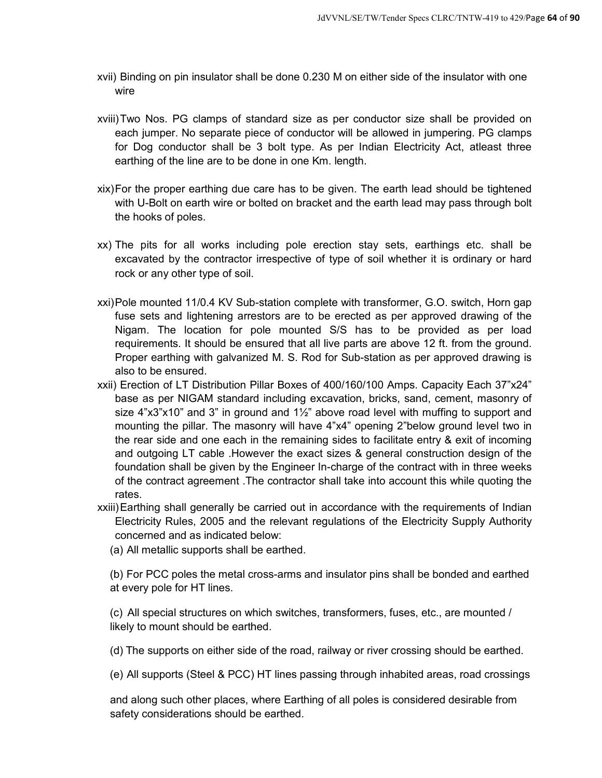- xvii) Binding on pin insulator shall be done 0.230 M on either side of the insulator with one wire
- xviii) Two Nos. PG clamps of standard size as per conductor size shall be provided on each jumper. No separate piece of conductor will be allowed in jumpering. PG clamps for Dog conductor shall be 3 bolt type. As per Indian Electricity Act, atleast three earthing of the line are to be done in one Km. length.
- xix) For the proper earthing due care has to be given. The earth lead should be tightened with U-Bolt on earth wire or bolted on bracket and the earth lead may pass through bolt the hooks of poles.
- xx) The pits for all works including pole erection stay sets, earthings etc. shall be excavated by the contractor irrespective of type of soil whether it is ordinary or hard rock or any other type of soil.
- xxi) Pole mounted 11/0.4 KV Sub-station complete with transformer, G.O. switch, Horn gap fuse sets and lightening arrestors are to be erected as per approved drawing of the Nigam. The location for pole mounted S/S has to be provided as per load requirements. It should be ensured that all live parts are above 12 ft. from the ground. Proper earthing with galvanized M. S. Rod for Sub-station as per approved drawing is also to be ensured.
- xxii) Erection of LT Distribution Pillar Boxes of 400/160/100 Amps. Capacity Each 37"x24" base as per NIGAM standard including excavation, bricks, sand, cement, masonry of size  $4"x3"x10"$  and 3" in ground and  $1\frac{1}{2}$ " above road level with muffing to support and mounting the pillar. The masonry will have 4"x4" opening 2"below ground level two in the rear side and one each in the remaining sides to facilitate entry & exit of incoming and outgoing LT cable .However the exact sizes & general construction design of the foundation shall be given by the Engineer In-charge of the contract with in three weeks of the contract agreement .The contractor shall take into account this while quoting the rates.
- xxiii) Earthing shall generally be carried out in accordance with the requirements of Indian Electricity Rules, 2005 and the relevant regulations of the Electricity Supply Authority concerned and as indicated below:
	- (a) All metallic supports shall be earthed.

(b) For PCC poles the metal cross-arms and insulator pins shall be bonded and earthed at every pole for HT lines.

(c) All special structures on which switches, transformers, fuses, etc., are mounted / likely to mount should be earthed.

(d) The supports on either side of the road, railway or river crossing should be earthed.

(e) All supports (Steel & PCC) HT lines passing through inhabited areas, road crossings

and along such other places, where Earthing of all poles is considered desirable from safety considerations should be earthed.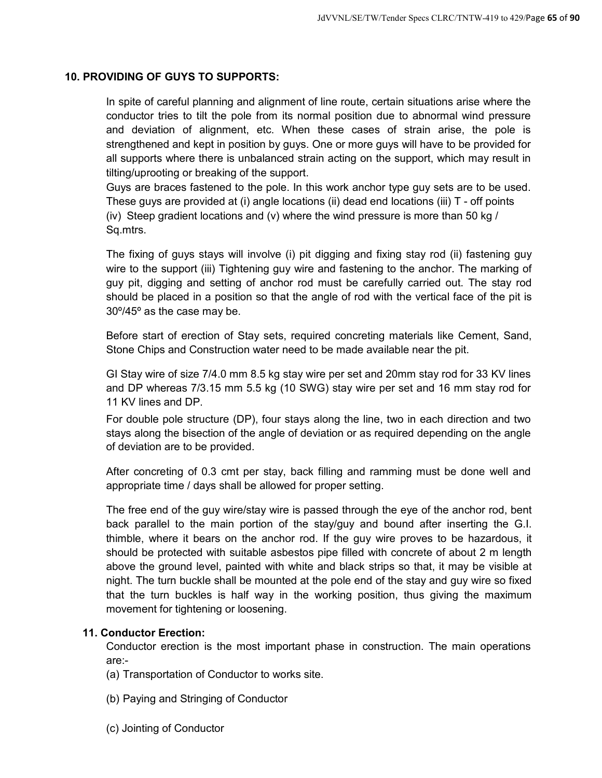## **10. PROVIDING OF GUYS TO SUPPORTS:**

In spite of careful planning and alignment of line route, certain situations arise where the conductor tries to tilt the pole from its normal position due to abnormal wind pressure and deviation of alignment, etc. When these cases of strain arise, the pole is strengthened and kept in position by guys. One or more guys will have to be provided for all supports where there is unbalanced strain acting on the support, which may result in tilting/uprooting or breaking of the support.

Guys are braces fastened to the pole. In this work anchor type guy sets are to be used. These guys are provided at (i) angle locations (ii) dead end locations (iii) T - off points (iv) Steep gradient locations and (v) where the wind pressure is more than 50 kg / Sq.mtrs.

The fixing of guys stays will involve (i) pit digging and fixing stay rod (ii) fastening guy wire to the support (iii) Tightening guy wire and fastening to the anchor. The marking of guy pit, digging and setting of anchor rod must be carefully carried out. The stay rod should be placed in a position so that the angle of rod with the vertical face of the pit is 30º/45º as the case may be.

Before start of erection of Stay sets, required concreting materials like Cement, Sand, Stone Chips and Construction water need to be made available near the pit.

GI Stay wire of size 7/4.0 mm 8.5 kg stay wire per set and 20mm stay rod for 33 KV lines and DP whereas 7/3.15 mm 5.5 kg (10 SWG) stay wire per set and 16 mm stay rod for 11 KV lines and DP.

For double pole structure (DP), four stays along the line, two in each direction and two stays along the bisection of the angle of deviation or as required depending on the angle of deviation are to be provided.

After concreting of 0.3 cmt per stay, back filling and ramming must be done well and appropriate time / days shall be allowed for proper setting.

The free end of the guy wire/stay wire is passed through the eye of the anchor rod, bent back parallel to the main portion of the stay/guy and bound after inserting the G.I. thimble, where it bears on the anchor rod. If the guy wire proves to be hazardous, it should be protected with suitable asbestos pipe filled with concrete of about 2 m length above the ground level, painted with white and black strips so that, it may be visible at night. The turn buckle shall be mounted at the pole end of the stay and guy wire so fixed that the turn buckles is half way in the working position, thus giving the maximum movement for tightening or loosening.

#### **11. Conductor Erection:**

Conductor erection is the most important phase in construction. The main operations are:-

- (a) Transportation of Conductor to works site.
- (b) Paying and Stringing of Conductor
- (c) Jointing of Conductor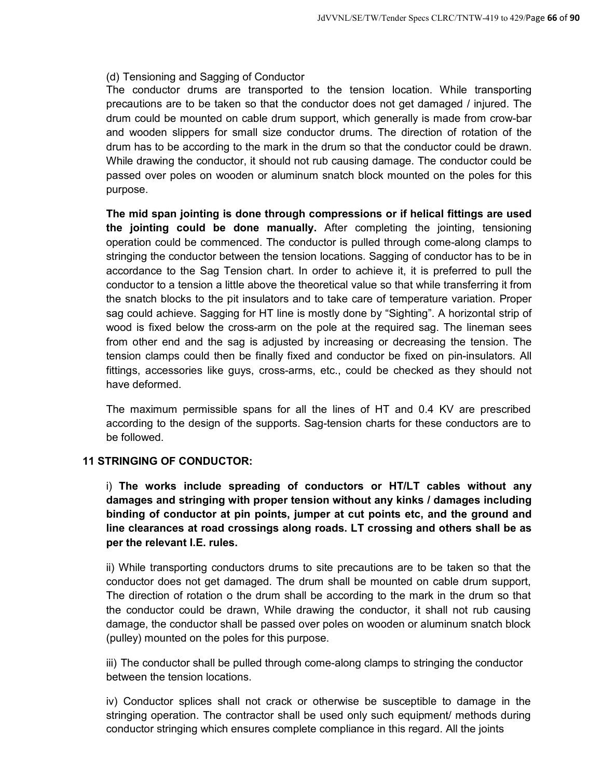#### (d) Tensioning and Sagging of Conductor

The conductor drums are transported to the tension location. While transporting precautions are to be taken so that the conductor does not get damaged / injured. The drum could be mounted on cable drum support, which generally is made from crow-bar and wooden slippers for small size conductor drums. The direction of rotation of the drum has to be according to the mark in the drum so that the conductor could be drawn. While drawing the conductor, it should not rub causing damage. The conductor could be passed over poles on wooden or aluminum snatch block mounted on the poles for this purpose.

**The mid span jointing is done through compressions or if helical fittings are used the jointing could be done manually.** After completing the jointing, tensioning operation could be commenced. The conductor is pulled through come-along clamps to stringing the conductor between the tension locations. Sagging of conductor has to be in accordance to the Sag Tension chart. In order to achieve it, it is preferred to pull the conductor to a tension a little above the theoretical value so that while transferring it from the snatch blocks to the pit insulators and to take care of temperature variation. Proper sag could achieve. Sagging for HT line is mostly done by "Sighting". A horizontal strip of wood is fixed below the cross-arm on the pole at the required sag. The lineman sees from other end and the sag is adjusted by increasing or decreasing the tension. The tension clamps could then be finally fixed and conductor be fixed on pin-insulators. All fittings, accessories like guys, cross-arms, etc., could be checked as they should not have deformed.

The maximum permissible spans for all the lines of HT and 0.4 KV are prescribed according to the design of the supports. Sag-tension charts for these conductors are to be followed.

## **11 STRINGING OF CONDUCTOR:**

i) **The works include spreading of conductors or HT/LT cables without any damages and stringing with proper tension without any kinks / damages including binding of conductor at pin points, jumper at cut points etc, and the ground and line clearances at road crossings along roads. LT crossing and others shall be as per the relevant I.E. rules.**

ii) While transporting conductors drums to site precautions are to be taken so that the conductor does not get damaged. The drum shall be mounted on cable drum support, The direction of rotation o the drum shall be according to the mark in the drum so that the conductor could be drawn, While drawing the conductor, it shall not rub causing damage, the conductor shall be passed over poles on wooden or aluminum snatch block (pulley) mounted on the poles for this purpose.

iii) The conductor shall be pulled through come-along clamps to stringing the conductor between the tension locations.

iv) Conductor splices shall not crack or otherwise be susceptible to damage in the stringing operation. The contractor shall be used only such equipment/ methods during conductor stringing which ensures complete compliance in this regard. All the joints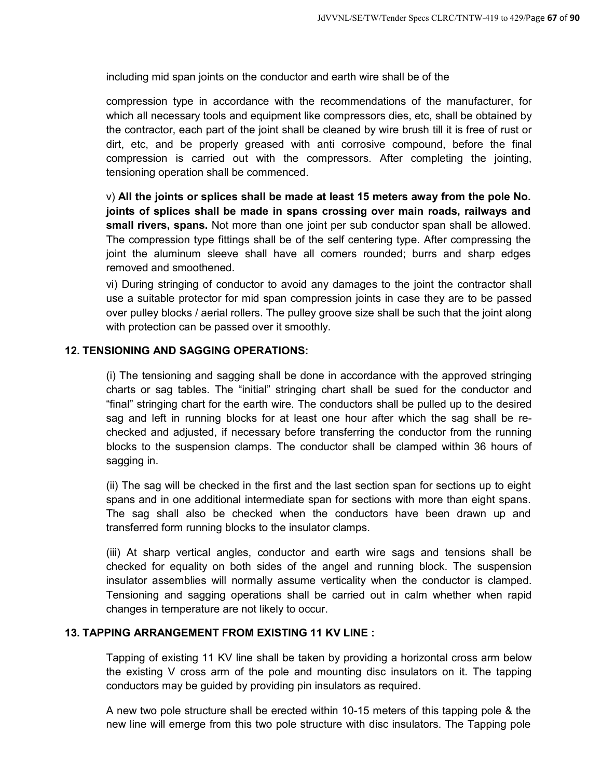including mid span joints on the conductor and earth wire shall be of the

compression type in accordance with the recommendations of the manufacturer, for which all necessary tools and equipment like compressors dies, etc, shall be obtained by the contractor, each part of the joint shall be cleaned by wire brush till it is free of rust or dirt, etc, and be properly greased with anti corrosive compound, before the final compression is carried out with the compressors. After completing the jointing, tensioning operation shall be commenced.

v) **All the joints or splices shall be made at least 15 meters away from the pole No. joints of splices shall be made in spans crossing over main roads, railways and small rivers, spans.** Not more than one joint per sub conductor span shall be allowed. The compression type fittings shall be of the self centering type. After compressing the joint the aluminum sleeve shall have all corners rounded; burrs and sharp edges removed and smoothened.

vi) During stringing of conductor to avoid any damages to the joint the contractor shall use a suitable protector for mid span compression joints in case they are to be passed over pulley blocks / aerial rollers. The pulley groove size shall be such that the joint along with protection can be passed over it smoothly.

## **12. TENSIONING AND SAGGING OPERATIONS:**

(i) The tensioning and sagging shall be done in accordance with the approved stringing charts or sag tables. The "initial" stringing chart shall be sued for the conductor and "final" stringing chart for the earth wire. The conductors shall be pulled up to the desired sag and left in running blocks for at least one hour after which the sag shall be rechecked and adjusted, if necessary before transferring the conductor from the running blocks to the suspension clamps. The conductor shall be clamped within 36 hours of sagging in.

(ii) The sag will be checked in the first and the last section span for sections up to eight spans and in one additional intermediate span for sections with more than eight spans. The sag shall also be checked when the conductors have been drawn up and transferred form running blocks to the insulator clamps.

(iii) At sharp vertical angles, conductor and earth wire sags and tensions shall be checked for equality on both sides of the angel and running block. The suspension insulator assemblies will normally assume verticality when the conductor is clamped. Tensioning and sagging operations shall be carried out in calm whether when rapid changes in temperature are not likely to occur.

#### **13. TAPPING ARRANGEMENT FROM EXISTING 11 KV LINE :**

Tapping of existing 11 KV line shall be taken by providing a horizontal cross arm below the existing V cross arm of the pole and mounting disc insulators on it. The tapping conductors may be guided by providing pin insulators as required.

A new two pole structure shall be erected within 10-15 meters of this tapping pole & the new line will emerge from this two pole structure with disc insulators. The Tapping pole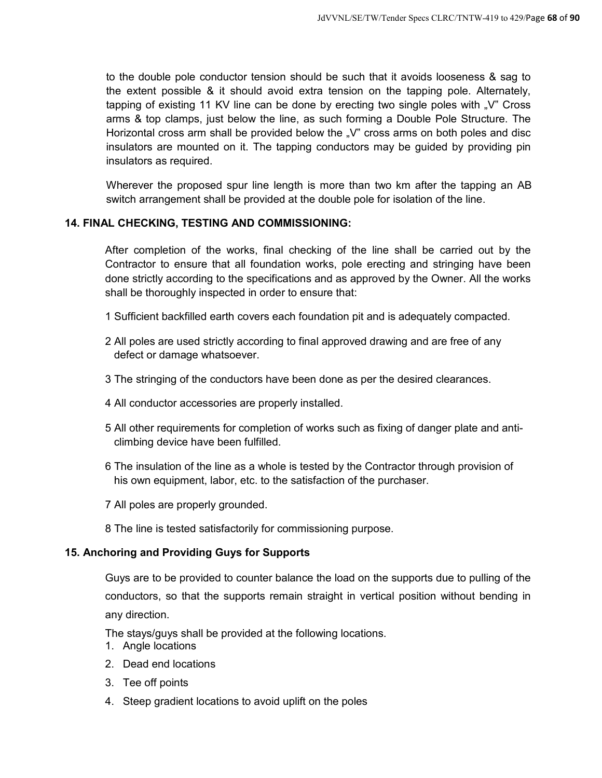to the double pole conductor tension should be such that it avoids looseness & sag to the extent possible & it should avoid extra tension on the tapping pole. Alternately, tapping of existing 11 KV line can be done by erecting two single poles with  $\sqrt{ }$  Cross arms & top clamps, just below the line, as such forming a Double Pole Structure. The Horizontal cross arm shall be provided below the  $\sqrt{v}$  cross arms on both poles and disc insulators are mounted on it. The tapping conductors may be guided by providing pin insulators as required.

Wherever the proposed spur line length is more than two km after the tapping an AB switch arrangement shall be provided at the double pole for isolation of the line.

## **14. FINAL CHECKING, TESTING AND COMMISSIONING:**

After completion of the works, final checking of the line shall be carried out by the Contractor to ensure that all foundation works, pole erecting and stringing have been done strictly according to the specifications and as approved by the Owner. All the works shall be thoroughly inspected in order to ensure that:

- 1 Sufficient backfilled earth covers each foundation pit and is adequately compacted.
- 2 All poles are used strictly according to final approved drawing and are free of any defect or damage whatsoever.
- 3 The stringing of the conductors have been done as per the desired clearances.
- 4 All conductor accessories are properly installed.
- 5 All other requirements for completion of works such as fixing of danger plate and anticlimbing device have been fulfilled.
- 6 The insulation of the line as a whole is tested by the Contractor through provision of his own equipment, labor, etc. to the satisfaction of the purchaser.
- 7 All poles are properly grounded.
- 8 The line is tested satisfactorily for commissioning purpose.

#### **15. Anchoring and Providing Guys for Supports**

Guys are to be provided to counter balance the load on the supports due to pulling of the conductors, so that the supports remain straight in vertical position without bending in any direction.

The stays/guys shall be provided at the following locations.

- 1. Angle locations
- 2. Dead end locations
- 3. Tee off points
- 4. Steep gradient locations to avoid uplift on the poles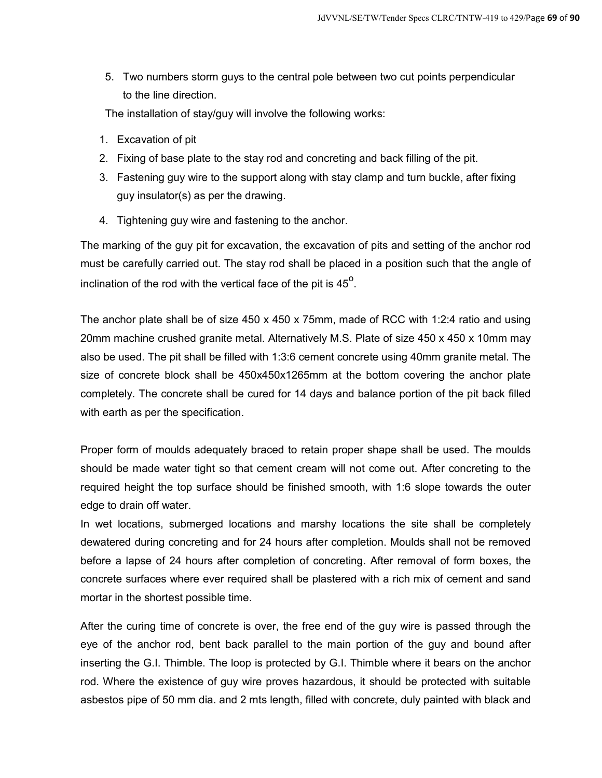5. Two numbers storm guys to the central pole between two cut points perpendicular to the line direction.

The installation of stay/guy will involve the following works:

- 1. Excavation of pit
- 2. Fixing of base plate to the stay rod and concreting and back filling of the pit.
- 3. Fastening guy wire to the support along with stay clamp and turn buckle, after fixing guy insulator(s) as per the drawing.
- 4. Tightening guy wire and fastening to the anchor.

The marking of the guy pit for excavation, the excavation of pits and setting of the anchor rod must be carefully carried out. The stay rod shall be placed in a position such that the angle of inclination of the rod with the vertical face of the pit is  $45^{\circ}$ .

The anchor plate shall be of size 450 x 450 x 75mm, made of RCC with 1:2:4 ratio and using 20mm machine crushed granite metal. Alternatively M.S. Plate of size 450 x 450 x 10mm may also be used. The pit shall be filled with 1:3:6 cement concrete using 40mm granite metal. The size of concrete block shall be 450x450x1265mm at the bottom covering the anchor plate completely. The concrete shall be cured for 14 days and balance portion of the pit back filled with earth as per the specification.

Proper form of moulds adequately braced to retain proper shape shall be used. The moulds should be made water tight so that cement cream will not come out. After concreting to the required height the top surface should be finished smooth, with 1:6 slope towards the outer edge to drain off water.

In wet locations, submerged locations and marshy locations the site shall be completely dewatered during concreting and for 24 hours after completion. Moulds shall not be removed before a lapse of 24 hours after completion of concreting. After removal of form boxes, the concrete surfaces where ever required shall be plastered with a rich mix of cement and sand mortar in the shortest possible time.

After the curing time of concrete is over, the free end of the guy wire is passed through the eye of the anchor rod, bent back parallel to the main portion of the guy and bound after inserting the G.I. Thimble. The loop is protected by G.I. Thimble where it bears on the anchor rod. Where the existence of guy wire proves hazardous, it should be protected with suitable asbestos pipe of 50 mm dia. and 2 mts length, filled with concrete, duly painted with black and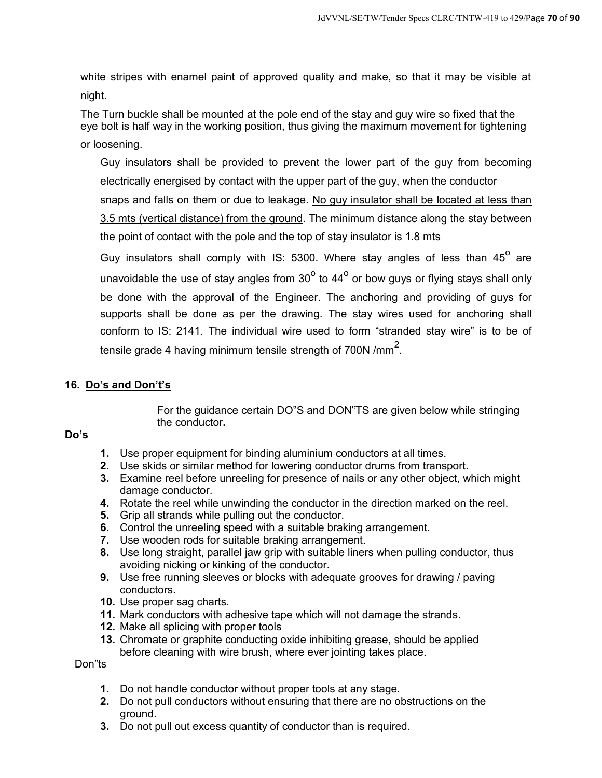white stripes with enamel paint of approved quality and make, so that it may be visible at night.

The Turn buckle shall be mounted at the pole end of the stay and guy wire so fixed that the eye bolt is half way in the working position, thus giving the maximum movement for tightening or loosening.

Guy insulators shall be provided to prevent the lower part of the guy from becoming electrically energised by contact with the upper part of the guy, when the conductor snaps and falls on them or due to leakage. No guy insulator shall be located at less than 3.5 mts (vertical distance) from the ground. The minimum distance along the stay between the point of contact with the pole and the top of stay insulator is 1.8 mts

Guy insulators shall comply with IS: 5300. Where stay angles of less than  $45^{\circ}$  are unavoidable the use of stay angles from 30 $^{\circ}$  to 44 $^{\circ}$  or bow guys or flying stays shall only be done with the approval of the Engineer. The anchoring and providing of guys for supports shall be done as per the drawing. The stay wires used for anchoring shall conform to IS: 2141. The individual wire used to form "stranded stay wire" is to be of tensile grade 4 having minimum tensile strength of 700N /mm $^2_\cdot$ 

## **16. Do's and Don't's**

For the guidance certain DO"S and DON"TS are given below while stringing the conductor**.** 

## **Do's**

- **1.** Use proper equipment for binding aluminium conductors at all times.
- **2.** Use skids or similar method for lowering conductor drums from transport.
- **3.** Examine reel before unreeling for presence of nails or any other object, which might damage conductor.
- **4.** Rotate the reel while unwinding the conductor in the direction marked on the reel.
- **5.** Grip all strands while pulling out the conductor.
- **6.** Control the unreeling speed with a suitable braking arrangement.
- **7.** Use wooden rods for suitable braking arrangement.
- **8.** Use long straight, parallel jaw grip with suitable liners when pulling conductor, thus avoiding nicking or kinking of the conductor.
- **9.** Use free running sleeves or blocks with adequate grooves for drawing / paving conductors.
- **10.** Use proper sag charts.
- **11.** Mark conductors with adhesive tape which will not damage the strands.
- **12.** Make all splicing with proper tools
- **13.** Chromate or graphite conducting oxide inhibiting grease, should be applied before cleaning with wire brush, where ever jointing takes place.

Don"ts

- **1.** Do not handle conductor without proper tools at any stage.
- **2.** Do not pull conductors without ensuring that there are no obstructions on the ground.
- **3.** Do not pull out excess quantity of conductor than is required.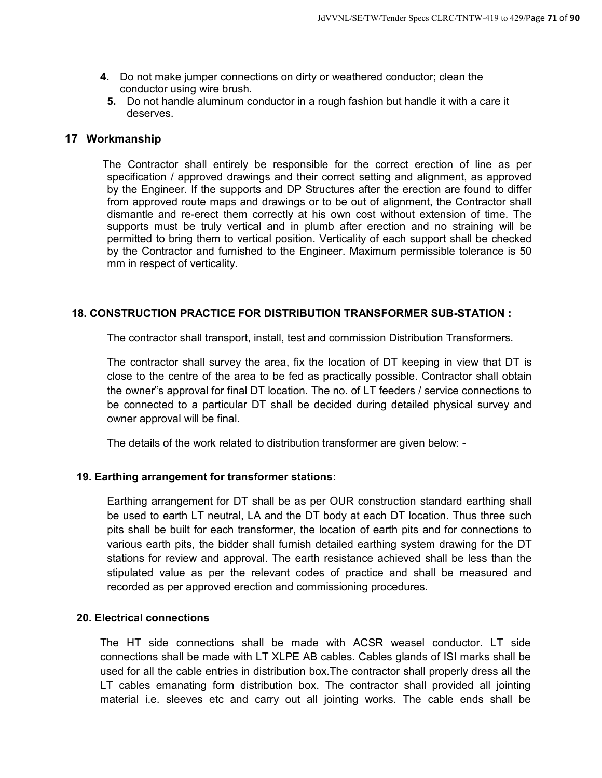- **4.** Do not make jumper connections on dirty or weathered conductor; clean the conductor using wire brush.
- **5.** Do not handle aluminum conductor in a rough fashion but handle it with a care it deserves.

#### **17 Workmanship**

The Contractor shall entirely be responsible for the correct erection of line as per specification / approved drawings and their correct setting and alignment, as approved by the Engineer. If the supports and DP Structures after the erection are found to differ from approved route maps and drawings or to be out of alignment, the Contractor shall dismantle and re-erect them correctly at his own cost without extension of time. The supports must be truly vertical and in plumb after erection and no straining will be permitted to bring them to vertical position. Verticality of each support shall be checked by the Contractor and furnished to the Engineer. Maximum permissible tolerance is 50 mm in respect of verticality.

#### **18. CONSTRUCTION PRACTICE FOR DISTRIBUTION TRANSFORMER SUB-STATION :**

The contractor shall transport, install, test and commission Distribution Transformers.

The contractor shall survey the area, fix the location of DT keeping in view that DT is close to the centre of the area to be fed as practically possible. Contractor shall obtain the owner"s approval for final DT location. The no. of LT feeders / service connections to be connected to a particular DT shall be decided during detailed physical survey and owner approval will be final.

The details of the work related to distribution transformer are given below: -

#### **19. Earthing arrangement for transformer stations:**

Earthing arrangement for DT shall be as per OUR construction standard earthing shall be used to earth LT neutral, LA and the DT body at each DT location. Thus three such pits shall be built for each transformer, the location of earth pits and for connections to various earth pits, the bidder shall furnish detailed earthing system drawing for the DT stations for review and approval. The earth resistance achieved shall be less than the stipulated value as per the relevant codes of practice and shall be measured and recorded as per approved erection and commissioning procedures.

#### **20. Electrical connections**

The HT side connections shall be made with ACSR weasel conductor. LT side connections shall be made with LT XLPE AB cables. Cables glands of ISI marks shall be used for all the cable entries in distribution box.The contractor shall properly dress all the LT cables emanating form distribution box. The contractor shall provided all jointing material i.e. sleeves etc and carry out all jointing works. The cable ends shall be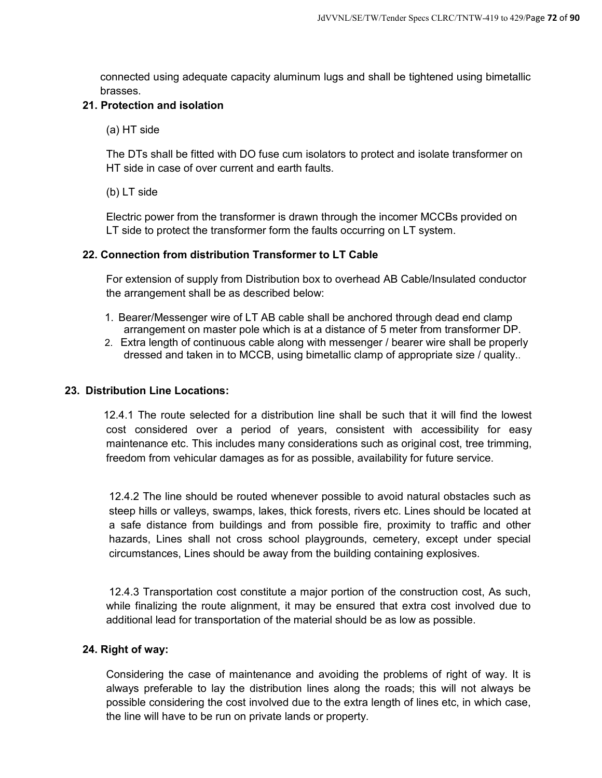connected using adequate capacity aluminum lugs and shall be tightened using bimetallic brasses.

## **21. Protection and isolation**

(a) HT side

The DTs shall be fitted with DO fuse cum isolators to protect and isolate transformer on HT side in case of over current and earth faults.

(b) LT side

Electric power from the transformer is drawn through the incomer MCCBs provided on LT side to protect the transformer form the faults occurring on LT system.

## **22. Connection from distribution Transformer to LT Cable**

For extension of supply from Distribution box to overhead AB Cable/Insulated conductor the arrangement shall be as described below:

- 1. Bearer/Messenger wire of LT AB cable shall be anchored through dead end clamp arrangement on master pole which is at a distance of 5 meter from transformer DP.
- 2. Extra length of continuous cable along with messenger / bearer wire shall be properly dressed and taken in to MCCB, using bimetallic clamp of appropriate size / quality..

## **23. Distribution Line Locations:**

12.4.1 The route selected for a distribution line shall be such that it will find the lowest cost considered over a period of years, consistent with accessibility for easy maintenance etc. This includes many considerations such as original cost, tree trimming, freedom from vehicular damages as for as possible, availability for future service.

12.4.2 The line should be routed whenever possible to avoid natural obstacles such as steep hills or valleys, swamps, lakes, thick forests, rivers etc. Lines should be located at a safe distance from buildings and from possible fire, proximity to traffic and other hazards, Lines shall not cross school playgrounds, cemetery, except under special circumstances, Lines should be away from the building containing explosives.

12.4.3 Transportation cost constitute a major portion of the construction cost, As such, while finalizing the route alignment, it may be ensured that extra cost involved due to additional lead for transportation of the material should be as low as possible.

#### **24. Right of way:**

Considering the case of maintenance and avoiding the problems of right of way. It is always preferable to lay the distribution lines along the roads; this will not always be possible considering the cost involved due to the extra length of lines etc, in which case, the line will have to be run on private lands or property.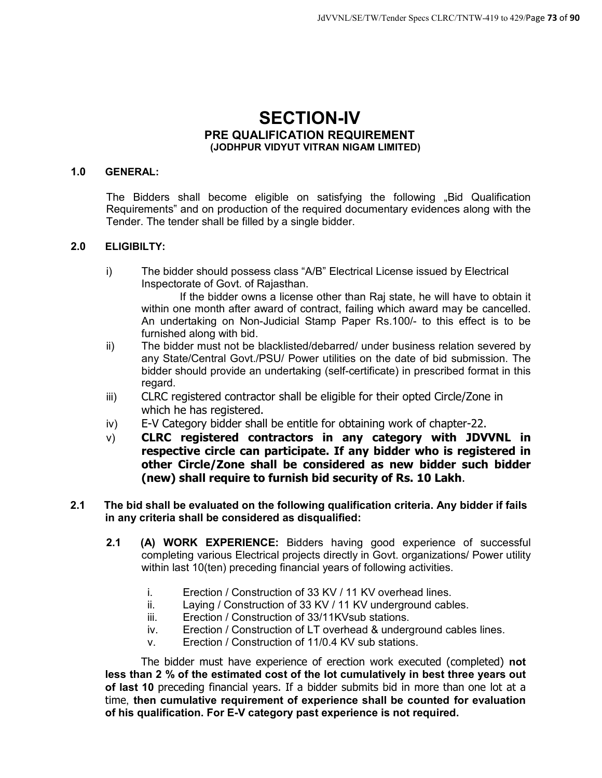# **SECTION-IV PRE QUALIFICATION REQUIREMENT (JODHPUR VIDYUT VITRAN NIGAM LIMITED)**

### **1.0 GENERAL:**

The Bidders shall become eligible on satisfying the following ..Bid Qualification Requirements" and on production of the required documentary evidences along with the Tender. The tender shall be filled by a single bidder.

### **2.0 ELIGIBILTY:**

i) The bidder should possess class "A/B" Electrical License issued by Electrical Inspectorate of Govt. of Rajasthan.

If the bidder owns a license other than Raj state, he will have to obtain it within one month after award of contract, failing which award may be cancelled. An undertaking on Non-Judicial Stamp Paper Rs.100/- to this effect is to be furnished along with bid.

- ii) The bidder must not be blacklisted/debarred/ under business relation severed by any State/Central Govt./PSU/ Power utilities on the date of bid submission. The bidder should provide an undertaking (self-certificate) in prescribed format in this regard.
- iii) CLRC registered contractor shall be eligible for their opted Circle/Zone in which he has registered.
- iv) E-V Category bidder shall be entitle for obtaining work of chapter-22.
- v) **CLRC registered contractors in any category with JDVVNL in respective circle can participate. If any bidder who is registered in other Circle/Zone shall be considered as new bidder such bidder (new) shall require to furnish bid security of Rs. 10 Lakh**.
- **2.1 The bid shall be evaluated on the following qualification criteria. Any bidder if fails in any criteria shall be considered as disqualified:** 
	- **2.1 (A) WORK EXPERIENCE:** Bidders having good experience of successful completing various Electrical projects directly in Govt. organizations/ Power utility within last 10(ten) preceding financial years of following activities.
		- i. Erection / Construction of 33 KV / 11 KV overhead lines.
		- ii. Laying / Construction of 33 KV / 11 KV underground cables.
		- iii. Erection / Construction of 33/11KVsub stations.
		- iv. Erection / Construction of LT overhead & underground cables lines.
		- v. Erection / Construction of 11/0.4 KV sub stations.

The bidder must have experience of erection work executed (completed) **not less than 2 % of the estimated cost of the lot cumulatively in best three years out of last 10** preceding financial years. If a bidder submits bid in more than one lot at a time, **then cumulative requirement of experience shall be counted for evaluation of his qualification. For E-V category past experience is not required.**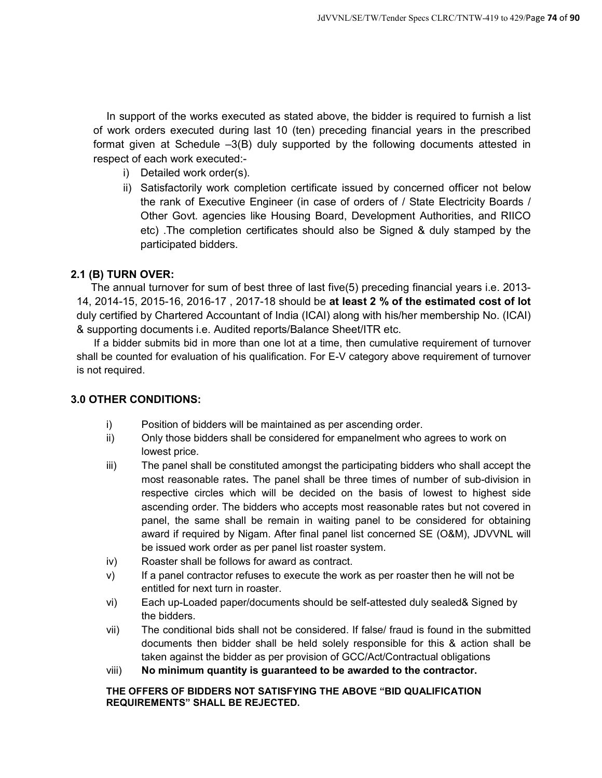In support of the works executed as stated above, the bidder is required to furnish a list of work orders executed during last 10 (ten) preceding financial years in the prescribed format given at Schedule –3(B) duly supported by the following documents attested in respect of each work executed:-

- i) Detailed work order(s).
- ii) Satisfactorily work completion certificate issued by concerned officer not below the rank of Executive Engineer (in case of orders of / State Electricity Boards / Other Govt. agencies like Housing Board, Development Authorities, and RIICO etc) .The completion certificates should also be Signed & duly stamped by the participated bidders.

### **2.1 (B) TURN OVER:**

The annual turnover for sum of best three of last five(5) preceding financial years i.e. 2013- 14, 2014-15, 2015-16, 2016-17 , 2017-18 should be **at least 2 % of the estimated cost of lot** duly certified by Chartered Accountant of India (ICAI) along with his/her membership No. (ICAI) & supporting documents i.e. Audited reports/Balance Sheet/ITR etc.

If a bidder submits bid in more than one lot at a time, then cumulative requirement of turnover shall be counted for evaluation of his qualification. For E-V category above requirement of turnover is not required.

### **3.0 OTHER CONDITIONS:**

- i) Position of bidders will be maintained as per ascending order.
- ii) Only those bidders shall be considered for empanelment who agrees to work on lowest price.
- iii) The panel shall be constituted amongst the participating bidders who shall accept the most reasonable rates. The panel shall be three times of number of sub-division in respective circles which will be decided on the basis of lowest to highest side ascending order. The bidders who accepts most reasonable rates but not covered in panel, the same shall be remain in waiting panel to be considered for obtaining award if required by Nigam. After final panel list concerned SE (O&M), JDVVNL will be issued work order as per panel list roaster system.
- iv) Roaster shall be follows for award as contract.
- v) If a panel contractor refuses to execute the work as per roaster then he will not be entitled for next turn in roaster.
- vi) Each up-Loaded paper/documents should be self-attested duly sealed& Signed by the bidders.
- vii) The conditional bids shall not be considered. If false/ fraud is found in the submitted documents then bidder shall be held solely responsible for this & action shall be taken against the bidder as per provision of GCC/Act/Contractual obligations
- viii) **No minimum quantity is guaranteed to be awarded to the contractor.**

### **THE OFFERS OF BIDDERS NOT SATISFYING THE ABOVE "BID QUALIFICATION REQUIREMENTS" SHALL BE REJECTED.**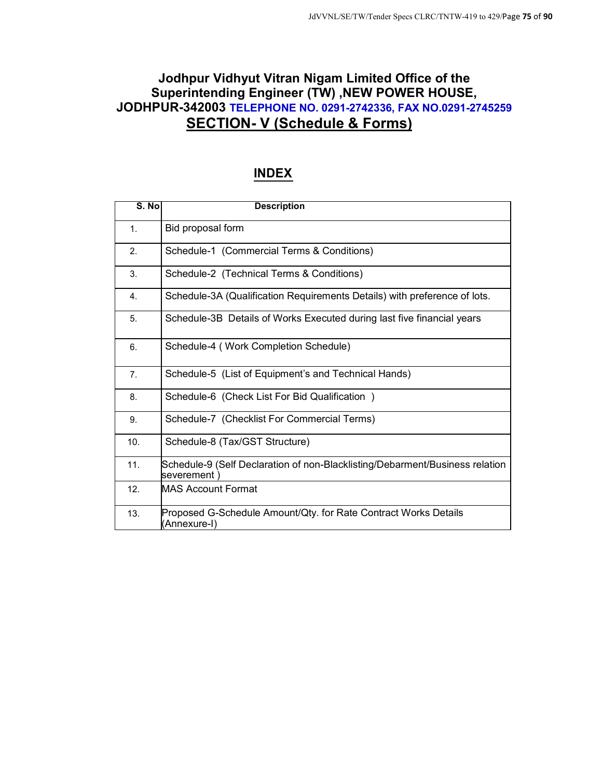# **Jodhpur Vidhyut Vitran Nigam Limited Office of the Superintending Engineer (TW) ,NEW POWER HOUSE, JODHPUR-342003 TELEPHONE NO. 0291-2742336, FAX NO.0291-2745259 SECTION- V (Schedule & Forms)**

# **INDEX**

| S. No          | <b>Description</b>                                                                          |
|----------------|---------------------------------------------------------------------------------------------|
| 1.             | Bid proposal form                                                                           |
| 2.             | Schedule-1 (Commercial Terms & Conditions)                                                  |
| 3.             | Schedule-2 (Technical Terms & Conditions)                                                   |
| 4.             | Schedule-3A (Qualification Requirements Details) with preference of lots.                   |
| 5.             | Schedule-3B Details of Works Executed during last five financial years                      |
| 6.             | Schedule-4 (Work Completion Schedule)                                                       |
| 7 <sub>1</sub> | Schedule-5 (List of Equipment's and Technical Hands)                                        |
| 8.             | Schedule-6 (Check List For Bid Qualification)                                               |
| 9.             | Schedule-7 (Checklist For Commercial Terms)                                                 |
| 10.            | Schedule-8 (Tax/GST Structure)                                                              |
| 11.            | Schedule-9 (Self Declaration of non-Blacklisting/Debarment/Business relation<br>severement) |
| 12.            | <b>MAS Account Format</b>                                                                   |
| 13.            | Proposed G-Schedule Amount/Qty. for Rate Contract Works Details<br>(Annexure-I)             |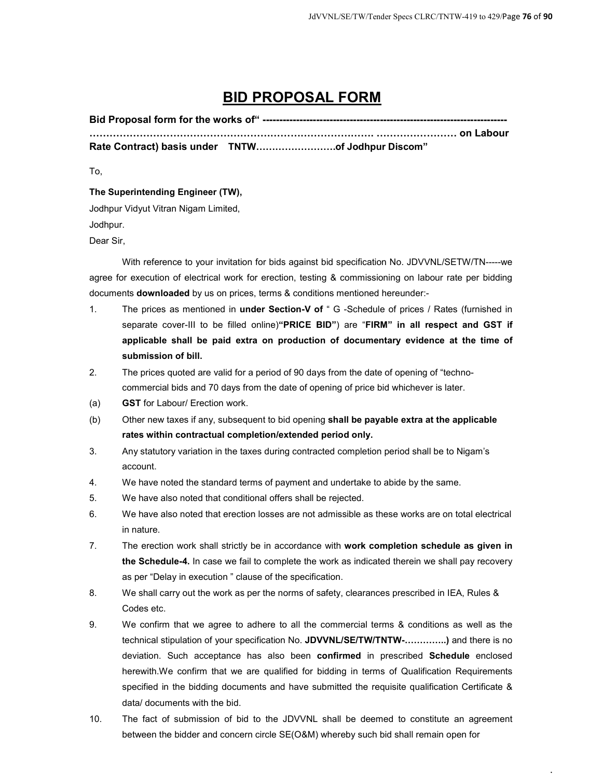# **BID PROPOSAL FORM**

**Bid Proposal form for the works of" ------------------------------------------------------------------------- SSSSSSSSSSSSSSSSSSSSSSSSSSSS. SSSSSSSS on Labour**  Rate Contract) basis under **TNTW..........................of Jodhpur Discom"** 

To,

**The Superintending Engineer (TW),** 

Jodhpur Vidyut Vitran Nigam Limited,

Jodhpur.

Dear Sir,

With reference to your invitation for bids against bid specification No. JDVVNL/SETW/TN-----we agree for execution of electrical work for erection, testing & commissioning on labour rate per bidding documents **downloaded** by us on prices, terms & conditions mentioned hereunder:-

- 1. The prices as mentioned in **under Section-V of** " G -Schedule of prices / Rates (furnished in separate cover-III to be filled online)**"PRICE BID"**) are "**FIRM" in all respect and GST if applicable shall be paid extra on production of documentary evidence at the time of submission of bill.**
- 2. The prices quoted are valid for a period of 90 days from the date of opening of "technocommercial bids and 70 days from the date of opening of price bid whichever is later.
- (a) **GST** for Labour/ Erection work.
- (b) Other new taxes if any, subsequent to bid opening **shall be payable extra at the applicable rates within contractual completion/extended period only.**
- 3. Any statutory variation in the taxes during contracted completion period shall be to Nigam's account.
- 4. We have noted the standard terms of payment and undertake to abide by the same.
- 5. We have also noted that conditional offers shall be rejected.
- 6. We have also noted that erection losses are not admissible as these works are on total electrical in nature.
- 7. The erection work shall strictly be in accordance with **work completion schedule as given in the Schedule-4.** In case we fail to complete the work as indicated therein we shall pay recovery as per "Delay in execution " clause of the specification.
- 8. We shall carry out the work as per the norms of safety, clearances prescribed in IEA, Rules & Codes etc.
- 9. We confirm that we agree to adhere to all the commercial terms & conditions as well as the technical stipulation of your specification No. JDVVNL/SE/TW/TNTW-..............) and there is no deviation. Such acceptance has also been **confirmed** in prescribed **Schedule** enclosed herewith.We confirm that we are qualified for bidding in terms of Qualification Requirements specified in the bidding documents and have submitted the requisite qualification Certificate & data/ documents with the bid.
- 10. The fact of submission of bid to the JDVVNL shall be deemed to constitute an agreement between the bidder and concern circle SE(O&M) whereby such bid shall remain open for

.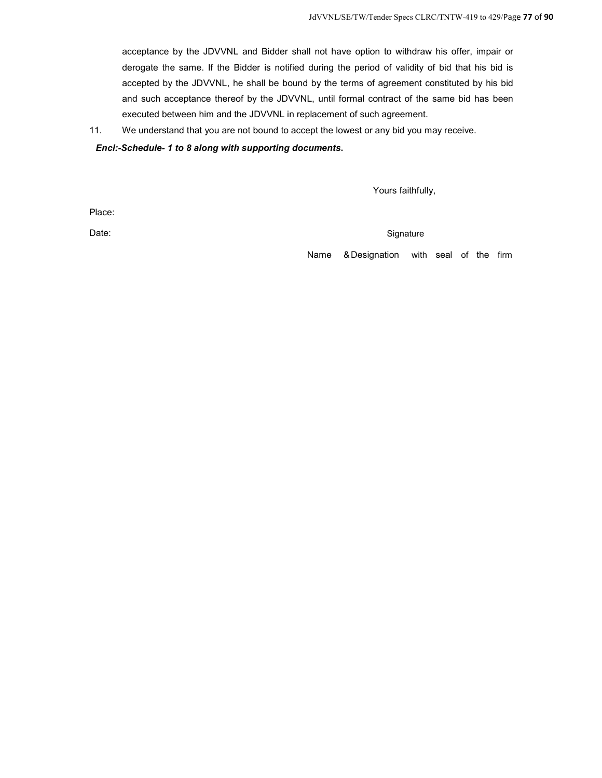acceptance by the JDVVNL and Bidder shall not have option to withdraw his offer, impair or derogate the same. If the Bidder is notified during the period of validity of bid that his bid is accepted by the JDVVNL, he shall be bound by the terms of agreement constituted by his bid and such acceptance thereof by the JDVVNL, until formal contract of the same bid has been executed between him and the JDVVNL in replacement of such agreement.

11. We understand that you are not bound to accept the lowest or any bid you may receive.

#### *Encl:-Schedule- 1 to 8 along with supporting documents***.**

Yours faithfully,

Place:

Date: Signature Contract Contract Contract Contract Contract Contract Contract Contract Contract Contract Contract Contract Contract Contract Contract Contract Contract Contract Contract Contract Contract Contract Contract

Name & Designation with seal of the firm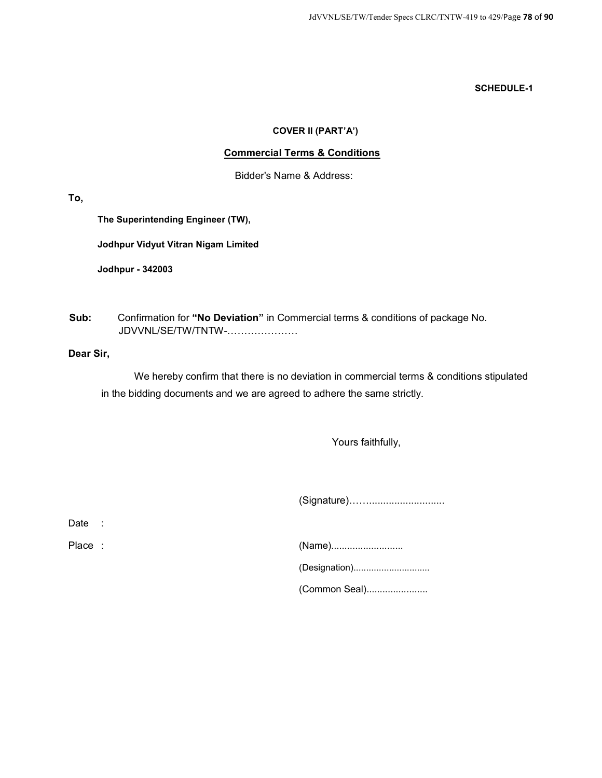### **COVER II (PART'A')**

### **Commercial Terms & Conditions**

Bidder's Name & Address:

**To,** 

**The Superintending Engineer (TW),** 

**Jodhpur Vidyut Vitran Nigam Limited** 

**Jodhpur - 342003** 

**Sub:** Confirmation for **"No Deviation"** in Commercial terms & conditions of package No. JDVVNL/SE/TW/TNTW-....................

### **Dear Sir,**

We hereby confirm that there is no deviation in commercial terms & conditions stipulated in the bidding documents and we are agreed to adhere the same strictly.

Yours faithfully,

(Signature)[[...........................

Date :

| Place: | (Name)        |
|--------|---------------|
|        |               |
|        | (Common Seal) |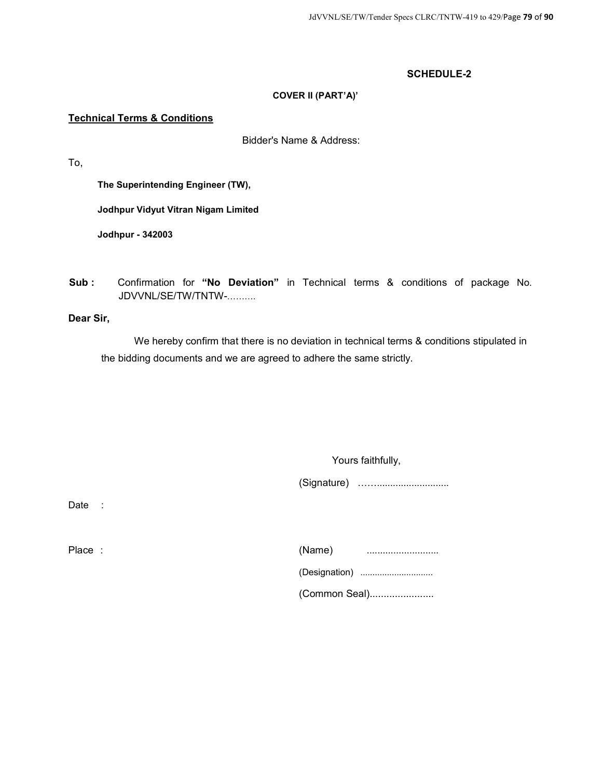### **COVER II (PART'A)'**

### **Technical Terms & Conditions**

Bidder's Name & Address:

To,

**The Superintending Engineer (TW),** 

**Jodhpur Vidyut Vitran Nigam Limited** 

**Jodhpur - 342003** 

**Sub :** Confirmation for **"No Deviation"** in Technical terms & conditions of package No. JDVVNL/SE/TW/TNTW-..........

**Dear Sir,** 

We hereby confirm that there is no deviation in technical terms & conditions stipulated in the bidding documents and we are agreed to adhere the same strictly.

Yours faithfully,

(Signature) [[...........................

Date :

| Place: | (Name)<br>    |
|--------|---------------|
|        |               |
|        | (Common Seal) |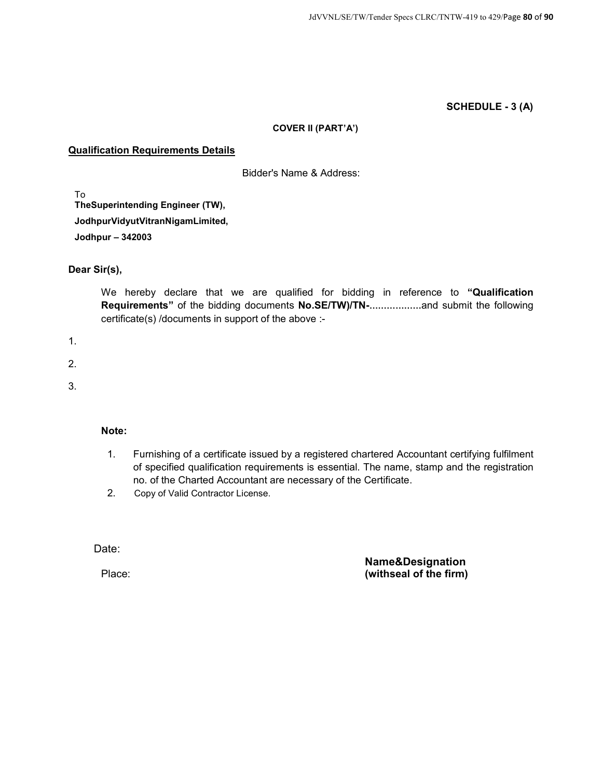### **SCHEDULE - 3 (A)**

#### **COVER II (PART'A')**

### **Qualification Requirements Details**

Bidder's Name & Address:

To **TheSuperintending Engineer (TW), JodhpurVidyutVitranNigamLimited, Jodhpur – 342003** 

### **Dear Sir(s),**

We hereby declare that we are qualified for bidding in reference to **"Qualification Requirements"** of the bidding documents **No.SE/TW)/TN-**....................and submit the following certificate(s) /documents in support of the above :-

1.

- 2.
- 3.

### **Note:**

- 1. Furnishing of a certificate issued by a registered chartered Accountant certifying fulfilment of specified qualification requirements is essential. The name, stamp and the registration no. of the Charted Accountant are necessary of the Certificate.
- 2. Copy of Valid Contractor License.

Date:

Place:

**Name&Designation (withseal of the firm)**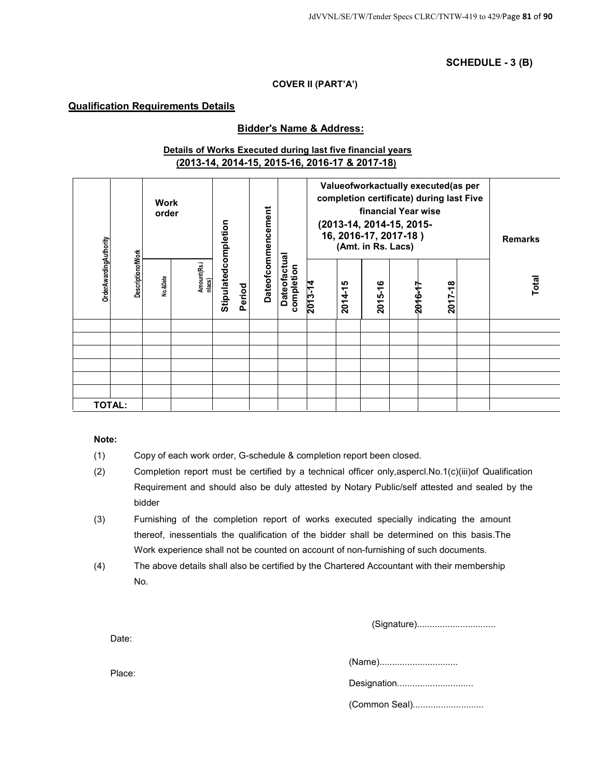**SCHEDULE - 3 (B)** 

#### **COVER II (PART'A')**

### **Qualification Requirements Details**

#### **Bidder's Name & Address:**

### **Details of Works Executed during last five financial years (2013-14, 2014-15, 2015-16, 2016-17 & 2017-18)**

|                               |                          | <b>Work</b><br>order |                       |                      | Dateofcommencement |                            |         |         | financial Year wise<br>(2013-14, 2014-15, 2015-<br>16, 2016-17, 2017-18)<br>(Amt. in Rs. Lacs) | Valueofworkactually executed(as per<br>completion certificate) during last Five | <b>Remarks</b> |
|-------------------------------|--------------------------|----------------------|-----------------------|----------------------|--------------------|----------------------------|---------|---------|------------------------------------------------------------------------------------------------|---------------------------------------------------------------------------------|----------------|
| <b>OrderAwardingAuthority</b> | <b>DescriptionofWork</b> | No.&Date             | Amount(Rs.i<br>nlacs) | Stipulatedcompletion | Period             | Dateofactual<br>completion | 2013-14 | 2014-15 | 2015-16                                                                                        | 2017-18<br>2016-17                                                              | Total          |
|                               |                          |                      |                       |                      |                    |                            |         |         |                                                                                                |                                                                                 |                |
|                               |                          |                      |                       |                      |                    |                            |         |         |                                                                                                |                                                                                 |                |
|                               |                          |                      |                       |                      |                    |                            |         |         |                                                                                                |                                                                                 |                |
|                               |                          |                      |                       |                      |                    |                            |         |         |                                                                                                |                                                                                 |                |
|                               |                          |                      |                       |                      |                    |                            |         |         |                                                                                                |                                                                                 |                |
|                               | <b>TOTAL:</b>            |                      |                       |                      |                    |                            |         |         |                                                                                                |                                                                                 |                |

#### **Note:**

(1) Copy of each work order, G-schedule & completion report been closed.

- (2) Completion report must be certified by a technical officer only,aspercl.No.1(c)(iii)of Qualification Requirement and should also be duly attested by Notary Public/self attested and sealed by the bidder
- (3) Furnishing of the completion report of works executed specially indicating the amount thereof, inessentials the qualification of the bidder shall be determined on this basis.The Work experience shall not be counted on account of non-furnishing of such documents.
- (4) The above details shall also be certified by the Chartered Accountant with their membership No.

(Signature)...............................

Date:

(Name)...............................

Designation..............................

(Common Seal)............................

Place: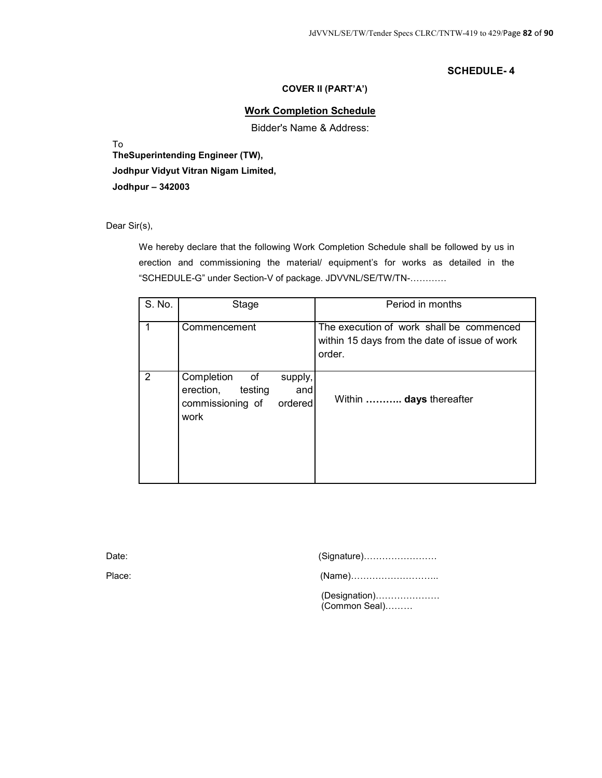#### **COVER II (PART'A')**

### **Work Completion Schedule**

Bidder's Name & Address:

To

**TheSuperintending Engineer (TW), Jodhpur Vidyut Vitran Nigam Limited, Jodhpur – 342003** 

Dear Sir(s),

We hereby declare that the following Work Completion Schedule shall be followed by us in erection and commissioning the material/ equipment's for works as detailed in the "SCHEDULE-G" under Section-V of package. JDVVNL/SE/TW/TN-............

| S. No. | Stage                                                                                                                                                                             |                           | Period in months                                                                                    |
|--------|-----------------------------------------------------------------------------------------------------------------------------------------------------------------------------------|---------------------------|-----------------------------------------------------------------------------------------------------|
| 1      | Commencement                                                                                                                                                                      |                           | The execution of work shall be commenced<br>within 15 days from the date of issue of work<br>order. |
| 2      | Completion<br>of the contract of the contract of the contract of the contract of the contract of the contract of the contract<br>testing<br>erection,<br>commissioning of<br>work | supply,<br>and<br>ordered | Within  days thereafter                                                                             |

| Date:  |                                |
|--------|--------------------------------|
| Place: |                                |
|        | (Designation)<br>(Common Seal) |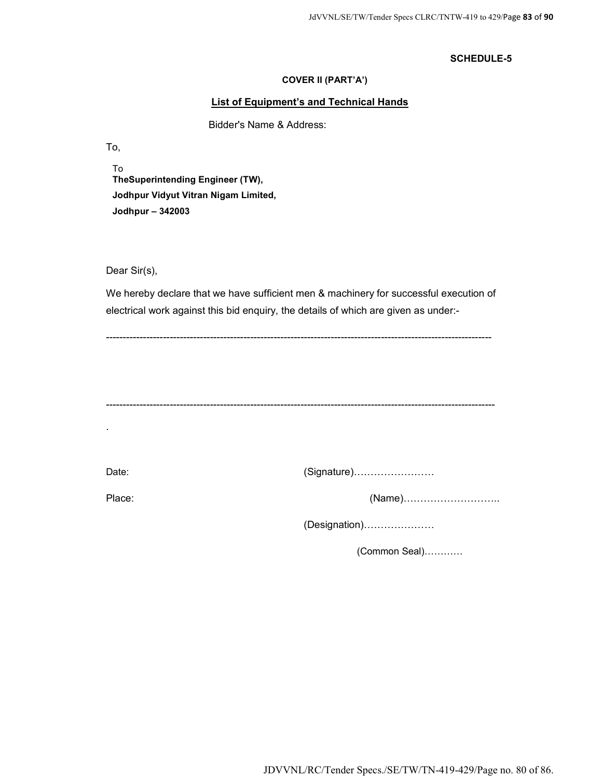#### **COVER II (PART'A')**

#### **List of Equipment's and Technical Hands**

Bidder's Name & Address:

To,

To **TheSuperintending Engineer (TW), Jodhpur Vidyut Vitran Nigam Limited, Jodhpur – 342003** 

Dear Sir(s),

We hereby declare that we have sufficient men & machinery for successful execution of electrical work against this bid enquiry, the details of which are given as under:-

--------------------------------------------------------------------------------------------------------------------

-------------------------------------------------------------------------------------------------------------------

.

Date: (Signature)[[[[[[[[

Place: (Name)[[[[[[[[[..

(Designation)[[[[[[[

 $(Common Seal)$ ............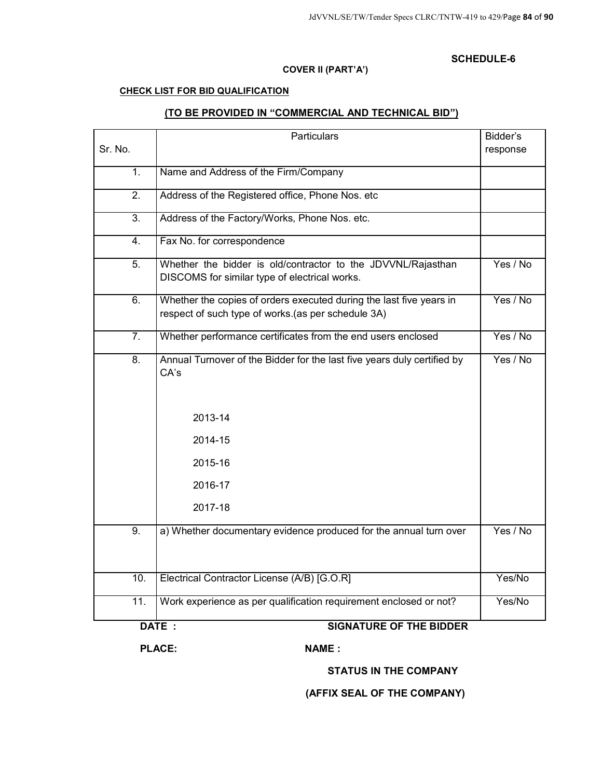### **COVER II (PART'A')**

#### **CHECK LIST FOR BID QUALIFICATION**

### **(TO BE PROVIDED IN "COMMERCIAL AND TECHNICAL BID")**

| Sr. No.          | Particulars                                                                                                               | Bidder's<br>response |
|------------------|---------------------------------------------------------------------------------------------------------------------------|----------------------|
|                  |                                                                                                                           |                      |
| $\overline{1}$ . | Name and Address of the Firm/Company                                                                                      |                      |
| $\overline{2}$ . | Address of the Registered office, Phone Nos. etc                                                                          |                      |
| $\overline{3}$ . | Address of the Factory/Works, Phone Nos. etc.                                                                             |                      |
| $\overline{4}$ . | Fax No. for correspondence                                                                                                |                      |
| $\overline{5}$ . | Whether the bidder is old/contractor to the JDVVNL/Rajasthan<br>DISCOMS for similar type of electrical works.             | Yes / No             |
| 6.               | Whether the copies of orders executed during the last five years in<br>respect of such type of works.(as per schedule 3A) | Yes / No             |
| $\overline{7}$ . | Whether performance certificates from the end users enclosed                                                              | Yes / No             |
| $\overline{8}$ . | Annual Turnover of the Bidder for the last five years duly certified by<br>CA's                                           | Yes / No             |
|                  | 2013-14                                                                                                                   |                      |
|                  | 2014-15                                                                                                                   |                      |
|                  | 2015-16                                                                                                                   |                      |
|                  | 2016-17                                                                                                                   |                      |
|                  | 2017-18                                                                                                                   |                      |
| 9.               | a) Whether documentary evidence produced for the annual turn over                                                         | Yes / No             |
| 10.              | Electrical Contractor License (A/B) [G.O.R]                                                                               | Yes/No               |
| 11.              | Work experience as per qualification requirement enclosed or not?                                                         | Yes/No               |
|                  | DATE:<br><b>SIGNATURE OF THE BIDDER</b>                                                                                   |                      |

PLACE: NAME :

**STATUS IN THE COMPANY** 

## **(AFFIX SEAL OF THE COMPANY)**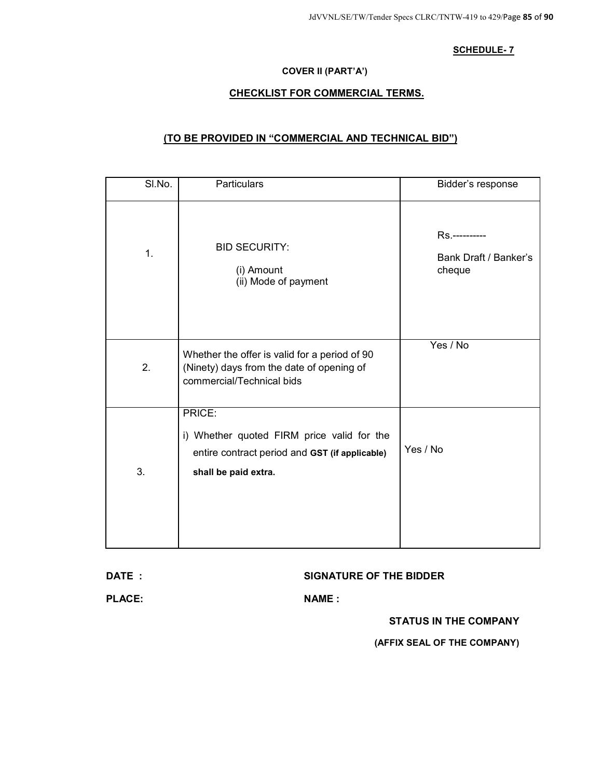### **COVER II (PART'A')**

### **CHECKLIST FOR COMMERCIAL TERMS.**

### **(TO BE PROVIDED IN "COMMERCIAL AND TECHNICAL BID")**

| SI.No. | Particulars                                                                                                                    | Bidder's response                                |
|--------|--------------------------------------------------------------------------------------------------------------------------------|--------------------------------------------------|
| 1.     | <b>BID SECURITY:</b><br>(i) Amount<br>(ii) Mode of payment                                                                     | Rs.----------<br>Bank Draft / Banker's<br>cheque |
| 2.     | Whether the offer is valid for a period of 90<br>(Ninety) days from the date of opening of<br>commercial/Technical bids        | Yes / No                                         |
| 3.     | PRICE:<br>i) Whether quoted FIRM price valid for the<br>entire contract period and GST (if applicable)<br>shall be paid extra. | Yes / No                                         |

#### **DATE : SIGNATURE OF THE BIDDER**

PLACE: NAME :

**STATUS IN THE COMPANY** 

**(AFFIX SEAL OF THE COMPANY)**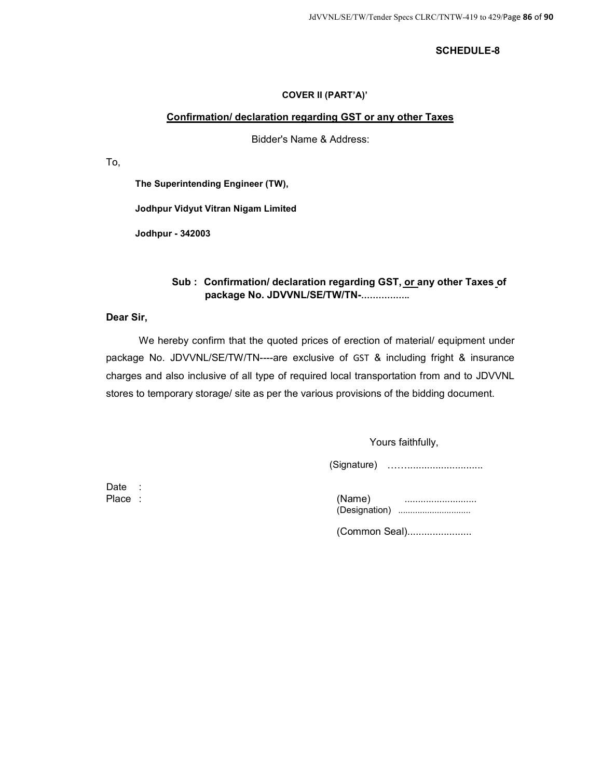### **COVER II (PART'A)'**

### **Confirmation/ declaration regarding GST or any other Taxes**

Bidder's Name & Address:

To,

**The Superintending Engineer (TW),** 

**Jodhpur Vidyut Vitran Nigam Limited** 

**Jodhpur - 342003** 

### **Sub : Confirmation/ declaration regarding GST, or any other Taxes of**   $package No. JDVVNL/SE/TW/TN-$ ...................

### **Dear Sir,**

We hereby confirm that the quoted prices of erection of material/ equipment under package No. JDVVNL/SE/TW/TN----are exclusive of GST & including fright & insurance charges and also inclusive of all type of required local transportation from and to JDVVNL stores to temporary storage/ site as per the various provisions of the bidding document.

Yours faithfully,

(Signature) [[...........................

Date :

| Place | 'Name)        |  |
|-------|---------------|--|
|       | (Designation) |  |

(Common Seal).......................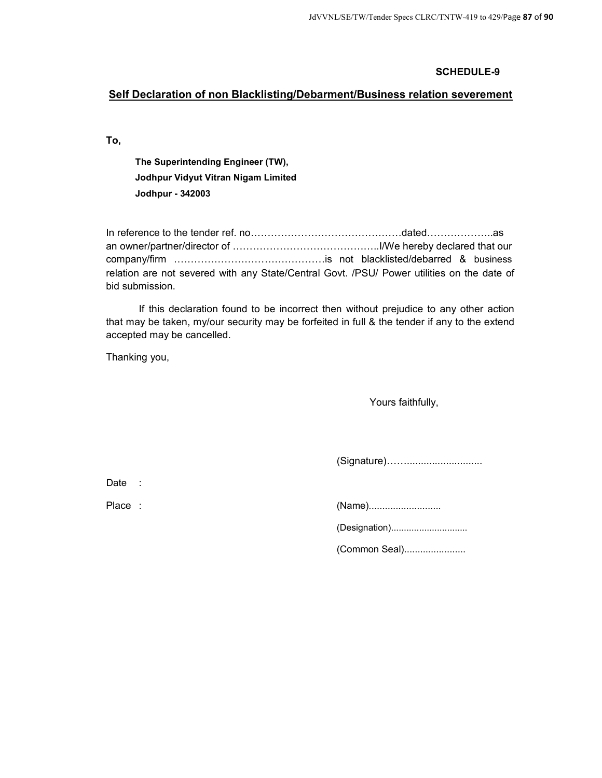### **Self Declaration of non Blacklisting/Debarment/Business relation severement**

**To,** 

**The Superintending Engineer (TW), Jodhpur Vidyut Vitran Nigam Limited Jodhpur - 342003** 

In reference to the tender ref. no[[[[[[[[[[[[[[[dated[[[[[[..as an owner/partner/director of [[[[[[[[[[[[[[..I/We hereby declared that our company/firm [[[[[[[[[[[[[[[is not blacklisted/debarred & business relation are not severed with any State/Central Govt. /PSU/ Power utilities on the date of bid submission.

If this declaration found to be incorrect then without prejudice to any other action that may be taken, my/our security may be forfeited in full & the tender if any to the extend accepted may be cancelled.

Thanking you,

Yours faithfully,

(Signature)[[...........................

Date :

Place : (Name)...........................

(Designation)..............................

(Common Seal).......................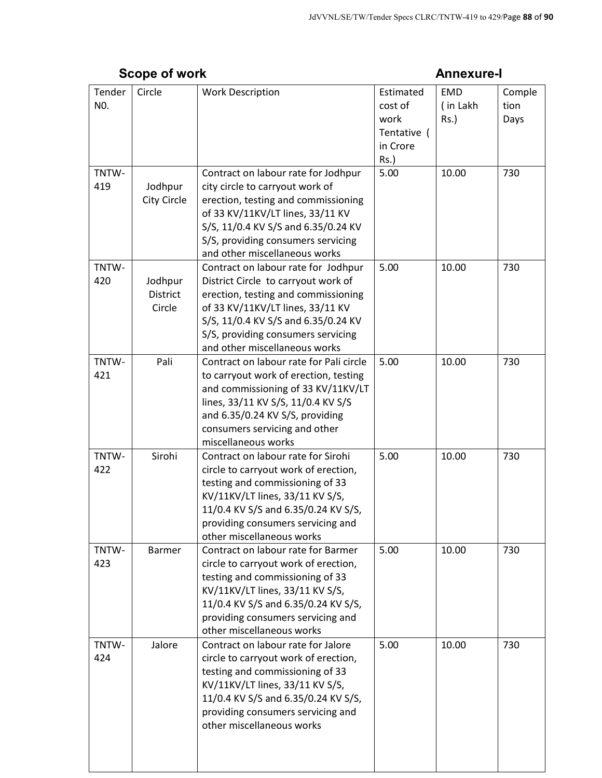|               | יייי יי ייטעט                        |                                                                                                                                                                                                                                                                     |                                                                    |                                   |                        |
|---------------|--------------------------------------|---------------------------------------------------------------------------------------------------------------------------------------------------------------------------------------------------------------------------------------------------------------------|--------------------------------------------------------------------|-----------------------------------|------------------------|
| Tender<br>NO. | Circle                               | <b>Work Description</b>                                                                                                                                                                                                                                             | Estimated<br>cost of<br>work<br>Tentative (<br>in Crore<br>$Rs.$ ) | <b>EMD</b><br>(in Lakh<br>$Rs.$ ) | Comple<br>tion<br>Days |
| TNTW-<br>419  | Jodhpur<br><b>City Circle</b>        | Contract on labour rate for Jodhpur<br>city circle to carryout work of<br>erection, testing and commissioning<br>of 33 KV/11KV/LT lines, 33/11 KV<br>S/S, 11/0.4 KV S/S and 6.35/0.24 KV<br>S/S, providing consumers servicing<br>and other miscellaneous works     | 5.00                                                               | 10.00                             | 730                    |
| TNTW-<br>420  | Jodhpur<br><b>District</b><br>Circle | Contract on labour rate for Jodhpur<br>District Circle to carryout work of<br>erection, testing and commissioning<br>of 33 KV/11KV/LT lines, 33/11 KV<br>S/S, 11/0.4 KV S/S and 6.35/0.24 KV<br>S/S, providing consumers servicing<br>and other miscellaneous works | 5.00                                                               | 10.00                             | 730                    |
| TNTW-<br>421  | Pali                                 | Contract on labour rate for Pali circle<br>to carryout work of erection, testing<br>and commissioning of 33 KV/11KV/LT<br>lines, 33/11 KV S/S, 11/0.4 KV S/S<br>and 6.35/0.24 KV S/S, providing<br>consumers servicing and other<br>miscellaneous works             | 5.00                                                               | 10.00                             | 730                    |
| TNTW-<br>422  | Sirohi                               | Contract on labour rate for Sirohi<br>circle to carryout work of erection,<br>testing and commissioning of 33<br>KV/11KV/LT lines, 33/11 KV S/S,<br>11/0.4 KV S/S and 6.35/0.24 KV S/S,<br>providing consumers servicing and<br>other miscellaneous works           | 5.00                                                               | 10.00                             | 730                    |
| TNTW-<br>423  | Barmer                               | Contract on labour rate for Barmer<br>circle to carryout work of erection,<br>testing and commissioning of 33<br>KV/11KV/LT lines, 33/11 KV S/S,<br>11/0.4 KV S/S and 6.35/0.24 KV S/S,<br>providing consumers servicing and<br>other miscellaneous works           | 5.00                                                               | 10.00                             | 730                    |
| TNTW-<br>424  | Jalore                               | Contract on labour rate for Jalore<br>circle to carryout work of erection,<br>testing and commissioning of 33<br>KV/11KV/LT lines, 33/11 KV S/S,<br>11/0.4 KV S/S and 6.35/0.24 KV S/S,<br>providing consumers servicing and<br>other miscellaneous works           | 5.00                                                               | 10.00                             | 730                    |

# **Scope of work Annexure-I**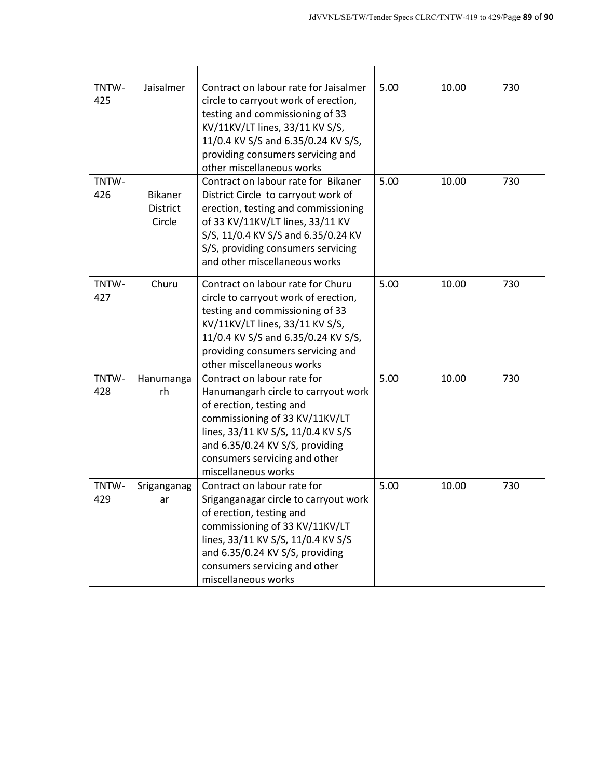| TNTW-<br>425 | Jaisalmer                                   | Contract on labour rate for Jaisalmer<br>circle to carryout work of erection,<br>testing and commissioning of 33<br>KV/11KV/LT lines, 33/11 KV S/S,<br>11/0.4 KV S/S and 6.35/0.24 KV S/S,<br>providing consumers servicing and<br>other miscellaneous works        | 5.00 | 10.00 | 730 |
|--------------|---------------------------------------------|---------------------------------------------------------------------------------------------------------------------------------------------------------------------------------------------------------------------------------------------------------------------|------|-------|-----|
| TNTW-<br>426 | <b>Bikaner</b><br><b>District</b><br>Circle | Contract on labour rate for Bikaner<br>District Circle to carryout work of<br>erection, testing and commissioning<br>of 33 KV/11KV/LT lines, 33/11 KV<br>S/S, 11/0.4 KV S/S and 6.35/0.24 KV<br>S/S, providing consumers servicing<br>and other miscellaneous works | 5.00 | 10.00 | 730 |
| TNTW-<br>427 | Churu                                       | Contract on labour rate for Churu<br>circle to carryout work of erection,<br>testing and commissioning of 33<br>KV/11KV/LT lines, 33/11 KV S/S,<br>11/0.4 KV S/S and 6.35/0.24 KV S/S,<br>providing consumers servicing and<br>other miscellaneous works            | 5.00 | 10.00 | 730 |
| TNTW-<br>428 | Hanumanga<br>rh                             | Contract on labour rate for<br>Hanumangarh circle to carryout work<br>of erection, testing and<br>commissioning of 33 KV/11KV/LT<br>lines, 33/11 KV S/S, 11/0.4 KV S/S<br>and 6.35/0.24 KV S/S, providing<br>consumers servicing and other<br>miscellaneous works   | 5.00 | 10.00 | 730 |
| TNTW-<br>429 | Sriganganag<br>ar                           | Contract on labour rate for<br>Sriganganagar circle to carryout work<br>of erection, testing and<br>commissioning of 33 KV/11KV/LT<br>lines, 33/11 KV S/S, 11/0.4 KV S/S<br>and 6.35/0.24 KV S/S, providing<br>consumers servicing and other<br>miscellaneous works | 5.00 | 10.00 | 730 |